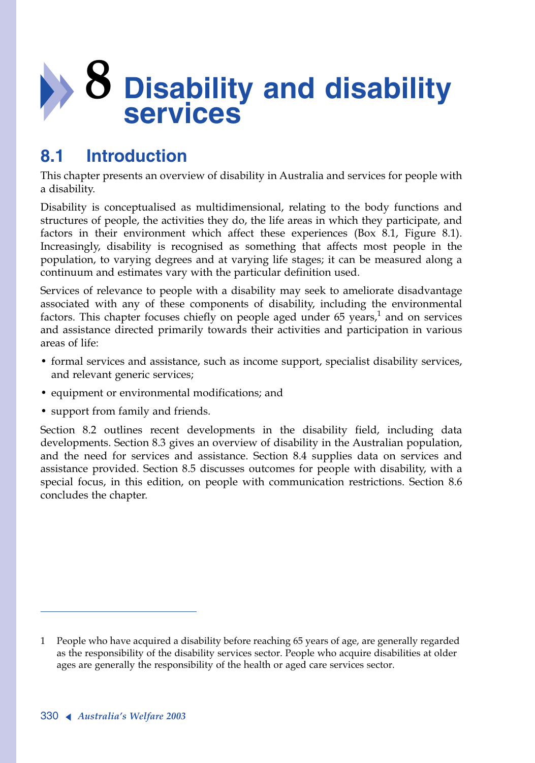# **8 Disability and disability services**

# **8.1 Introduction**

This chapter presents an overview of disability in Australia and services for people with a disability.

Disability is conceptualised as multidimensional, relating to the body functions and structures of people, the activities they do, the life areas in which they participate, and factors in their environment which affect these experiences (Box 8.1, Figure 8.1). Increasingly, disability is recognised as something that affects most people in the population, to varying degrees and at varying life stages; it can be measured along a continuum and estimates vary with the particular definition used.

Services of relevance to people with a disability may seek to ameliorate disadvantage associated with any of these components of disability, including the environmental factors. This chapter focuses chiefly on people aged under 65 years,<sup>1</sup> and on services and assistance directed primarily towards their activities and participation in various areas of life:

- formal services and assistance, such as income support, specialist disability services, and relevant generic services;
- equipment or environmental modifications; and
- support from family and friends.

Section 8.2 outlines recent developments in the disability field, including data developments. Section 8.3 gives an overview of disability in the Australian population, and the need for services and assistance. Section 8.4 supplies data on services and assistance provided. Section 8.5 discusses outcomes for people with disability, with a special focus, in this edition, on people with communication restrictions. Section 8.6 concludes the chapter.

<sup>1</sup> People who have acquired a disability before reaching 65 years of age, are generally regarded as the responsibility of the disability services sector. People who acquire disabilities at older ages are generally the responsibility of the health or aged care services sector.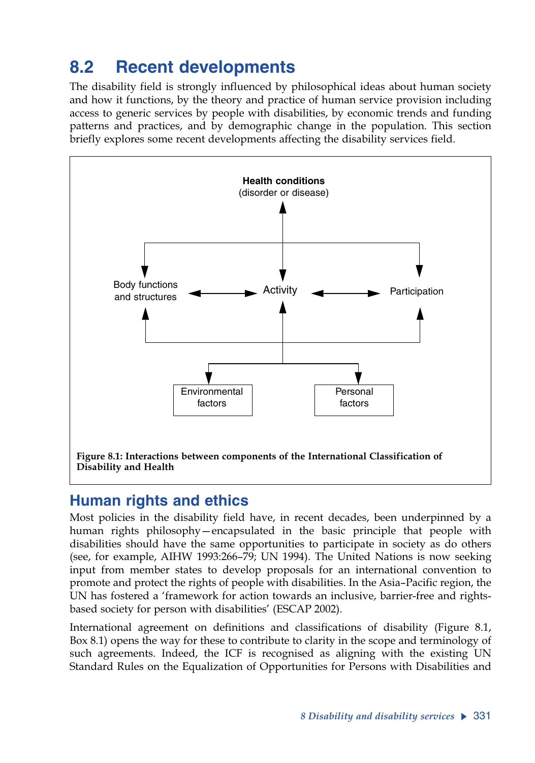# **8.2 Recent developments**

The disability field is strongly influenced by philosophical ideas about human society and how it functions, by the theory and practice of human service provision including access to generic services by people with disabilities, by economic trends and funding patterns and practices, and by demographic change in the population. This section briefly explores some recent developments affecting the disability services field.



# **Human rights and ethics**

Most policies in the disability field have, in recent decades, been underpinned by a human rights philosophy—encapsulated in the basic principle that people with disabilities should have the same opportunities to participate in society as do others (see, for example, AIHW 1993:266–79; UN 1994). The United Nations is now seeking input from member states to develop proposals for an international convention to promote and protect the rights of people with disabilities. In the Asia–Pacific region, the UN has fostered a 'framework for action towards an inclusive, barrier-free and rightsbased society for person with disabilities' (ESCAP 2002).

International agreement on definitions and classifications of disability (Figure 8.1, Box 8.1) opens the way for these to contribute to clarity in the scope and terminology of such agreements. Indeed, the ICF is recognised as aligning with the existing UN Standard Rules on the Equalization of Opportunities for Persons with Disabilities and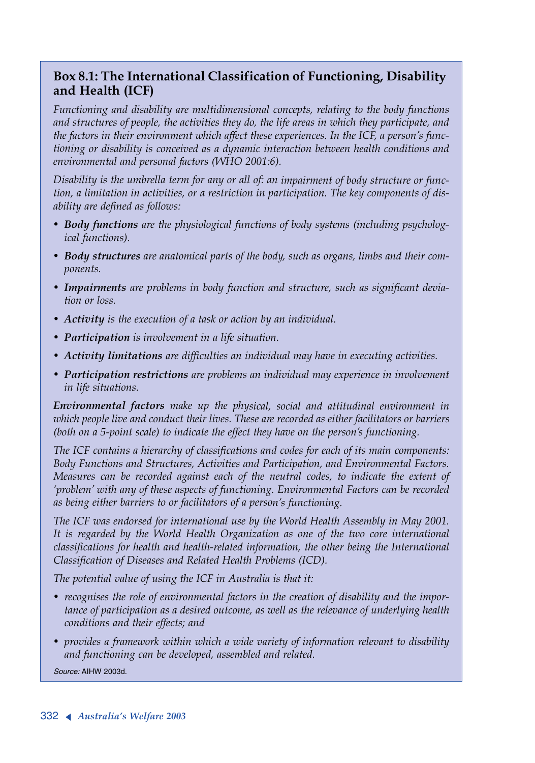### **Box 8.1: The International Classification of Functioning, Disability and Health (ICF)**

*Functioning and disability are multidimensional concepts, relating to the body functions and structures of people, the activities they do, the life areas in which they participate, and the factors in their environment which affect these experiences. In the ICF, a person's functioning or disability is conceived as a dynamic interaction between health conditions and environmental and personal factors (WHO 2001:6).*

*Disability is the umbrella term for any or all of: an impairment of body structure or function, a limitation in activities, or a restriction in participation. The key components of disability are defined as follows:*

- *• Body functions are the physiological functions of body systems (including psychological functions).*
- *• Body structures are anatomical parts of the body, such as organs, limbs and their components.*
- *• Impairments are problems in body function and structure, such as significant deviation or loss.*
- *• Activity is the execution of a task or action by an individual.*
- *• Participation is involvement in a life situation.*
- *• Activity limitations are difficulties an individual may have in executing activities.*
- *• Participation restrictions are problems an individual may experience in involvement in life situations.*

*Environmental factors make up the physical, social and attitudinal environment in which people live and conduct their lives. These are recorded as either facilitators or barriers (both on a 5-point scale) to indicate the effect they have on the person's functioning.*

*The ICF contains a hierarchy of classifications and codes for each of its main components: Body Functions and Structures, Activities and Participation, and Environmental Factors. Measures can be recorded against each of the neutral codes, to indicate the extent of 'problem' with any of these aspects of functioning. Environmental Factors can be recorded as being either barriers to or facilitators of a person's functioning.*

*The ICF was endorsed for international use by the World Health Assembly in May 2001. It is regarded by the World Health Organization as one of the two core international classifications for health and health-related information, the other being the International Classification of Diseases and Related Health Problems (ICD).*

*The potential value of using the ICF in Australia is that it:*

- *• recognises the role of environmental factors in the creation of disability and the importance of participation as a desired outcome, as well as the relevance of underlying health conditions and their effects; and*
- *• provides a framework within which a wide variety of information relevant to disability and functioning can be developed, assembled and related.*

*Source:* AIHW 2003d.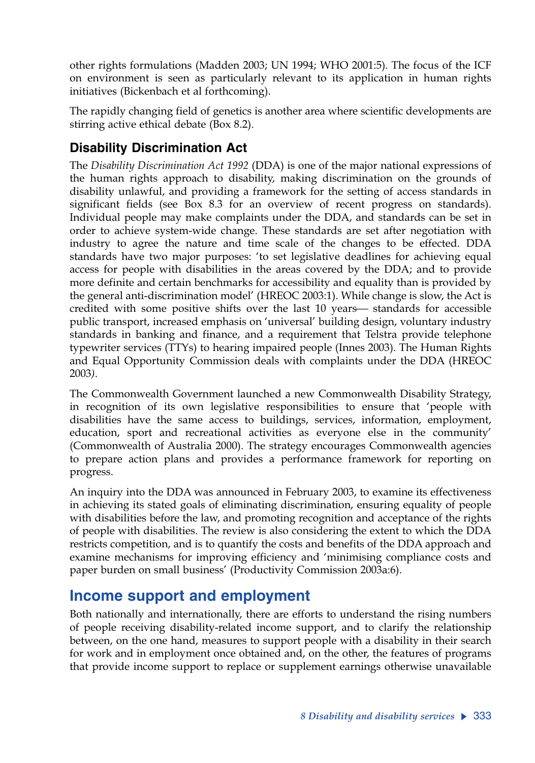other rights formulations (Madden 2003; UN 1994; WHO 2001:5). The focus of the ICF on environment is seen as particularly relevant to its application in human rights initiatives (Bickenbach et al forthcoming).

The rapidly changing field of genetics is another area where scientific developments are stirring active ethical debate (Box 8.2).

# **Disability Discrimination Act**

The *Disability Discrimination Act 1992* (DDA) is one of the major national expressions of the human rights approach to disability, making discrimination on the grounds of disability unlawful, and providing a framework for the setting of access standards in significant fields (see Box 8.3 for an overview of recent progress on standards). Individual people may make complaints under the DDA, and standards can be set in order to achieve system-wide change. These standards are set after negotiation with industry to agree the nature and time scale of the changes to be effected. DDA standards have two major purposes: 'to set legislative deadlines for achieving equal access for people with disabilities in the areas covered by the DDA; and to provide more definite and certain benchmarks for accessibility and equality than is provided by the general anti-discrimination model' (HREOC 2003:1). While change is slow, the Act is credited with some positive shifts over the last 10 years— standards for accessible public transport, increased emphasis on 'universal' building design, voluntary industry standards in banking and finance, and a requirement that Telstra provide telephone typewriter services (TTYs) to hearing impaired people (Innes 2003). The Human Rights and Equal Opportunity Commission deals with complaints under the DDA (HREOC 2003*)*.

The Commonwealth Government launched a new Commonwealth Disability Strategy, in recognition of its own legislative responsibilities to ensure that 'people with disabilities have the same access to buildings, services, information, employment, education, sport and recreational activities as everyone else in the community' (Commonwealth of Australia 2000). The strategy encourages Commonwealth agencies to prepare action plans and provides a performance framework for reporting on progress.

An inquiry into the DDA was announced in February 2003, to examine its effectiveness in achieving its stated goals of eliminating discrimination, ensuring equality of people with disabilities before the law, and promoting recognition and acceptance of the rights of people with disabilities. The review is also considering the extent to which the DDA restricts competition, and is to quantify the costs and benefits of the DDA approach and examine mechanisms for improving efficiency and 'minimising compliance costs and paper burden on small business' (Productivity Commission 2003a:6).

# **Income support and employment**

Both nationally and internationally, there are efforts to understand the rising numbers of people receiving disability-related income support, and to clarify the relationship between, on the one hand, measures to support people with a disability in their search for work and in employment once obtained and, on the other, the features of programs that provide income support to replace or supplement earnings otherwise unavailable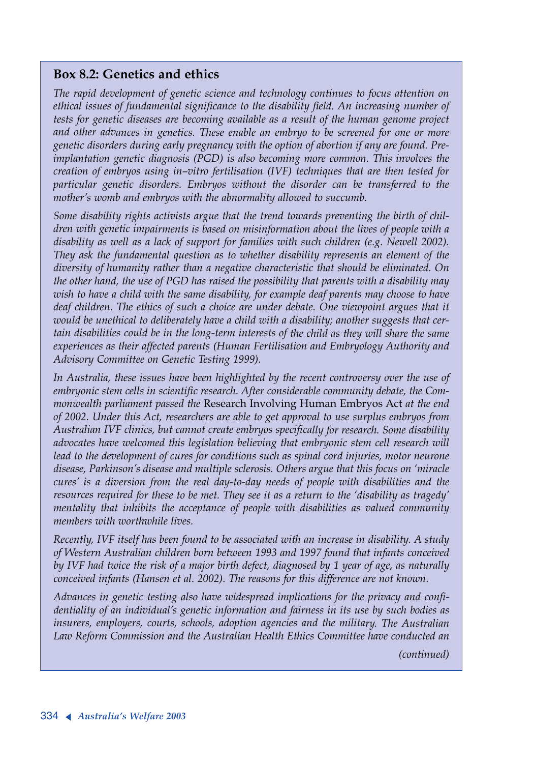#### **Box 8.2: Genetics and ethics**

*The rapid development of genetic science and technology continues to focus attention on ethical issues of fundamental significance to the disability field. An increasing number of tests for genetic diseases are becoming available as a result of the human genome project and other advances in genetics. These enable an embryo to be screened for one or more genetic disorders during early pregnancy with the option of abortion if any are found. Preimplantation genetic diagnosis (PGD) is also becoming more common. This involves the creation of embryos using in–vitro fertilisation (IVF) techniques that are then tested for particular genetic disorders. Embryos without the disorder can be transferred to the mother's womb and embryos with the abnormality allowed to succumb.*

*Some disability rights activists argue that the trend towards preventing the birth of children with genetic impairments is based on misinformation about the lives of people with a disability as well as a lack of support for families with such children (e.g. Newell 2002). They ask the fundamental question as to whether disability represents an element of the diversity of humanity rather than a negative characteristic that should be eliminated. On the other hand, the use of PGD has raised the possibility that parents with a disability may wish to have a child with the same disability, for example deaf parents may choose to have deaf children. The ethics of such a choice are under debate. One viewpoint argues that it would be unethical to deliberately have a child with a disability; another suggests that certain disabilities could be in the long-term interests of the child as they will share the same experiences as their affected parents (Human Fertilisation and Embryology Authority and Advisory Committee on Genetic Testing 1999).*

*In Australia, these issues have been highlighted by the recent controversy over the use of embryonic stem cells in scientific research. After considerable community debate, the Commonwealth parliament passed the* Research Involving Human Embryos Act *at the end of 2002. Under this Act, researchers are able to get approval to use surplus embryos from Australian IVF clinics, but cannot create embryos specifically for research. Some disability advocates have welcomed this legislation believing that embryonic stem cell research will lead to the development of cures for conditions such as spinal cord injuries, motor neurone disease, Parkinson's disease and multiple sclerosis. Others argue that this focus on 'miracle cures' is a diversion from the real day-to-day needs of people with disabilities and the resources required for these to be met. They see it as a return to the 'disability as tragedy' mentality that inhibits the acceptance of people with disabilities as valued community members with worthwhile lives.*

*Recently, IVF itself has been found to be associated with an increase in disability. A study of Western Australian children born between 1993 and 1997 found that infants conceived by IVF had twice the risk of a major birth defect, diagnosed by 1 year of age, as naturally conceived infants (Hansen et al. 2002). The reasons for this difference are not known.*

*Advances in genetic testing also have widespread implications for the privacy and confidentiality of an individual's genetic information and fairness in its use by such bodies as insurers, employers, courts, schools, adoption agencies and the military. The Australian Law Reform Commission and the Australian Health Ethics Committee have conducted an*

*(continued)*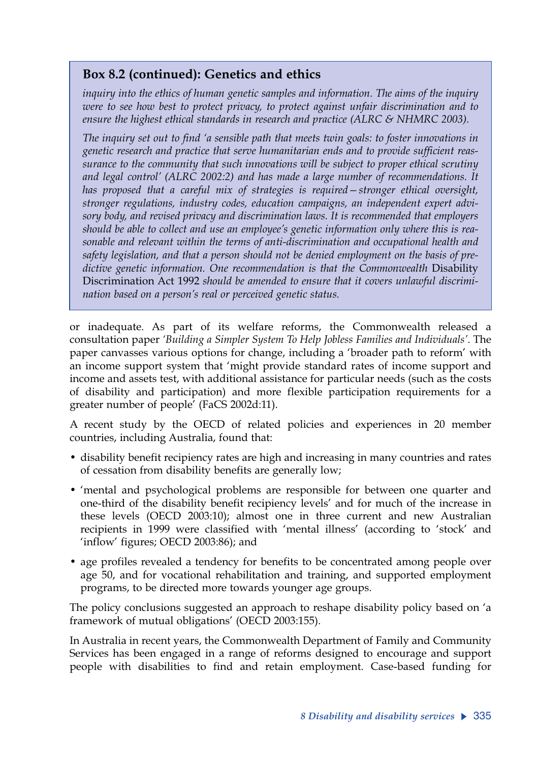### **Box 8.2 (continued): Genetics and ethics**

*inquiry into the ethics of human genetic samples and information. The aims of the inquiry were to see how best to protect privacy, to protect against unfair discrimination and to ensure the highest ethical standards in research and practice (ALRC & NHMRC 2003).* 

*The inquiry set out to find 'a sensible path that meets twin goals: to foster innovations in genetic research and practice that serve humanitarian ends and to provide sufficient reassurance to the community that such innovations will be subject to proper ethical scrutiny and legal control' (ALRC 2002:2) and has made a large number of recommendations. It has proposed that a careful mix of strategies is required—stronger ethical oversight, stronger regulations, industry codes, education campaigns, an independent expert advisory body, and revised privacy and discrimination laws. It is recommended that employers should be able to collect and use an employee's genetic information only where this is reasonable and relevant within the terms of anti-discrimination and occupational health and safety legislation, and that a person should not be denied employment on the basis of pre*dictive genetic information. One recommendation is that the Commonwealth Disability Discrimination Act 1992 *should be amended to ensure that it covers unlawful discrimination based on a person's real or perceived genetic status.*

or inadequate. As part of its welfare reforms, the Commonwealth released a consultation paper *'Building a Simpler System To Help Jobless Families and Individuals'*. The paper canvasses various options for change, including a 'broader path to reform' with an income support system that 'might provide standard rates of income support and income and assets test, with additional assistance for particular needs (such as the costs of disability and participation) and more flexible participation requirements for a greater number of people' (FaCS 2002d:11).

A recent study by the OECD of related policies and experiences in 20 member countries, including Australia, found that:

- disability benefit recipiency rates are high and increasing in many countries and rates of cessation from disability benefits are generally low;
- 'mental and psychological problems are responsible for between one quarter and one-third of the disability benefit recipiency levels' and for much of the increase in these levels (OECD 2003:10); almost one in three current and new Australian recipients in 1999 were classified with 'mental illness' (according to 'stock' and 'inflow' figures; OECD 2003:86); and
- age profiles revealed a tendency for benefits to be concentrated among people over age 50, and for vocational rehabilitation and training, and supported employment programs, to be directed more towards younger age groups.

The policy conclusions suggested an approach to reshape disability policy based on 'a framework of mutual obligations' (OECD 2003:155).

In Australia in recent years, the Commonwealth Department of Family and Community Services has been engaged in a range of reforms designed to encourage and support people with disabilities to find and retain employment. Case-based funding for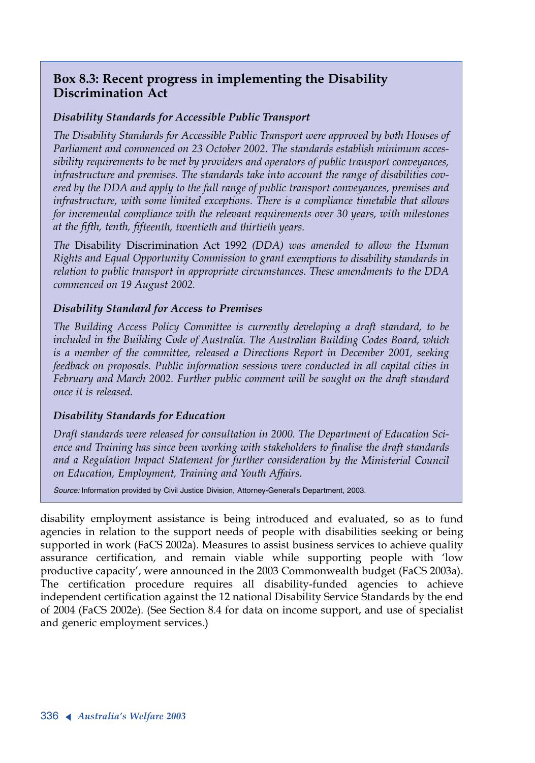### **Box 8.3: Recent progress in implementing the Disability Discrimination Act**

#### *Disability Standards for Accessible Public Transport*

*The Disability Standards for Accessible Public Transport were approved by both Houses of Parliament and commenced on 23 October 2002. The standards establish minimum accessibility requirements to be met by providers and operators of public transport conveyances, infrastructure and premises. The standards take into account the range of disabilities covered by the DDA and apply to the full range of public transport conveyances, premises and infrastructure, with some limited exceptions. There is a compliance timetable that allows for incremental compliance with the relevant requirements over 30 years, with milestones at the fifth, tenth, fifteenth, twentieth and thirtieth years.*

*The* Disability Discrimination Act 1992 *(DDA) was amended to allow the Human Rights and Equal Opportunity Commission to grant exemptions to disability standards in relation to public transport in appropriate circumstances. These amendments to the DDA commenced on 19 August 2002.*

#### *Disability Standard for Access to Premises*

*The Building Access Policy Committee is currently developing a draft standard, to be included in the Building Code of Australia. The Australian Building Codes Board, which is a member of the committee, released a Directions Report in December 2001, seeking feedback on proposals. Public information sessions were conducted in all capital cities in February and March 2002. Further public comment will be sought on the draft standard once it is released.*

#### *Disability Standards for Education*

*Draft standards were released for consultation in 2000. The Department of Education Science and Training has since been working with stakeholders to finalise the draft standards and a Regulation Impact Statement for further consideration by the Ministerial Council on Education, Employment, Training and Youth Affairs.* 

*Source:* Information provided by Civil Justice Division, Attorney-General's Department, 2003.

disability employment assistance is being introduced and evaluated, so as to fund agencies in relation to the support needs of people with disabilities seeking or being supported in work (FaCS 2002a). Measures to assist business services to achieve quality assurance certification, and remain viable while supporting people with 'low productive capacity', were announced in the 2003 Commonwealth budget (FaCS 2003a). The certification procedure requires all disability-funded agencies to achieve independent certification against the 12 national Disability Service Standards by the end of 2004 (FaCS 2002e). (See Section 8.4 for data on income support, and use of specialist and generic employment services.)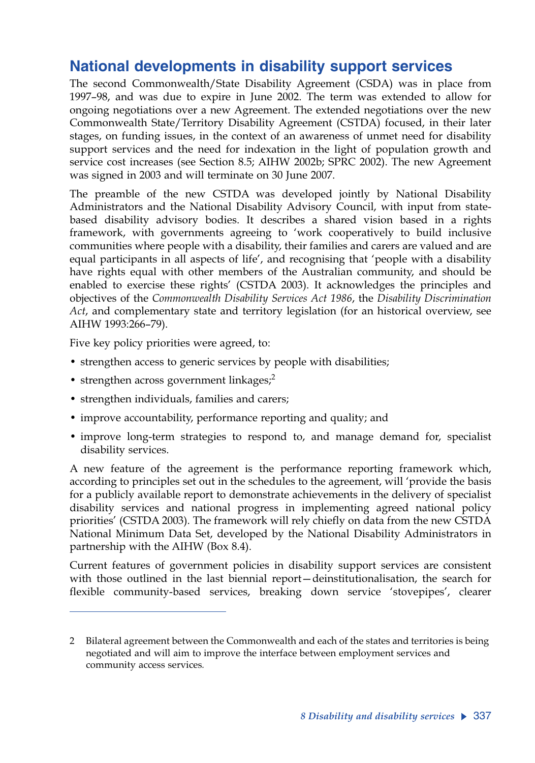# **National developments in disability support services**

The second Commonwealth/State Disability Agreement (CSDA) was in place from 1997–98, and was due to expire in June 2002. The term was extended to allow for ongoing negotiations over a new Agreement. The extended negotiations over the new Commonwealth State/Territory Disability Agreement (CSTDA) focused, in their later stages, on funding issues, in the context of an awareness of unmet need for disability support services and the need for indexation in the light of population growth and service cost increases (see Section 8.5; AIHW 2002b; SPRC 2002). The new Agreement was signed in 2003 and will terminate on 30 June 2007.

The preamble of the new CSTDA was developed jointly by National Disability Administrators and the National Disability Advisory Council, with input from statebased disability advisory bodies. It describes a shared vision based in a rights framework, with governments agreeing to 'work cooperatively to build inclusive communities where people with a disability, their families and carers are valued and are equal participants in all aspects of life', and recognising that 'people with a disability have rights equal with other members of the Australian community, and should be enabled to exercise these rights' (CSTDA 2003). It acknowledges the principles and objectives of the *Commonwealth Disability Services Act 1986*, the *Disability Discrimination Act*, and complementary state and territory legislation (for an historical overview, see AIHW 1993:266–79).

Five key policy priorities were agreed, to:

- strengthen access to generic services by people with disabilities;
- strengthen across government linkages; $<sup>2</sup>$ </sup>
- strengthen individuals, families and carers;
- improve accountability, performance reporting and quality; and
- improve long-term strategies to respond to, and manage demand for, specialist disability services.

A new feature of the agreement is the performance reporting framework which, according to principles set out in the schedules to the agreement, will 'provide the basis for a publicly available report to demonstrate achievements in the delivery of specialist disability services and national progress in implementing agreed national policy priorities' (CSTDA 2003). The framework will rely chiefly on data from the new CSTDA National Minimum Data Set, developed by the National Disability Administrators in partnership with the AIHW (Box 8.4).

Current features of government policies in disability support services are consistent with those outlined in the last biennial report—deinstitutionalisation, the search for flexible community-based services, breaking down service 'stovepipes', clearer

<sup>2</sup> Bilateral agreement between the Commonwealth and each of the states and territories is being negotiated and will aim to improve the interface between employment services and community access services*.*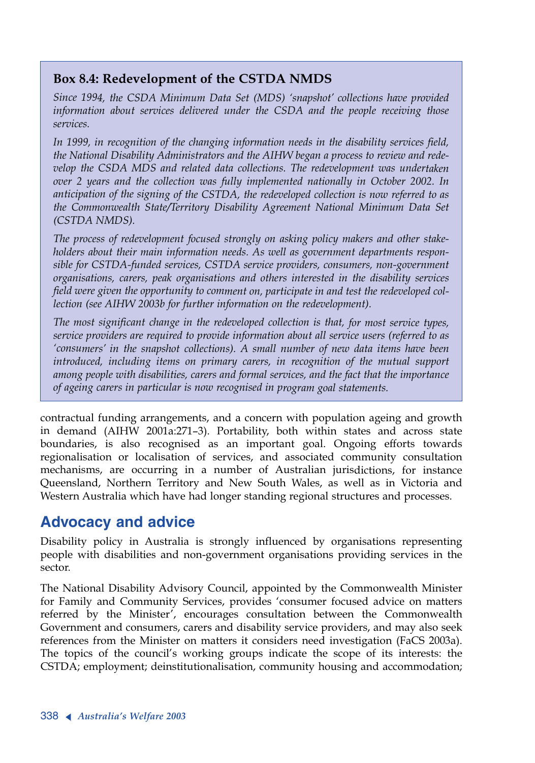### **Box 8.4: Redevelopment of the CSTDA NMDS**

*Since 1994, the CSDA Minimum Data Set (MDS) 'snapshot' collections have provided information about services delivered under the CSDA and the people receiving those services.* 

*In 1999, in recognition of the changing information needs in the disability services field, the National Disability Administrators and the AIHW began a process to review and redevelop the CSDA MDS and related data collections. The redevelopment was undertaken over 2 years and the collection was fully implemented nationally in October 2002. In anticipation of the signing of the CSTDA, the redeveloped collection is now referred to as the Commonwealth State/Territory Disability Agreement National Minimum Data Set (CSTDA NMDS).*

*The process of redevelopment focused strongly on asking policy makers and other stakeholders about their main information needs. As well as government departments responsible for CSTDA-funded services, CSTDA service providers, consumers, non-government organisations, carers, peak organisations and others interested in the disability services field were given the opportunity to comment on, participate in and test the redeveloped collection (see AIHW 2003b for further information on the redevelopment).*

*The most significant change in the redeveloped collection is that, for most service types, service providers are required to provide information about all service users (referred to as 'consumers' in the snapshot collections). A small number of new data items have been introduced, including items on primary carers, in recognition of the mutual support among people with disabilities, carers and formal services, and the fact that the importance of ageing carers in particular is now recognised in program goal statements.*

contractual funding arrangements, and a concern with population ageing and growth in demand (AIHW 2001a:271–3). Portability, both within states and across state boundaries, is also recognised as an important goal. Ongoing efforts towards regionalisation or localisation of services, and associated community consultation mechanisms, are occurring in a number of Australian jurisdictions, for instance Queensland, Northern Territory and New South Wales, as well as in Victoria and Western Australia which have had longer standing regional structures and processes.

# **Advocacy and advice**

Disability policy in Australia is strongly influenced by organisations representing people with disabilities and non-government organisations providing services in the sector.

The National Disability Advisory Council, appointed by the Commonwealth Minister for Family and Community Services, provides 'consumer focused advice on matters referred by the Minister', encourages consultation between the Commonwealth Government and consumers, carers and disability service providers, and may also seek references from the Minister on matters it considers need investigation (FaCS 2003a). The topics of the council's working groups indicate the scope of its interests: the CSTDA; employment; deinstitutionalisation, community housing and accommodation;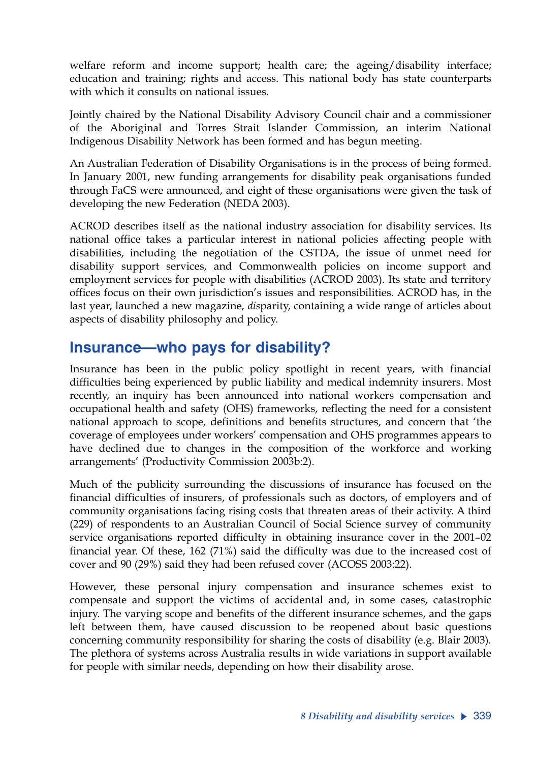welfare reform and income support; health care; the ageing/disability interface; education and training; rights and access. This national body has state counterparts with which it consults on national issues.

Jointly chaired by the National Disability Advisory Council chair and a commissioner of the Aboriginal and Torres Strait Islander Commission, an interim National Indigenous Disability Network has been formed and has begun meeting.

An Australian Federation of Disability Organisations is in the process of being formed. In January 2001, new funding arrangements for disability peak organisations funded through FaCS were announced, and eight of these organisations were given the task of developing the new Federation (NEDA 2003).

ACROD describes itself as the national industry association for disability services. Its national office takes a particular interest in national policies affecting people with disabilities, including the negotiation of the CSTDA, the issue of unmet need for disability support services, and Commonwealth policies on income support and employment services for people with disabilities (ACROD 2003). Its state and territory offices focus on their own jurisdiction's issues and responsibilities. ACROD has, in the last year, launched a new magazine, *dis*parity, containing a wide range of articles about aspects of disability philosophy and policy.

### **Insurance—who pays for disability?**

Insurance has been in the public policy spotlight in recent years, with financial difficulties being experienced by public liability and medical indemnity insurers. Most recently, an inquiry has been announced into national workers compensation and occupational health and safety (OHS) frameworks, reflecting the need for a consistent national approach to scope, definitions and benefits structures, and concern that 'the coverage of employees under workers' compensation and OHS programmes appears to have declined due to changes in the composition of the workforce and working arrangements' (Productivity Commission 2003b:2).

Much of the publicity surrounding the discussions of insurance has focused on the financial difficulties of insurers, of professionals such as doctors, of employers and of community organisations facing rising costs that threaten areas of their activity. A third (229) of respondents to an Australian Council of Social Science survey of community service organisations reported difficulty in obtaining insurance cover in the 2001–02 financial year. Of these, 162 (71%) said the difficulty was due to the increased cost of cover and 90 (29%) said they had been refused cover (ACOSS 2003:22).

However, these personal injury compensation and insurance schemes exist to compensate and support the victims of accidental and, in some cases, catastrophic injury. The varying scope and benefits of the different insurance schemes, and the gaps left between them, have caused discussion to be reopened about basic questions concerning community responsibility for sharing the costs of disability (e.g. Blair 2003)*.* The plethora of systems across Australia results in wide variations in support available for people with similar needs, depending on how their disability arose.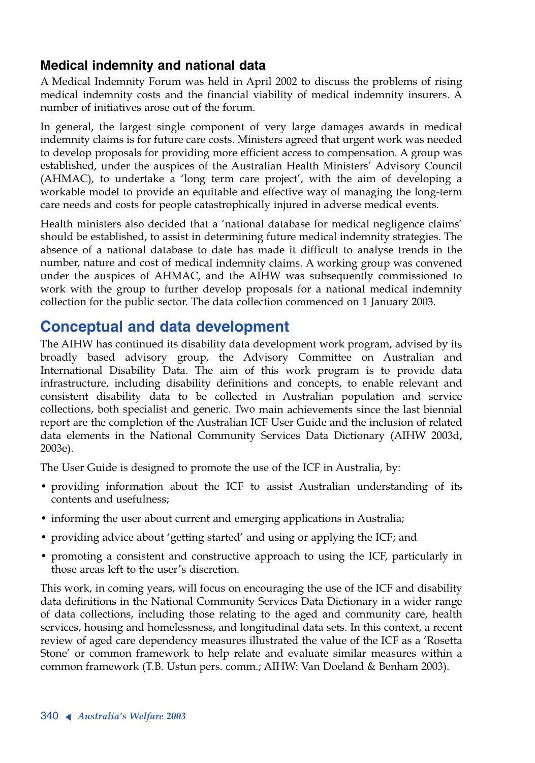### **Medical indemnity and national data**

<sup>A</sup> Medical Indemnity Forum was held in April 2002 to discuss the problems of rising medical indemnity costs and the financial viability of medical indemnity insurers. A number of initiatives arose out of the forum.

In general, the largest single component of very large damages awards in medical indemnity claims is for future care costs. Ministers agreed that urgent work was needed to develop proposals for providing more efficient access to compensation. A group was established, under the auspices of the Australian Health Ministers' Advisory Council (AHMAC), to undertake a 'long term care project', with the aim of developing a workable model to provide an equitable and effective way of managing the long-term care needs and costs for people catastrophically injured in adverse medical events.

Health ministers also decided that a 'national database for medical negligence claims' should be established, to assist in determining future medical indemnity strategies. The absence of a national database to date has made it difficult to analyse trends in the number, nature and cost of medical indemnity claims. A working group was convened under the auspices of AHMAC, and the AIHW was subsequently commissioned to work with the group to further develop proposals for a national medical indemnity collection for the public sector. The data collection commenced on 1 January 2003.

# **Conceptual and data development**

The AIHW has continued its disability data development work program, advised by its broadly based advisory group, the Advisory Committee on Australian and International Disability Data. The aim of this work program is to provide data infrastructure, including disability definitions and concepts, to enable relevant and consistent disability data to be collected in Australian population and service collections, both specialist and generic. Two main achievements since the last biennial report are the completion of the Australian ICF User Guide and the inclusion of related data elements in the National Community Services Data Dictionary (AIHW 2003d, 2003e).

The User Guide is designed to promote the use of the ICF in Australia, by:

- providing information about the ICF to assist Australian understanding of its contents and usefulness;
- informing the user about current and emerging applications in Australia;
- providing advice about 'getting started' and using or applying the ICF; and
- promoting a consistent and constructive approach to using the ICF, particularly in those areas left to the user's discretion.

This work, in coming years, will focus on encouraging the use of the ICF and disability data definitions in the National Community Services Data Dictionary in a wider range of data collections, including those relating to the aged and community care, health services, housing and homelessness, and longitudinal data sets. In this context, a recent review of aged care dependency measures illustrated the value of the ICF as a 'Rosetta Stone' or common framework to help relate and evaluate similar measures within a common framework (T.B. Ustun pers. comm.; AIHW: Van Doeland & Benham 2003).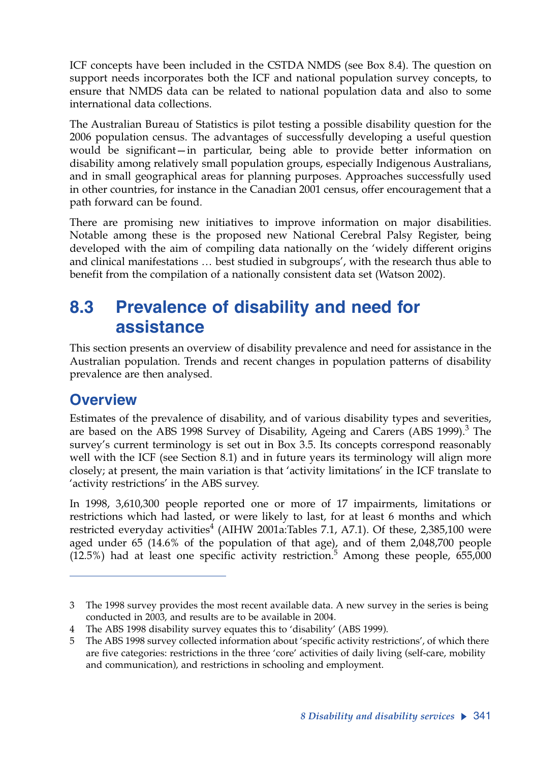ICF concepts have been included in the CSTDA NMDS (see Box 8.4). The question on support needs incorporates both the ICF and national population survey concepts, to ensure that NMDS data can be related to national population data and also to some international data collections.

The Australian Bureau of Statistics is pilot testing a possible disability question for the 2006 population census. The advantages of successfully developing a useful question would be significant—in particular, being able to provide better information on disability among relatively small population groups, especially Indigenous Australians, and in small geographical areas for planning purposes. Approaches successfully used in other countries, for instance in the Canadian 2001 census, offer encouragement that a path forward can be found.

There are promising new initiatives to improve information on major disabilities. Notable among these is the proposed new National Cerebral Palsy Register, being developed with the aim of compiling data nationally on the 'widely different origins and clinical manifestations … best studied in subgroups', with the research thus able to benefit from the compilation of a nationally consistent data set (Watson 2002).

# **8.3 Prevalence of disability and need for assistance**

This section presents an overview of disability prevalence and need for assistance in the Australian population. Trends and recent changes in population patterns of disability prevalence are then analysed.

# **Overview**

Estimates of the prevalence of disability, and of various disability types and severities, are based on the ABS 1998 Survey of Disability, Ageing and Carers (ABS 1999).<sup>3</sup> The survey's current terminology is set out in Box 3.5. Its concepts correspond reasonably well with the ICF (see Section 8.1) and in future years its terminology will align more closely; at present, the main variation is that 'activity limitations' in the ICF translate to 'activity restrictions' in the ABS survey.

In 1998, 3,610,300 people reported one or more of 17 impairments, limitations or restrictions which had lasted, or were likely to last, for at least 6 months and which restricted everyday activities $^4$  (AIHW 2001a:Tables 7.1, A7.1). Of these, 2,385,100 were aged under 65 (14.6% of the population of that age), and of them 2,048,700 people  $(12.5%)$  had at least one specific activity restriction.<sup>5</sup> Among these people, 655,000

<sup>3</sup> The 1998 survey provides the most recent available data. A new survey in the series is being conducted in 2003, and results are to be available in 2004.

The ABS 1998 disability survey equates this to 'disability' (ABS 1999).

<sup>5</sup> The ABS 1998 survey collected information about 'specific activity restrictions', of which there are five categories: restrictions in the three 'core' activities of daily living (self-care, mobility and communication), and restrictions in schooling and employment.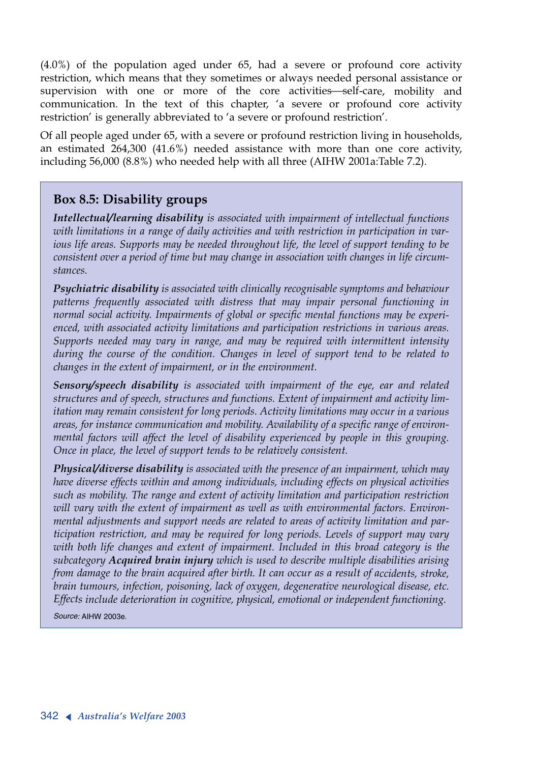(4.0%) of the population aged under 65, had a severe or profound core activity restriction, which means that they sometimes or always needed personal assistance or supervision with one or more of the core activities-self-care, mobility and communication. In the text of this chapter, 'a severe or profound core activity restriction' is generally abbreviated to 'a severe or profound restriction'.

Of all people aged under 65, with a severe or profound restriction living in households, an estimated 264,300 (41.6%) needed assistance with more than one core activity, including 56,000 (8.8%) who needed help with all three (AIHW 2001a:Table 7.2).

#### **Box 8.5: Disability groups**

*Intellectual/learning disability is associated with impairment of intellectual functions with limitations in a range of daily activities and with restriction in participation in various life areas. Supports may be needed throughout life, the level of support tending to be consistent over a period of time but may change in association with changes in life circumstances.* 

*Psychiatric disability is associated with clinically recognisable symptoms and behaviour patterns frequently associated with distress that may impair personal functioning in normal social activity. Impairments of global or specific mental functions may be experienced, with associated activity limitations and participation restrictions in various areas. Supports needed may vary in range, and may be required with intermittent intensity during the course of the condition. Changes in level of support tend to be related to changes in the extent of impairment, or in the environment.*

*Sensory/speech disability is associated with impairment of the eye, ear and related structures and of speech, structures and functions. Extent of impairment and activity limitation may remain consistent for long periods. Activity limitations may occur in a various areas, for instance communication and mobility. Availability of a specific range of environmental factors will affect the level of disability experienced by people in this grouping. Once in place, the level of support tends to be relatively consistent.* 

*Physical/diverse disability is associated with the presence of an impairment, which may have diverse effects within and among individuals, including effects on physical activities such as mobility. The range and extent of activity limitation and participation restriction will vary with the extent of impairment as well as with environmental factors. Environmental adjustments and support needs are related to areas of activity limitation and participation restriction, and may be required for long periods. Levels of support may vary with both life changes and extent of impairment. Included in this broad category is the subcategory Acquired brain injury which is used to describe multiple disabilities arising from damage to the brain acquired after birth. It can occur as a result of accidents, stroke, brain tumours, infection, poisoning, lack of oxygen, degenerative neurological disease, etc. Effects include deterioration in cognitive, physical, emotional or independent functioning.* 

*Source:* AIHW 2003e.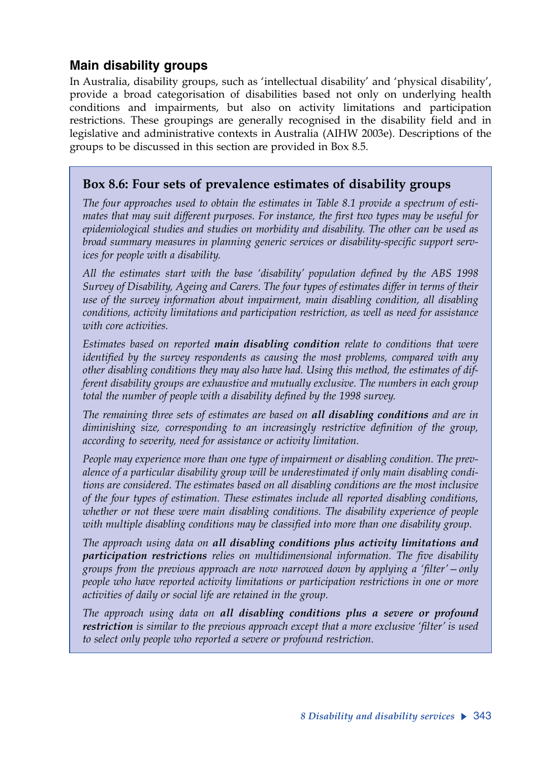### **Main disability groups**

In Australia, disability groups, such as 'intellectual disability' and 'physical disability', provide a broad categorisation of disabilities based not only on underlying health conditions and impairments, but also on activity limitations and participation restrictions. These groupings are generally recognised in the disability field and in legislative and administrative contexts in Australia (AIHW 2003e). Descriptions of the groups to be discussed in this section are provided in Box 8.5.

#### **Box 8.6: Four sets of prevalence estimates of disability groups**

*The four approaches used to obtain the estimates in Table 8.1 provide a spectrum of estimates that may suit different purposes. For instance, the first two types may be useful for epidemiological studies and studies on morbidity and disability. The other can be used as broad summary measures in planning generic services or disability-specific support services for people with a disability.*

*All the estimates start with the base 'disability' population defined by the ABS 1998 Survey of Disability, Ageing and Carers. The four types of estimates differ in terms of their use of the survey information about impairment, main disabling condition, all disabling conditions, activity limitations and participation restriction, as well as need for assistance with core activities.*

*Estimates based on reported main disabling condition relate to conditions that were identified by the survey respondents as causing the most problems, compared with any other disabling conditions they may also have had. Using this method, the estimates of different disability groups are exhaustive and mutually exclusive. The numbers in each group total the number of people with a disability defined by the 1998 survey.* 

*The remaining three sets of estimates are based on all disabling conditions and are in diminishing size, corresponding to an increasingly restrictive definition of the group, according to severity, need for assistance or activity limitation.*

*People may experience more than one type of impairment or disabling condition. The prevalence of a particular disability group will be underestimated if only main disabling conditions are considered. The estimates based on all disabling conditions are the most inclusive of the four types of estimation. These estimates include all reported disabling conditions, whether or not these were main disabling conditions. The disability experience of people with multiple disabling conditions may be classified into more than one disability group.*

*The approach using data on all disabling conditions plus activity limitations and participation restrictions relies on multidimensional information. The five disability groups from the previous approach are now narrowed down by applying a 'filter'—only people who have reported activity limitations or participation restrictions in one or more activities of daily or social life are retained in the group.*

*The approach using data on all disabling conditions plus a severe or profound restriction is similar to the previous approach except that a more exclusive 'filter' is used to select only people who reported a severe or profound restriction.*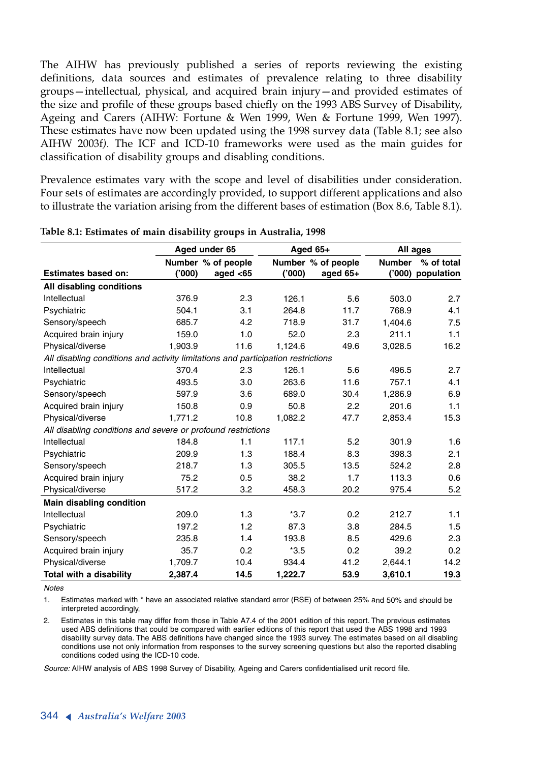The AIHW has previously published a series of reports reviewing the existing definitions, data sources and estimates of prevalence relating to three disability groups—intellectual, physical, and acquired brain injury—and provided estimates of the size and profile of these groups based chiefly on the 1993 ABS Survey of Disability, Ageing and Carers (AIHW: Fortune & Wen 1999, Wen & Fortune 1999, Wen 1997). These estimates have now been updated using the 1998 survey data (Table 8.1; see also AIHW 2003f*).* The ICF and ICD-10 frameworks were used as the main guides for classification of disability groups and disabling conditions.

Prevalence estimates vary with the scope and level of disabilities under consideration. Four sets of estimates are accordingly provided, to support different applications and also to illustrate the variation arising from the different bases of estimation (Box 8.6, Table 8.1).

|                                                                                  |         | Aged under 65      |         | Aged $65+$         |               | All ages   |
|----------------------------------------------------------------------------------|---------|--------------------|---------|--------------------|---------------|------------|
|                                                                                  |         | Number % of people |         | Number % of people | <b>Number</b> | % of total |
| <b>Estimates based on:</b>                                                       | ('000)  | aged $<$ 65        | (000)   | aged 65+           | (000)         | population |
| All disabling conditions                                                         |         |                    |         |                    |               |            |
| Intellectual                                                                     | 376.9   | 2.3                | 126.1   | 5.6                | 503.0         | 2.7        |
| Psychiatric                                                                      | 504.1   | 3.1                | 264.8   | 11.7               | 768.9         | 4.1        |
| Sensory/speech                                                                   | 685.7   | 4.2                | 718.9   | 31.7               | 1.404.6       | 7.5        |
| Acquired brain injury                                                            | 159.0   | 1.0                | 52.0    | 2.3                | 211.1         | 1.1        |
| Physical/diverse                                                                 | 1.903.9 | 11.6               | 1.124.6 | 49.6               | 3,028.5       | 16.2       |
| All disabling conditions and activity limitations and participation restrictions |         |                    |         |                    |               |            |
| Intellectual                                                                     | 370.4   | 2.3                | 126.1   | 5.6                | 496.5         | 2.7        |
| Psychiatric                                                                      | 493.5   | 3.0                | 263.6   | 11.6               | 757.1         | 4.1        |
| Sensory/speech                                                                   | 597.9   | 3.6                | 689.0   | 30.4               | 1.286.9       | 6.9        |
| Acquired brain injury                                                            | 150.8   | 0.9                | 50.8    | 2.2                | 201.6         | 1.1        |
| Physical/diverse                                                                 | 1.771.2 | 10.8               | 1,082.2 | 47.7               | 2.853.4       | 15.3       |
| All disabling conditions and severe or profound restrictions                     |         |                    |         |                    |               |            |
| Intellectual                                                                     | 184.8   | 1.1                | 117.1   | 5.2                | 301.9         | 1.6        |
| Psychiatric                                                                      | 209.9   | 1.3                | 188.4   | 8.3                | 398.3         | 2.1        |
| Sensory/speech                                                                   | 218.7   | 1.3                | 305.5   | 13.5               | 524.2         | 2.8        |
| Acquired brain injury                                                            | 75.2    | 0.5                | 38.2    | 1.7                | 113.3         | 0.6        |
| Physical/diverse                                                                 | 517.2   | 3.2                | 458.3   | 20.2               | 975.4         | 5.2        |
| Main disabling condition                                                         |         |                    |         |                    |               |            |
| Intellectual                                                                     | 209.0   | 1.3                | $*3.7$  | 0.2                | 212.7         | 1.1        |
| Psychiatric                                                                      | 197.2   | 1.2                | 87.3    | 3.8                | 284.5         | 1.5        |
| Sensory/speech                                                                   | 235.8   | 1.4                | 193.8   | 8.5                | 429.6         | 2.3        |
| Acquired brain injury                                                            | 35.7    | 0.2                | $*3.5$  | 0.2                | 39.2          | 0.2        |
| Physical/diverse                                                                 | 1,709.7 | 10.4               | 934.4   | 41.2               | 2.644.1       | 14.2       |
| Total with a disability                                                          | 2,387.4 | 14.5               | 1,222.7 | 53.9               | 3,610.1       | 19.3       |

**Table 8.1: Estimates of main disability groups in Australia, 1998**

*Notes*

1. Estimates marked with \* have an associated relative standard error (RSE) of between 25% and 50% and should be interpreted accordingly.

2. Estimates in this table may differ from those in Table A7.4 of the 2001 edition of this report. The previous estimates used ABS definitions that could be compared with earlier editions of this report that used the ABS 1998 and 1993 disability survey data. The ABS definitions have changed since the 1993 survey. The estimates based on all disabling conditions use not only information from responses to the survey screening questions but also the reported disabling conditions coded using the ICD-10 code.

*Source:* AIHW analysis of ABS 1998 Survey of Disability, Ageing and Carers confidentialised unit record file.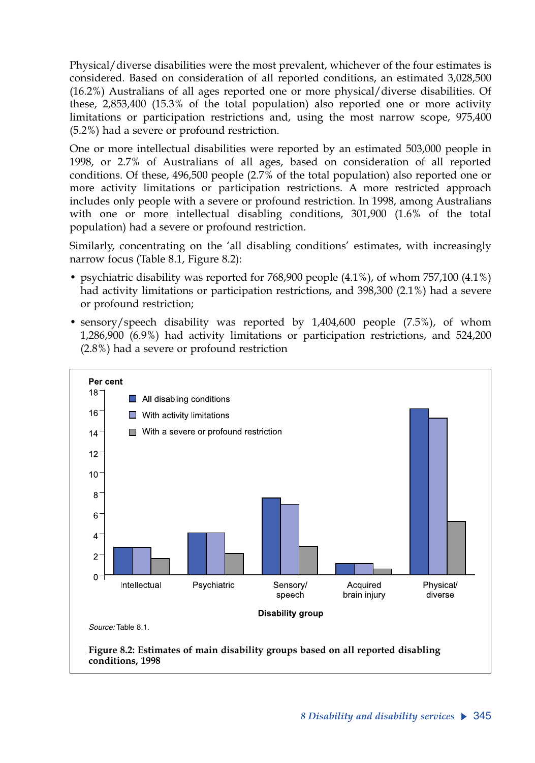Physical/diverse disabilities were the most prevalent, whichever of the four estimates is considered. Based on consideration of all reported conditions, an estimated 3,028,500 (16.2%) Australians of all ages reported one or more physical/diverse disabilities. Of these, 2,853,400 (15.3% of the total population) also reported one or more activity limitations or participation restrictions and, using the most narrow scope, 975,400 (5.2%) had a severe or profound restriction.

One or more intellectual disabilities were reported by an estimated 503,000 people in 1998, or 2.7% of Australians of all ages, based on consideration of all reported conditions. Of these, 496,500 people (2.7% of the total population) also reported one or more activity limitations or participation restrictions. A more restricted approach includes only people with a severe or profound restriction. In 1998, among Australians with one or more intellectual disabling conditions, 301,900 (1.6% of the total population) had a severe or profound restriction.

Similarly, concentrating on the 'all disabling conditions' estimates, with increasingly narrow focus (Table 8.1, Figure 8.2):

- psychiatric disability was reported for 768,900 people (4.1%), of whom 757,100 (4.1%) had activity limitations or participation restrictions, and 398,300 (2.1%) had a severe or profound restriction;
- sensory/speech disability was reported by 1,404,600 people (7.5%), of whom 1,286,900 (6.9%) had activity limitations or participation restrictions, and 524,200 (2.8%) had a severe or profound restriction

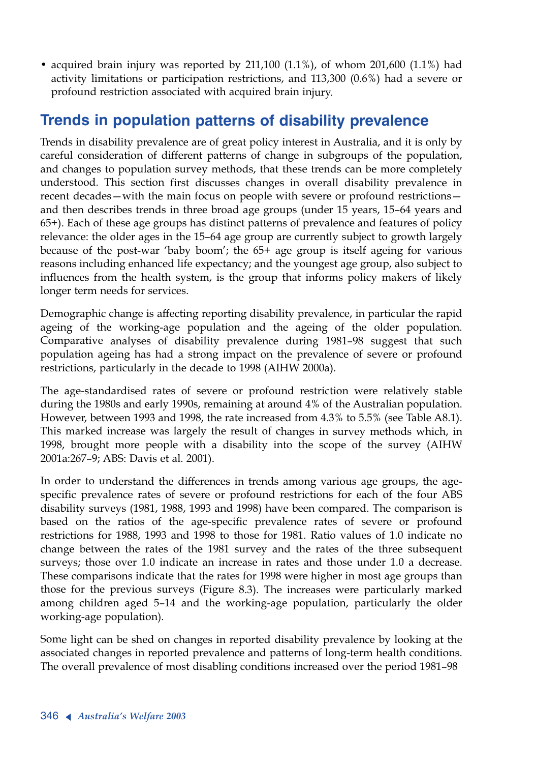• acquired brain injury was reported by 211,100 (1.1%), of whom 201,600 (1.1%) had activity limitations or participation restrictions, and 113,300 (0.6%) had a severe or profound restriction associated with acquired brain injury.

# **Trends in population patterns of disability prevalence**

Trends in disability prevalence are of great policy interest in Australia, and it is only by careful consideration of different patterns of change in subgroups of the population, and changes to population survey methods, that these trends can be more completely understood. This section first discusses changes in overall disability prevalence in recent decades—with the main focus on people with severe or profound restrictions and then describes trends in three broad age groups (under 15 years, 15–64 years and 65+). Each of these age groups has distinct patterns of prevalence and features of policy relevance: the older ages in the 15–64 age group are currently subject to growth largely because of the post-war 'baby boom'; the 65+ age group is itself ageing for various reasons including enhanced life expectancy; and the youngest age group, also subject to influences from the health system, is the group that informs policy makers of likely longer term needs for services.

Demographic change is affecting reporting disability prevalence, in particular the rapid ageing of the working-age population and the ageing of the older population. Comparative analyses of disability prevalence during 1981–98 suggest that such population ageing has had a strong impact on the prevalence of severe or profound restrictions, particularly in the decade to 1998 (AIHW 2000a).

The age-standardised rates of severe or profound restriction were relatively stable during the 1980s and early 1990s, remaining at around 4% of the Australian population. However, between 1993 and 1998, the rate increased from 4.3% to 5.5% (see Table A8.1). This marked increase was largely the result of changes in survey methods which, in 1998, brought more people with a disability into the scope of the survey (AIHW 2001a:267–9; ABS: Davis et al. 2001).

In order to understand the differences in trends among various age groups, the agespecific prevalence rates of severe or profound restrictions for each of the four ABS disability surveys (1981, 1988, 1993 and 1998) have been compared. The comparison is based on the ratios of the age-specific prevalence rates of severe or profound restrictions for 1988, 1993 and 1998 to those for 1981. Ratio values of 1.0 indicate no change between the rates of the 1981 survey and the rates of the three subsequent surveys; those over 1.0 indicate an increase in rates and those under 1.0 a decrease. These comparisons indicate that the rates for 1998 were higher in most age groups than those for the previous surveys (Figure 8.3). The increases were particularly marked among children aged 5–14 and the working-age population, particularly the older working-age population).

Some light can be shed on changes in reported disability prevalence by looking at the associated changes in reported prevalence and patterns of long-term health conditions. The overall prevalence of most disabling conditions increased over the period 1981–98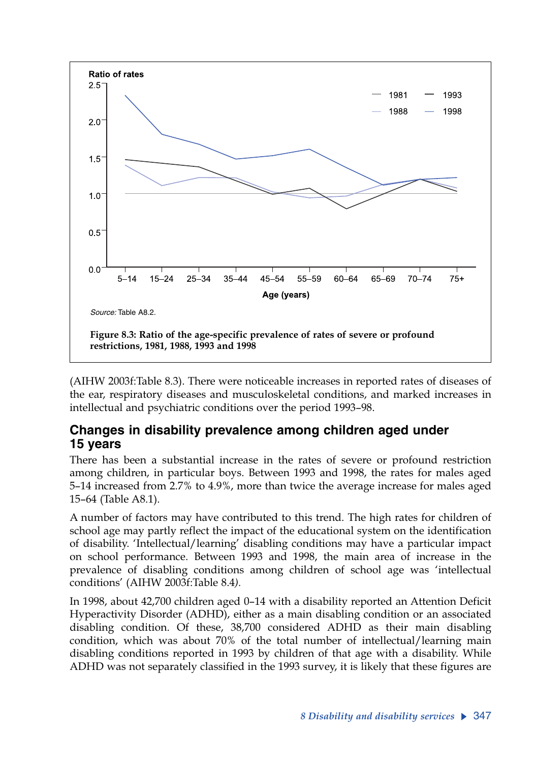

(AIHW 2003f:Table 8.3). There were noticeable increases in reported rates of diseases of the ear, respiratory diseases and musculoskeletal conditions, and marked increases in intellectual and psychiatric conditions over the period 1993–98.

#### **Changes in disability prevalence among children aged under 15 years**

There has been a substantial increase in the rates of severe or profound restriction among children, in particular boys. Between 1993 and 1998, the rates for males aged 5–14 increased from 2.7% to 4.9%, more than twice the average increase for males aged 15–64 (Table A8.1).

A number of factors may have contributed to this trend. The high rates for children of school age may partly reflect the impact of the educational system on the identification of disability. 'Intellectual/learning' disabling conditions may have a particular impact on school performance. Between 1993 and 1998, the main area of increase in the prevalence of disabling conditions among children of school age was 'intellectual conditions' (AIHW 2003f:Table 8.4*).*

In 1998, about 42,700 children aged 0–14 with a disability reported an Attention Deficit Hyperactivity Disorder (ADHD), either as a main disabling condition or an associated disabling condition. Of these, 38,700 considered ADHD as their main disabling condition, which was about 70% of the total number of intellectual/learning main disabling conditions reported in 1993 by children of that age with a disability. While ADHD was not separately classified in the 1993 survey, it is likely that these figures are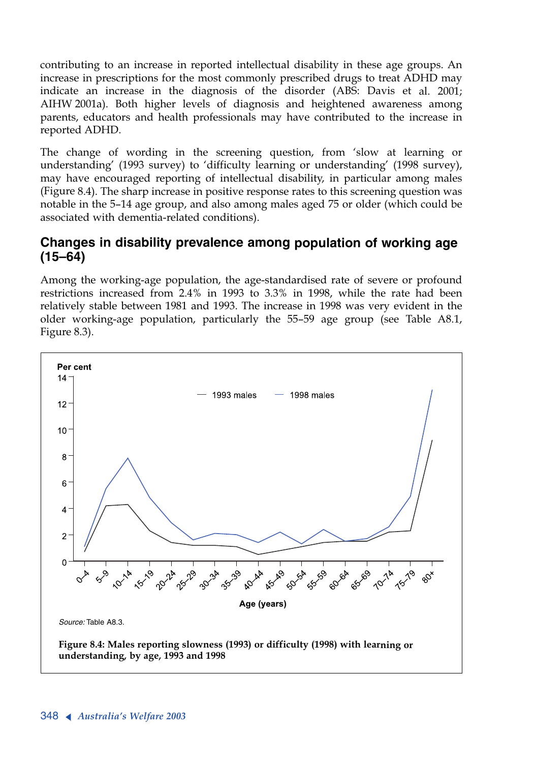contributing to an increase in reported intellectual disability in these age groups. An increase in prescriptions for the most commonly prescribed drugs to treat ADHD may indicate an increase in the diagnosis of the disorder (ABS: Davis et al. 2001; AIHW 2001a). Both higher levels of diagnosis and heightened awareness among parents, educators and health professionals may have contributed to the increase in reported ADHD.

The change of wording in the screening question, from 'slow at learning or understanding' (1993 survey) to 'difficulty learning or understanding' (1998 survey), may have encouraged reporting of intellectual disability, in particular among males (Figure 8.4). The sharp increase in positive response rates to this screening question was notable in the 5–14 age group, and also among males aged 75 or older (which could be associated with dementia-related conditions).

#### **Changes in disability prevalence among population of working age (15–64)**

Among the working-age population, the age-standardised rate of severe or profound restrictions increased from 2.4% in 1993 to 3.3% in 1998, while the rate had been relatively stable between 1981 and 1993. The increase in 1998 was very evident in the older working-age population, particularly the 55–59 age group (see Table A8.1, Figure 8.3).

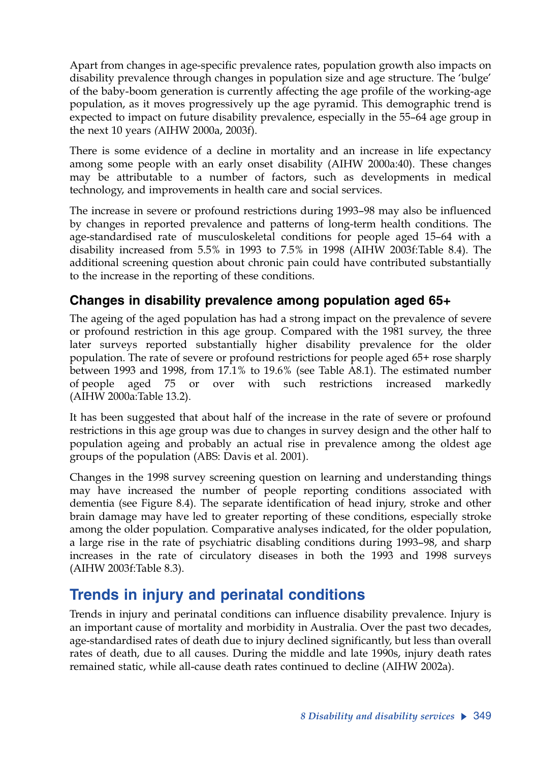Apart from changes in age-specific prevalence rates, population growth also impacts on disability prevalence through changes in population size and age structure. The 'bulge' of the baby-boom generation is currently affecting the age profile of the working-age population, as it moves progressively up the age pyramid. This demographic trend is expected to impact on future disability prevalence, especially in the 55–64 age group in the next 10 years *(*AIHW 2000a, 2003f).

There is some evidence of a decline in mortality and an increase in life expectancy among some people with an early onset disability (AIHW 2000a:40). These changes may be attributable to a number of factors, such as developments in medical technology, and improvements in health care and social services.

The increase in severe or profound restrictions during 1993–98 may also be influenced by changes in reported prevalence and patterns of long-term health conditions. The age-standardised rate of musculoskeletal conditions for people aged 15–64 with a disability increased from 5.5% in 1993 to 7.5% in 1998 (AIHW 2003f:Table 8.4). The additional screening question about chronic pain could have contributed substantially to the increase in the reporting of these conditions.

### **Changes in disability prevalence among population aged 65+**

The ageing of the aged population has had a strong impact on the prevalence of severe or profound restriction in this age group. Compared with the 1981 survey, the three later surveys reported substantially higher disability prevalence for the older population. The rate of severe or profound restrictions for people aged 65+ rose sharply between 1993 and 1998, from 17.1% to 19.6% (see Table A8.1). The estimated number of people aged 75 or over with such restrictions increased markedly (AIHW 2000a:Table 13.2).

It has been suggested that about half of the increase in the rate of severe or profound restrictions in this age group was due to changes in survey design and the other half to population ageing and probably an actual rise in prevalence among the oldest age groups of the population (ABS: Davis et al. 2001).

Changes in the 1998 survey screening question on learning and understanding things may have increased the number of people reporting conditions associated with dementia (see Figure 8.4). The separate identification of head injury, stroke and other brain damage may have led to greater reporting of these conditions, especially stroke among the older population. Comparative analyses indicated, for the older population, a large rise in the rate of psychiatric disabling conditions during 1993–98, and sharp increases in the rate of circulatory diseases in both the 1993 and 1998 surveys (AIHW 2003f:Table 8.3).

# **Trends in injury and perinatal conditions**

Trends in injury and perinatal conditions can influence disability prevalence. Injury is an important cause of mortality and morbidity in Australia. Over the past two decades, age-standardised rates of death due to injury declined significantly, but less than overall rates of death, due to all causes. During the middle and late 1990s, injury death rates remained static, while all-cause death rates continued to decline (AIHW 2002a).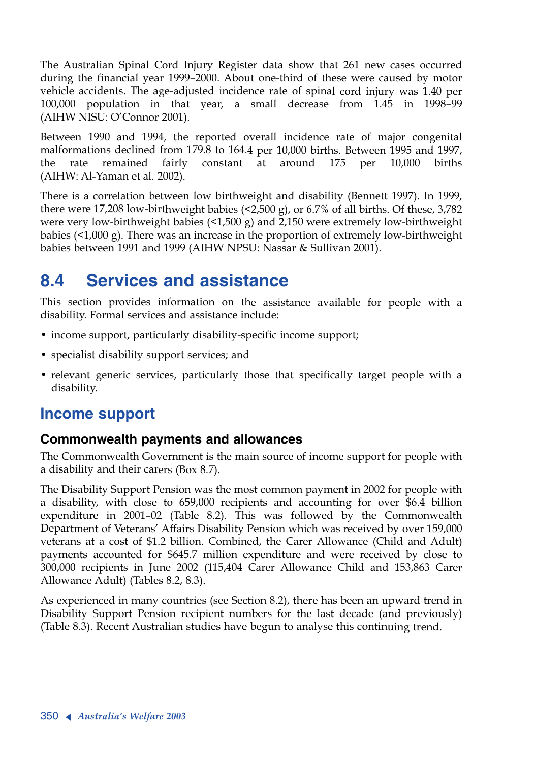The Australian Spinal Cord Injury Register data show that 261 new cases occurred during the financial year 1999–2000. About one-third of these were caused by motor vehicle accidents. The age-adjusted incidence rate of spinal cord injury was 1.40 per 100,000 population in that year, a small decrease from 1.45 in 1998–99 (AIHW NISU: O'Connor 2001).

Between 1990 and 1994, the reported overall incidence rate of major congenital malformations declined from 179.8 to 164.4 per 10,000 births. Between 1995 and 1997, the rate remained fairly constant at around 175 per 10,000 births (AIHW: Al-Yaman et al. 2002).

There is a correlation between low birthweight and disability (Bennett 1997). In 1999, there were 17,208 low-birthweight babies (<2,500 g), or 6.7% of all births. Of these, 3,782 were very low-birthweight babies  $\left( \langle 1, 500 \rangle g \right)$  and 2,150 were extremely low-birthweight babies (<1,000 g). There was an increase in the proportion of extremely low-birthweight babies between 1991 and 1999 (AIHW NPSU: Nassar & Sullivan 2001).

# **8.4 Services and assistance**

This section provides information on the assistance available for people with a disability. Formal services and assistance include:

- income support, particularly disability-specific income support;
- specialist disability support services; and
- relevant generic services, particularly those that specifically target people with a disability.

# **Income support**

#### **Commonwealth payments and allowances**

The Commonwealth Government is the main source of income support for people with a disability and their carers (Box 8.7).

The Disability Support Pension was the most common payment in 2002 for people with a disability, with close to 659,000 recipients and accounting for over \$6.4 billion expenditure in 2001–02 (Table 8.2). This was followed by the Commonwealth Department of Veterans' Affairs Disability Pension which was received by over 159,000 veterans at a cost of \$1.2 billion. Combined, the Carer Allowance (Child and Adult) payments accounted for \$645.7 million expenditure and were received by close to 300,000 recipients in June 2002 (115,404 Carer Allowance Child and 153,863 Carer Allowance Adult) (Tables 8.2, 8.3).

As experienced in many countries (see Section 8.2), there has been an upward trend in Disability Support Pension recipient numbers for the last decade (and previously) (Table 8.3). Recent Australian studies have begun to analyse this continuing trend.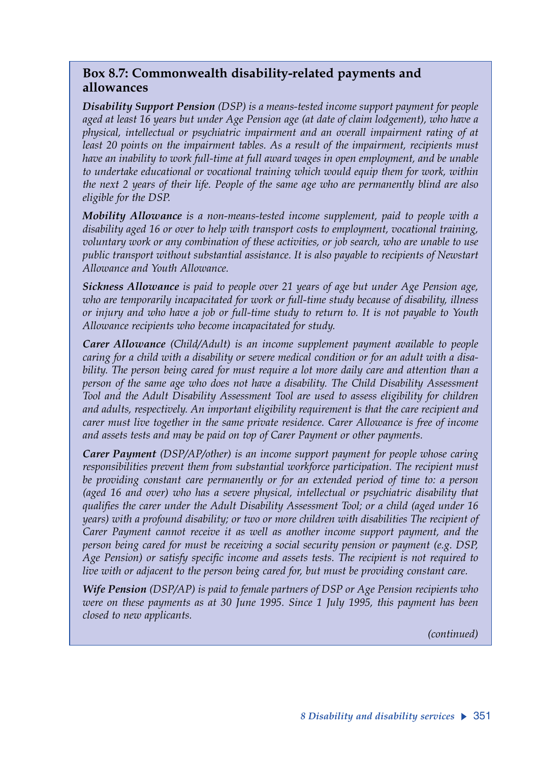#### **Box 8.7: Commonwealth disability-related payments and allowances**

*Disability Support Pension (DSP) is a means-tested income support payment for people aged at least 16 years but under Age Pension age (at date of claim lodgement), who have a physical, intellectual or psychiatric impairment and an overall impairment rating of at least 20 points on the impairment tables. As a result of the impairment, recipients must have an inability to work full-time at full award wages in open employment, and be unable to undertake educational or vocational training which would equip them for work, within the next 2 years of their life. People of the same age who are permanently blind are also eligible for the DSP.*

*Mobility Allowance is a non-means-tested income supplement, paid to people with a disability aged 16 or over to help with transport costs to employment, vocational training, voluntary work or any combination of these activities, or job search, who are unable to use public transport without substantial assistance. It is also payable to recipients of Newstart Allowance and Youth Allowance.*

*Sickness Allowance is paid to people over 21 years of age but under Age Pension age, who are temporarily incapacitated for work or full-time study because of disability, illness or injury and who have a job or full-time study to return to. It is not payable to Youth Allowance recipients who become incapacitated for study.*

*Carer Allowance (Child/Adult) is an income supplement payment available to people caring for a child with a disability or severe medical condition or for an adult with a disability. The person being cared for must require a lot more daily care and attention than a person of the same age who does not have a disability. The Child Disability Assessment Tool and the Adult Disability Assessment Tool are used to assess eligibility for children and adults, respectively. An important eligibility requirement is that the care recipient and carer must live together in the same private residence. Carer Allowance is free of income and assets tests and may be paid on top of Carer Payment or other payments.*

*Carer Payment (DSP/AP/other) is an income support payment for people whose caring responsibilities prevent them from substantial workforce participation. The recipient must be providing constant care permanently or for an extended period of time to: a person (aged 16 and over) who has a severe physical, intellectual or psychiatric disability that qualifies the carer under the Adult Disability Assessment Tool; or a child (aged under 16 years) with a profound disability; or two or more children with disabilities The recipient of Carer Payment cannot receive it as well as another income support payment, and the person being cared for must be receiving a social security pension or payment (e.g. DSP, Age Pension) or satisfy specific income and assets tests. The recipient is not required to live with or adjacent to the person being cared for, but must be providing constant care.*

*Wife Pension (DSP/AP) is paid to female partners of DSP or Age Pension recipients who were on these payments as at 30 June 1995. Since 1 July 1995, this payment has been closed to new applicants.*

*(continued)*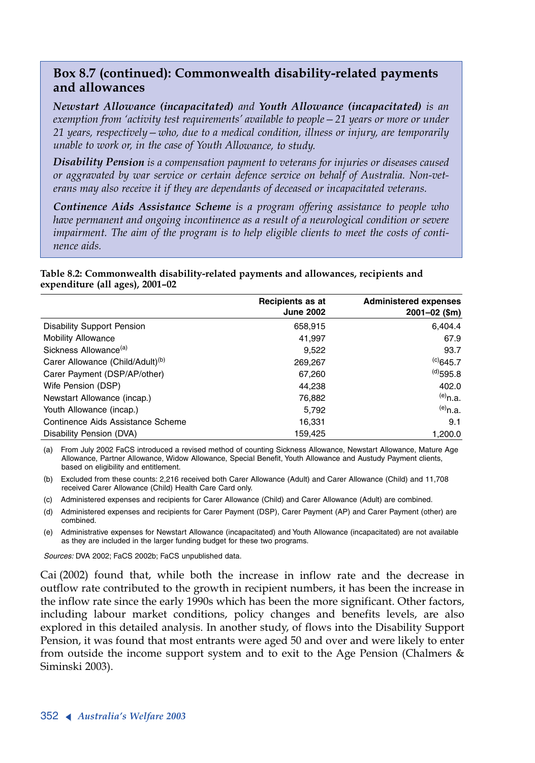#### **Box 8.7 (continued): Commonwealth disability-related payments and allowances**

*Newstart Allowance (incapacitated) and Youth Allowance (incapacitated) is an exemption from 'activity test requirements' available to people—21 years or more or under 21 years, respectively—who, due to a medical condition, illness or injury, are temporarily unable to work or, in the case of Youth Allowance, to study.*

*Disability Pension is a compensation payment to veterans for injuries or diseases caused or aggravated by war service or certain defence service on behalf of Australia. Non-veterans may also receive it if they are dependants of deceased or incapacitated veterans.*

*Continence Aids Assistance Scheme is a program offering assistance to people who have permanent and ongoing incontinence as a result of a neurological condition or severe impairment. The aim of the program is to help eligible clients to meet the costs of continence aids.*

**Table 8.2: Commonwealth disability-related payments and allowances, recipients and expenditure (all ages), 2001–02** 

|                                              | Recipients as at<br><b>June 2002</b> | <b>Administered expenses</b><br>$2001 - 02$ (\$m) |
|----------------------------------------------|--------------------------------------|---------------------------------------------------|
| <b>Disability Support Pension</b>            | 658,915                              | 6,404.4                                           |
| <b>Mobility Allowance</b>                    | 41.997                               | 67.9                                              |
| Sickness Allowance <sup>(a)</sup>            | 9.522                                | 93.7                                              |
| Carer Allowance (Child/Adult) <sup>(b)</sup> | 269,267                              | $^{(c)}645.7$                                     |
| Carer Payment (DSP/AP/other)                 | 67,260                               | $^{(d)}$ 595.8                                    |
| Wife Pension (DSP)                           | 44.238                               | 402.0                                             |
| Newstart Allowance (incap.)                  | 76.882                               | $(e)$ n.a.                                        |
| Youth Allowance (incap.)                     | 5.792                                | $(e)$ <sub>n.a.</sub>                             |
| Continence Aids Assistance Scheme            | 16,331                               | 9.1                                               |
| Disability Pension (DVA)                     | 159.425                              | 1.200.0                                           |

(a) From July 2002 FaCS introduced a revised method of counting Sickness Allowance, Newstart Allowance, Mature Age Allowance, Partner Allowance, Widow Allowance, Special Benefit, Youth Allowance and Austudy Payment clients, based on eligibility and entitlement.

(b) Excluded from these counts: 2,216 received both Carer Allowance (Adult) and Carer Allowance (Child) and 11,708 received Carer Allowance (Child) Health Care Card only.

(c) Administered expenses and recipients for Carer Allowance (Child) and Carer Allowance (Adult) are combined.

(d) Administered expenses and recipients for Carer Payment (DSP), Carer Payment (AP) and Carer Payment (other) are combined.

(e) Administrative expenses for Newstart Allowance (incapacitated) and Youth Allowance (incapacitated) are not available as they are included in the larger funding budget for these two programs.

*Sources:* DVA 2002; FaCS 2002b; FaCS unpublished data.

Cai (2002) found that, while both the increase in inflow rate and the decrease in outflow rate contributed to the growth in recipient numbers, it has been the increase in the inflow rate since the early 1990s which has been the more significant. Other factors, including labour market conditions, policy changes and benefits levels, are also explored in this detailed analysis. In another study, of flows into the Disability Support Pension, it was found that most entrants were aged 50 and over and were likely to enter from outside the income support system and to exit to the Age Pension (Chalmers & Siminski 2003).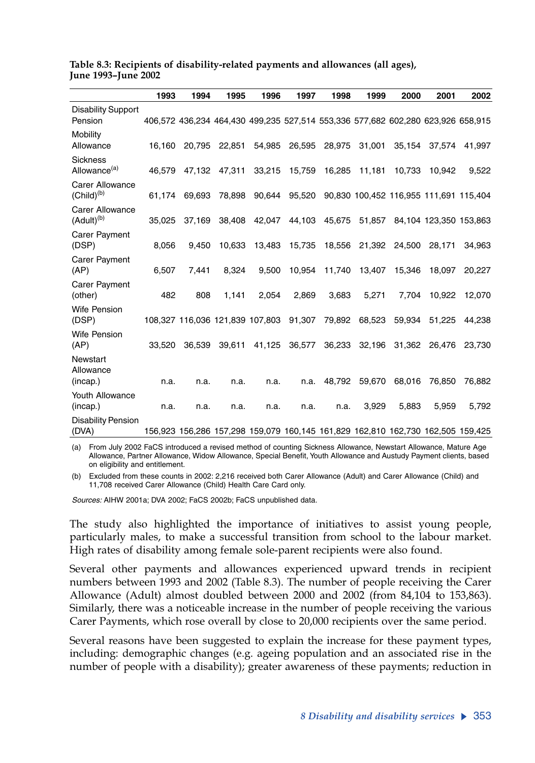|                                                  | 1993   | 1994                                                                            | 1995   | 1996   | 1997   | 1998   | 1999          | 2000   | 2001                                   | 2002                   |
|--------------------------------------------------|--------|---------------------------------------------------------------------------------|--------|--------|--------|--------|---------------|--------|----------------------------------------|------------------------|
| <b>Disability Support</b><br>Pension             |        | 406,572 436,234 464,430 499,235 527,514 553,336 577,682 602,280 623,926 658,915 |        |        |        |        |               |        |                                        |                        |
| Mobility<br>Allowance                            | 16,160 | 20,795                                                                          | 22,851 | 54,985 | 26,595 | 28,975 | 31,001        | 35,154 | 37,574                                 | 41,997                 |
| <b>Sickness</b><br>Allowance <sup>(a)</sup>      | 46.579 | 47.132                                                                          | 47,311 | 33,215 | 15,759 | 16,285 | 11,181        | 10,733 | 10.942                                 | 9,522                  |
| <b>Carer Allowance</b><br>(Child) <sup>(b)</sup> |        | 61.174 69.693                                                                   | 78,898 | 90,644 | 95,520 |        |               |        | 90,830 100,452 116,955 111,691 115,404 |                        |
| <b>Carer Allowance</b><br>(Adult) <sup>(b)</sup> | 35,025 | 37,169                                                                          | 38,408 | 42,047 | 44,103 |        | 45,675 51,857 |        |                                        | 84,104 123,350 153,863 |
| Carer Payment<br>(DSP)                           | 8,056  | 9.450                                                                           | 10.633 | 13,483 | 15,735 |        | 18,556 21,392 | 24,500 | 28.171                                 | 34,963                 |
| Carer Payment<br>(AP)                            | 6,507  | 7.441                                                                           | 8.324  | 9.500  | 10,954 | 11,740 | 13,407        | 15.346 | 18.097                                 | 20.227                 |
| Carer Payment<br>(other)                         | 482    | 808                                                                             | 1,141  | 2,054  | 2,869  | 3,683  | 5,271         | 7.704  | 10.922                                 | 12,070                 |
| <b>Wife Pension</b><br>(DSP)                     |        | 108,327 116,036 121,839 107,803 91,307 79,892 68,523                            |        |        |        |        |               | 59,934 | 51,225                                 | 44,238                 |
| <b>Wife Pension</b><br>(AP)                      | 33,520 | 36,539                                                                          | 39,611 | 41,125 | 36,577 | 36,233 | 32,196        | 31,362 | 26,476                                 | 23,730                 |
| Newstart<br>Allowance                            |        |                                                                                 |        |        |        |        |               |        |                                        |                        |
| (incap.)                                         | n.a.   | n.a.                                                                            | n.a.   | n.a.   | n.a.   | 48,792 | 59,670        | 68,016 | 76,850                                 | 76,882                 |
| Youth Allowance<br>(incap.)                      | n.a.   | n.a.                                                                            | n.a.   | n.a.   | n.a.   | n.a.   | 3,929         | 5,883  | 5,959                                  | 5,792                  |
| <b>Disability Pension</b><br>(DVA)               |        | 156,923 156,286 157,298 159,079 160,145 161,829 162,810 162,730 162,505 159,425 |        |        |        |        |               |        |                                        |                        |

**Table 8.3: Recipients of disability-related payments and allowances (all ages), June 1993–June 2002**

(a) From July 2002 FaCS introduced a revised method of counting Sickness Allowance, Newstart Allowance, Mature Age Allowance, Partner Allowance, Widow Allowance, Special Benefit, Youth Allowance and Austudy Payment clients, based on eligibility and entitlement.

(b) Excluded from these counts in 2002: 2,216 received both Carer Allowance (Adult) and Carer Allowance (Child) and 11,708 received Carer Allowance (Child) Health Care Card only.

*Sources:* AIHW 2001a; DVA 2002; FaCS 2002b; FaCS unpublished data.

The study also highlighted the importance of initiatives to assist young people, particularly males, to make a successful transition from school to the labour market. High rates of disability among female sole-parent recipients were also found.

Several other payments and allowances experienced upward trends in recipient numbers between 1993 and 2002 (Table 8.3). The number of people receiving the Carer Allowance (Adult) almost doubled between 2000 and 2002 (from 84,104 to 153,863). Similarly, there was a noticeable increase in the number of people receiving the various Carer Payments, which rose overall by close to 20,000 recipients over the same period.

Several reasons have been suggested to explain the increase for these payment types, including: demographic changes (e.g. ageing population and an associated rise in the number of people with a disability); greater awareness of these payments; reduction in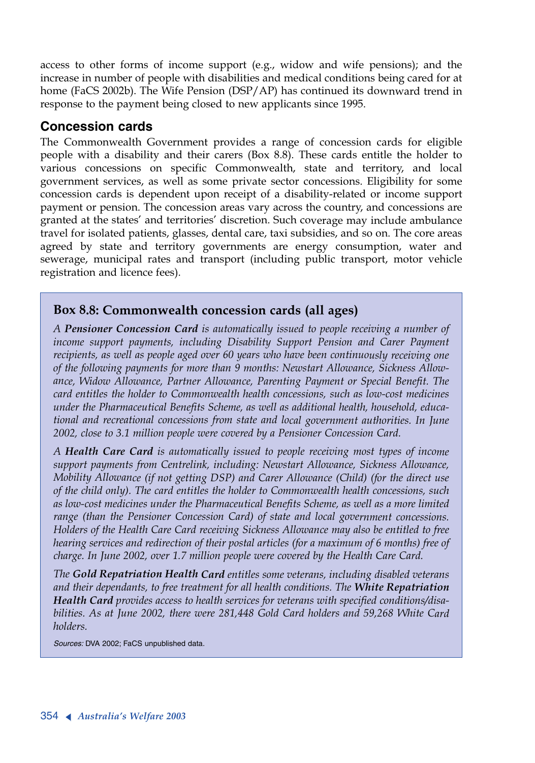access to other forms of income support (e.g., widow and wife pensions); and the increase in number of people with disabilities and medical conditions being cared for at home (FaCS 2002b). The Wife Pension (DSP/AP) has continued its downward trend in response to the payment being closed to new applicants since 1995.

#### **Concession cards**

The Commonwealth Government provides a range of concession cards for eligible people with a disability and their carers (Box 8.8). These cards entitle the holder to various concessions on specific Commonwealth, state and territory, and local government services, as well as some private sector concessions. Eligibility for some concession cards is dependent upon receipt of a disability-related or income support payment or pension. The concession areas vary across the country, and concessions are granted at the states' and territories' discretion. Such coverage may include ambulance travel for isolated patients, glasses, dental care, taxi subsidies, and so on. The core areas agreed by state and territory governments are energy consumption, water and sewerage, municipal rates and transport (including public transport, motor vehicle registration and licence fees).

#### **Box 8.8: Commonwealth concession cards (all ages)**

*<sup>A</sup>Pensioner Concession Card is automatically issued to people receiving a number of income support payments, including Disability Support Pension and Carer Payment recipients, as well as people aged over 60 years who have been continuously receiving one of the following payments for more than 9 months: Newstart Allowance, Sickness Allowance, Widow Allowance, Partner Allowance, Parenting Payment or Special Benefit. The card entitles the holder to Commonwealth health concessions, such as low-cost medicines under the Pharmaceutical Benefits Scheme, as well as additional health, household, educational and recreational concessions from state and local government authorities. In June 2002, close to 3.1 million people were covered by a Pensioner Concession Card.*

*<sup>A</sup>Health Care Card is automatically issued to people receiving most types of income support payments from Centrelink, including: Newstart Allowance, Sickness Allowance, Mobility Allowance (if not getting DSP) and Carer Allowance (Child) (for the direct use of the child only). The card entitles the holder to Commonwealth health concessions, such as low-cost medicines under the Pharmaceutical Benefits Scheme, as well as a more limited range (than the Pensioner Concession Card) of state and local government concessions. Holders of the Health Care Card receiving Sickness Allowance may also be entitled to free hearing services and redirection of their postal articles (for a maximum of 6 months) free of charge. In June 2002, over 1.7 million people were covered by the Health Care Card.*

*The Gold Repatriation Health Card entitles some veterans, including disabled veterans and their dependants, to free treatment for all health conditions. The White Repatriation Health Card provides access to health services for veterans with specified conditions/disabilities. As at June 2002, there were 281,448 Gold Card holders and 59,268 White Card holders.*

*Sources:* DVA 2002; FaCS unpublished data.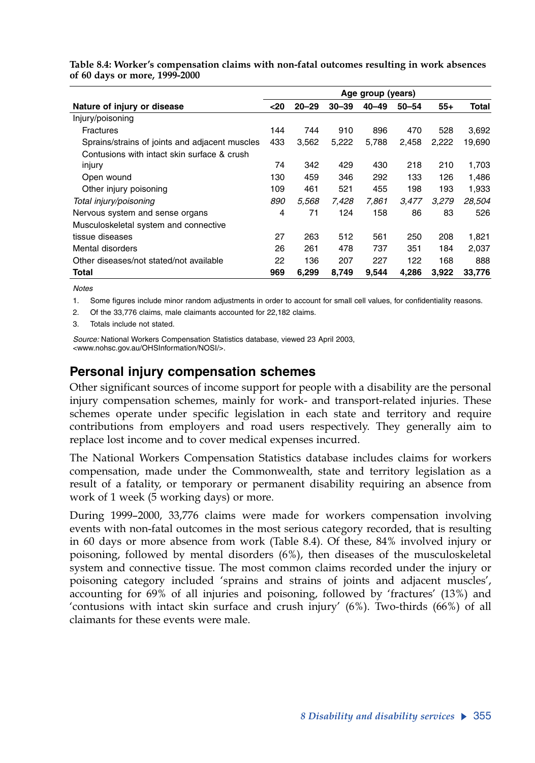|                                                | Age group (years) |           |           |           |           |       |        |  |
|------------------------------------------------|-------------------|-----------|-----------|-----------|-----------|-------|--------|--|
| Nature of injury or disease                    | $20$              | $20 - 29$ | $30 - 39$ | $40 - 49$ | $50 - 54$ | $55+$ | Total  |  |
| Injury/poisoning                               |                   |           |           |           |           |       |        |  |
| <b>Fractures</b>                               | 144               | 744       | 910       | 896       | 470       | 528   | 3,692  |  |
| Sprains/strains of joints and adjacent muscles | 433               | 3,562     | 5,222     | 5,788     | 2,458     | 2,222 | 19,690 |  |
| Contusions with intact skin surface & crush    |                   |           |           |           |           |       |        |  |
| injury                                         | 74                | 342       | 429       | 430       | 218       | 210   | 1,703  |  |
| Open wound                                     | 130               | 459       | 346       | 292       | 133       | 126   | 1,486  |  |
| Other injury poisoning                         | 109               | 461       | 521       | 455       | 198       | 193   | 1,933  |  |
| Total injury/poisoning                         | 890               | 5,568     | 7,428     | 7,861     | 3,477     | 3,279 | 28,504 |  |
| Nervous system and sense organs                | 4                 | 71        | 124       | 158       | 86        | 83    | 526    |  |
| Musculoskeletal system and connective          |                   |           |           |           |           |       |        |  |
| tissue diseases                                | 27                | 263       | 512       | 561       | 250       | 208   | 1,821  |  |
| Mental disorders                               | 26                | 261       | 478       | 737       | 351       | 184   | 2,037  |  |
| Other diseases/not stated/not available        | 22                | 136       | 207       | 227       | 122       | 168   | 888    |  |
| Total                                          | 969               | 6,299     | 8,749     | 9.544     | 4.286     | 3,922 | 33,776 |  |

**Table 8.4: Worker's compensation claims with non-fatal outcomes resulting in work absences of 60 days or more, 1999-2000**

*Notes*

1. Some figures include minor random adjustments in order to account for small cell values, for confidentiality reasons.

2. Of the 33,776 claims, male claimants accounted for 22,182 claims.

3. Totals include not stated.

*Source:* National Workers Compensation Statistics database, viewed 23 April 2003, <www.nohsc.gov.au/OHSInformation/NOSI/>.

#### **Personal injury compensation schemes**

Other significant sources of income support for people with a disability are the personal injury compensation schemes, mainly for work- and transport-related injuries. These schemes operate under specific legislation in each state and territory and require contributions from employers and road users respectively. They generally aim to replace lost income and to cover medical expenses incurred.

The National Workers Compensation Statistics database includes claims for workers compensation, made under the Commonwealth, state and territory legislation as a result of a fatality, or temporary or permanent disability requiring an absence from work of 1 week (5 working days) or more.

During 1999–2000, 33,776 claims were made for workers compensation involving events with non-fatal outcomes in the most serious category recorded, that is resulting in 60 days or more absence from work (Table 8.4). Of these, 84% involved injury or poisoning, followed by mental disorders (6%), then diseases of the musculoskeletal system and connective tissue. The most common claims recorded under the injury or poisoning category included 'sprains and strains of joints and adjacent muscles', accounting for 69% of all injuries and poisoning, followed by 'fractures' (13%) and 'contusions with intact skin surface and crush injury' (6%). Two-thirds (66%) of all claimants for these events were male.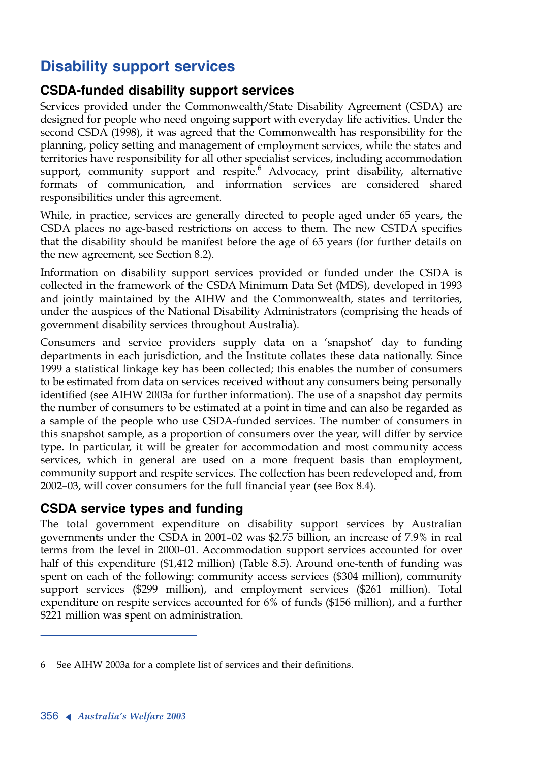# **Disability support services**

#### **CSDA-funded disability support services**

Services provided under the Commonwealth/State Disability Agreement (CSDA) are designed for people who need ongoing support with everyday life activities. Under the second CSDA (1998), it was agreed that the Commonwealth has responsibility for the planning, policy setting and management of employment services, while the states and territories have responsibility for all other specialist services, including accommodation support, community support and respite.<sup>6</sup> Advocacy, print disability, alternative formats of communication, and information services are considered shared responsibilities under this agreement.

While, in practice, services are generally directed to people aged under 65 years, the CSDA places no age-based restrictions on access to them. The new CSTDA specifies that the disability should be manifest before the age of 65 years (for further details on the new agreement, see Section 8.2).

Information on disability support services provided or funded under the CSDA is collected in the framework of the CSDA Minimum Data Set (MDS), developed in 1993 and jointly maintained by the AIHW and the Commonwealth, states and territories, under the auspices of the National Disability Administrators (comprising the heads of government disability services throughout Australia).

Consumers and service providers supply data on a 'snapshot' day to funding departments in each jurisdiction, and the Institute collates these data nationally. Since 1999 a statistical linkage key has been collected; this enables the number of consumers to be estimated from data on services received without any consumers being personally identified (see AIHW 2003a for further information). The use of a snapshot day permits the number of consumers to be estimated at a point in time and can also be regarded as a sample of the people who use CSDA-funded services. The number of consumers in this snapshot sample, as a proportion of consumers over the year, will differ by service type. In particular, it will be greater for accommodation and most community access services, which in general are used on a more frequent basis than employment, community support and respite services. The collection has been redeveloped and, from 2002–03, will cover consumers for the full financial year (see Box 8.4).

### **CSDA service types and funding**

The total government expenditure on disability support services by Australian governments under the CSDA in 2001–02 was \$2.75 billion, an increase of 7.9% in real terms from the level in 2000–01. Accommodation support services accounted for over half of this expenditure (\$1,412 million) (Table 8.5). Around one-tenth of funding was spent on each of the following: community access services (\$304 million), community support services (\$299 million), and employment services (\$261 million). Total expenditure on respite services accounted for 6% of funds (\$156 million), and a further \$221 million was spent on administration.

<sup>6</sup> See AIHW 2003a for a complete list of services and their definitions.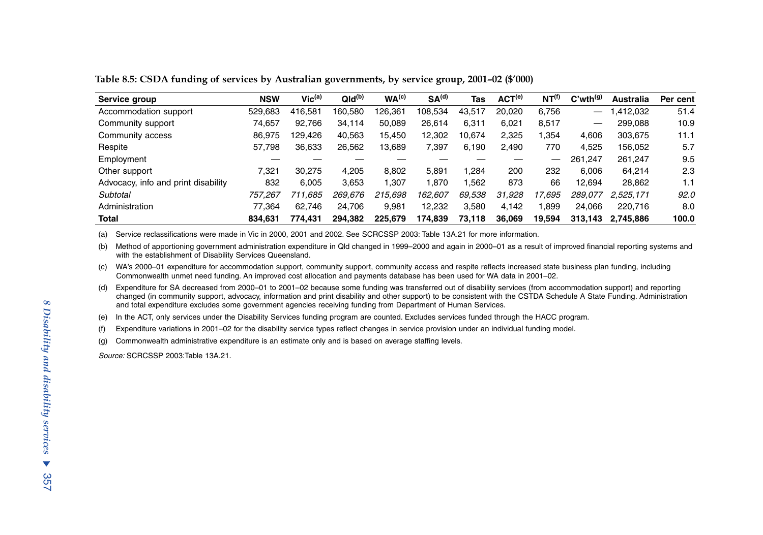| Service group                       | <b>NSW</b> | Vic <sup>(a)</sup> | QId <sup>(b)</sup> | WA <sup>(c)</sup> | SA <sup>(d)</sup> | Tas    | ACT <sup>(e)</sup> | NT <sup>(f)</sup> | $C'$ wth $(9)$  | Australia | Per cent |
|-------------------------------------|------------|--------------------|--------------------|-------------------|-------------------|--------|--------------------|-------------------|-----------------|-----------|----------|
| Accommodation support               | 529,683    | 416.581            | 160.580            | 126,361           | 108.534           | 43,517 | 20.020             | 6.756             | $\qquad \qquad$ | .412,032  | 51.4     |
| Community support                   | 74.657     | 92.766             | 34.114             | 50.089            | 26.614            | 6.311  | 6.021              | 8.517             |                 | 299.088   | 10.9     |
| Community access                    | 86,975     | 129.426            | 40,563             | 15.450            | 12.302            | 10,674 | 2.325              | .354              | 4.606           | 303,675   | 11.1     |
| Respite                             | 57,798     | 36,633             | 26,562             | 13,689            | 7,397             | 6,190  | 2.490              | 770               | 4.525           | 156,052   | 5.7      |
| Employment                          |            |                    |                    |                   |                   |        |                    | —                 | 261.247         | 261.247   | 9.5      |
| Other support                       | 7.321      | 30.275             | 4.205              | 8.802             | 5.891             | .284   | 200                | 232               | 6.006           | 64,214    | 2.3      |
| Advocacy, info and print disability | 832        | 6.005              | 3.653              | 1,307             | 1.870             | .562   | 873                | 66                | 12.694          | 28,862    | 1.1      |
| Subtotal                            | 757.267    | 711.685            | 269.676            | 215.698           | 162.607           | 69.538 | 31.928             | 17.695            | 289.077         | 2.525.171 | 92.0     |
| Administration                      | 77.364     | 62.746             | 24.706             | 9,981             | 12,232            | 3,580  | 4,142              | .899              | 24.066          | 220.716   | 8.0      |
| Total                               | 834.631    | 774.431            | 294.382            | 225.679           | 174,839           | 73,118 | 36,069             | 19,594            | 313.143         | 2.745.886 | 100.0    |

**Table 8.5: CSDA funding of services by Australian governments, by service group, 2001–02 (\$'000)**

(a) Service reclassifications were made in Vic in 2000, 2001 and 2002. See SCRCSSP 2003: Table 13A.21 for more information.

(b) Method of apportioning government administration expenditure in Qld changed in 1999–2000 and again in 2000–01 as a result of improved financial reporting systems and with the establishment of Disability Services Queensland.

(c) WA's 2000–01 expenditure for accommodation support, community support, community access and respite reflects increased state business plan funding, including Commonwealth unmet need funding. An improved cost allocation and payments database has been used for WA data in 2001–02.

(d) Expenditure for SA decreased from 2000–01 to 2001–02 because some funding was transferred out of disability services (from accommodation support) and reporting changed (in community support, advocacy, information and print disability and other support) to be consistent with the CSTDA Schedule A State Funding. Administration and total expenditure excludes some government agencies receiving funding from Department of Human Services.

(e) In the ACT, only services under the Disability Services funding program are counted. Excludes services funded through the HACC program.

(f) Expenditure variations in 2001–02 for the disability service types reflect changes in service provision under an individual funding model.

(g) Commonwealth administrative expenditure is an estimate only and is based on average staffing levels.

*Source:* SCRCSSP 2003:Table 13A.21.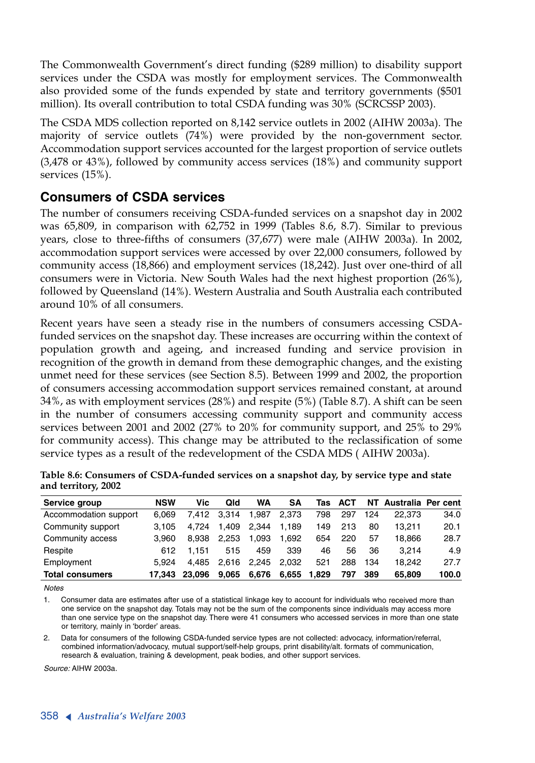The Commonwealth Government's direct funding (\$289 million) to disability support services under the CSDA was mostly for employment services. The Commonwealth also provided some of the funds expended by state and territory governments (\$501 million). Its overall contribution to total CSDA funding was 30% (SCRCSSP 2003).

The CSDA MDS collection reported on 8,142 service outlets in 2002 (AIHW 2003a). The majority of service outlets (74%) were provided by the non-government sector. Accommodation support services accounted for the largest proportion of service outlets (3,478 or 43%), followed by community access services (18%) and community support services (15%).

#### **Consumers of CSDA services**

The number of consumers receiving CSDA-funded services on a snapshot day in 2002 was 65,809, in comparison with 62,752 in 1999 (Tables 8.6, 8.7). Similar to previous years, close to three-fifths of consumers (37,677) were male (AIHW 2003a). In 2002, accommodation support services were accessed by over 22,000 consumers, followed by community access (18,866) and employment services (18,242). Just over one-third of all consumers were in Victoria. New South Wales had the next highest proportion (26%), followed by Queensland (14%). Western Australia and South Australia each contributed around 10% of all consumers.

Recent years have seen a steady rise in the numbers of consumers accessing CSDAfunded services on the snapshot day. These increases are occurring within the context of population growth and ageing, and increased funding and service provision in recognition of the growth in demand from these demographic changes, and the existing unmet need for these services (see Section 8.5). Between 1999 and 2002, the proportion of consumers accessing accommodation support services remained constant, at around 34%, as with employment services (28%) and respite (5%) (Table 8.7). A shift can be seen in the number of consumers accessing community support and community access services between 2001 and 2002 (27% to 20% for community support, and 25% to 29% for community access). This change may be attributed to the reclassification of some service types as a result of the redevelopment of the CSDA MDS ( AIHW 2003a).

| Service group          | <b>NSW</b> | Vic    | Qld   | WA    | SΑ    | Tas   | <b>ACT</b> |     | NT Australia Per cent |       |
|------------------------|------------|--------|-------|-------|-------|-------|------------|-----|-----------------------|-------|
| Accommodation support  | 6.069      | 7.412  | 3.314 | 1.987 | 2.373 | 798   | 297        | 124 | 22.373                | 34.0  |
| Community support      | 3.105      | 4.724  | 1.409 | 2.344 | 1.189 | 149   | 213        | 80  | 13.211                | 20.1  |
| Community access       | 3.960      | 8.938  | 2.253 | 1.093 | 1.692 | 654   | 220        | 57  | 18.866                | 28.7  |
| Respite                | 612        | 1.151  | 515   | 459   | 339   | 46    | 56         | 36  | 3.214                 | 4.9   |
| Employment             | 5.924      | 4.485  | 2.616 | 2.245 | 2.032 | 521   | 288        | 134 | 18.242                | 27.7  |
| <b>Total consumers</b> | 17.343     | 23.096 | 9.065 | 6.676 | 6.655 | 1.829 | 797        | 389 | 65.809                | 100.0 |

| Table 8.6: Consumers of CSDA-funded services on a snapshot day, by service type and state |  |  |
|-------------------------------------------------------------------------------------------|--|--|
| and territory, 2002                                                                       |  |  |

*Notes*

1. Consumer data are estimates after use of a statistical linkage key to account for individuals who received more than one service on the snapshot day. Totals may not be the sum of the components since individuals may access more than one service type on the snapshot day. There were 41 consumers who accessed services in more than one state or territory, mainly in 'border' areas.

2. Data for consumers of the following CSDA-funded service types are not collected: advocacy, information/referral, combined information/advocacy, mutual support/self-help groups, print disability/alt. formats of communication, research & evaluation, training & development, peak bodies, and other support services.

*Source:* AIHW 2003a.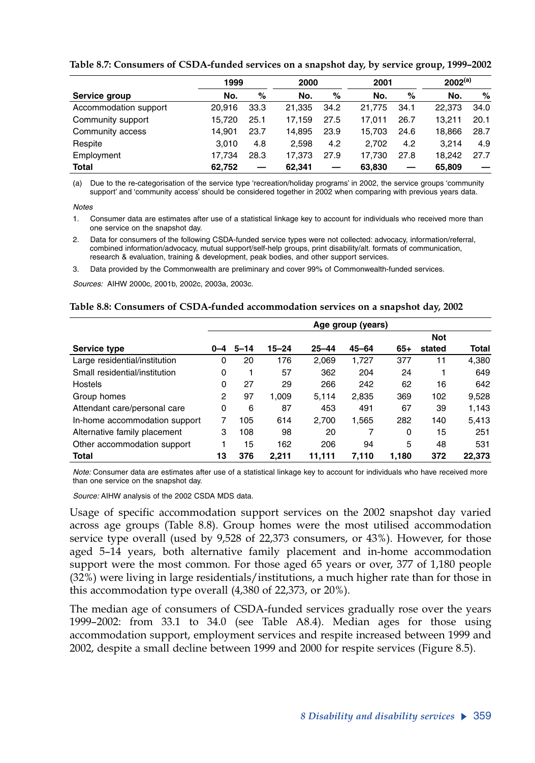|                       | 1999   |      | 2000   |      | 2001   |      | $2002^{(a)}$ |      |
|-----------------------|--------|------|--------|------|--------|------|--------------|------|
| Service group         | No.    | %    | No.    | %    | No.    | %    | No.          | %    |
| Accommodation support | 20.916 | 33.3 | 21.335 | 34.2 | 21.775 | 34.1 | 22.373       | 34.0 |
| Community support     | 15.720 | 25.1 | 17.159 | 27.5 | 17.011 | 26.7 | 13.211       | 20.1 |
| Community access      | 14.901 | 23.7 | 14.895 | 23.9 | 15.703 | 24.6 | 18.866       | 28.7 |
| Respite               | 3.010  | 4.8  | 2.598  | 4.2  | 2.702  | 4.2  | 3.214        | 4.9  |
| Employment            | 17.734 | 28.3 | 17.373 | 27.9 | 17.730 | 27.8 | 18.242       | 27.7 |
| <b>Total</b>          | 62.752 |      | 62.341 |      | 63.830 |      | 65.809       |      |

**Table 8.7: Consumers of CSDA-funded services on a snapshot day, by service group, 1999–2002**

(a) Due to the re-categorisation of the service type 'recreation/holiday programs' in 2002, the service groups 'community support' and 'community access' should be considered together in 2002 when comparing with previous years data.

*Notes*

1. Consumer data are estimates after use of a statistical linkage key to account for individuals who received more than one service on the snapshot day.

2. Data for consumers of the following CSDA-funded service types were not collected: advocacy, information/referral, combined information/advocacy, mutual support/self-help groups, print disability/alt. formats of communication, research & evaluation, training & development, peak bodies, and other support services.

3. Data provided by the Commonwealth are preliminary and cover 99% of Commonwealth-funded services.

*Sources:* AIHW 2000c, 2001b, 2002c, 2003a, 2003c.

#### **Table 8.8: Consumers of CSDA-funded accommodation services on a snapshot day, 2002**

|                               |         |          |           |           | Age group (years) |       |            |              |
|-------------------------------|---------|----------|-----------|-----------|-------------------|-------|------------|--------------|
|                               |         |          |           |           |                   |       | <b>Not</b> |              |
| Service type                  | $0 - 4$ | $5 - 14$ | $15 - 24$ | $25 - 44$ | $45 - 64$         | $65+$ | stated     | <b>Total</b> |
| Large residential/institution | 0       | 20       | 176       | 2.069     | 1,727             | 377   | 11         | 4,380        |
| Small residential/institution | 0       |          | 57        | 362       | 204               | 24    | 1          | 649          |
| <b>Hostels</b>                | 0       | 27       | 29        | 266       | 242               | 62    | 16         | 642          |
| Group homes                   | 2       | 97       | 1.009     | 5.114     | 2.835             | 369   | 102        | 9,528        |
| Attendant care/personal care  | 0       | 6        | 87        | 453       | 491               | 67    | 39         | 1,143        |
| In-home accommodation support | 7       | 105      | 614       | 2,700     | 1,565             | 282   | 140        | 5,413        |
| Alternative family placement  | 3       | 108      | 98        | 20        | 7                 | 0     | 15         | 251          |
| Other accommodation support   |         | 15       | 162       | 206       | 94                | 5     | 48         | 531          |
| <b>Total</b>                  | 13      | 376      | 2.211     | 11.111    | 7.110             | 1.180 | 372        | 22.373       |

*Note:* Consumer data are estimates after use of a statistical linkage key to account for individuals who have received more than one service on the snapshot day.

*Source:* AIHW analysis of the 2002 CSDA MDS data.

Usage of specific accommodation support services on the 2002 snapshot day varied across age groups (Table 8.8). Group homes were the most utilised accommodation service type overall (used by 9,528 of 22,373 consumers, or 43%). However, for those aged 5–14 years, both alternative family placement and in-home accommodation support were the most common. For those aged 65 years or over, 377 of 1,180 people (32%) were living in large residentials/institutions, a much higher rate than for those in this accommodation type overall (4,380 of 22,373, or 20%).

The median age of consumers of CSDA-funded services gradually rose over the years 1999–2002: from 33.1 to 34.0 (see Table A8.4). Median ages for those using accommodation support, employment services and respite increased between 1999 and 2002, despite a small decline between 1999 and 2000 for respite services (Figure 8.5).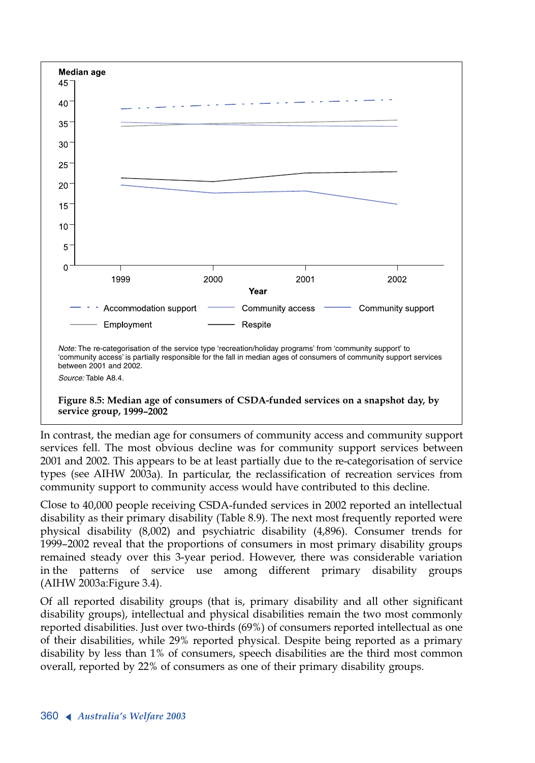

In contrast, the median age for consumers of community access and community support services fell. The most obvious decline was for community support services between 2001 and 2002. This appears to be at least partially due to the re-categorisation of service types (see AIHW 2003a). In particular, the reclassification of recreation services from community support to community access would have contributed to this decline.

Close to 40,000 people receiving CSDA-funded services in 2002 reported an intellectual disability as their primary disability (Table 8.9). The next most frequently reported were physical disability (8,002) and psychiatric disability (4,896). Consumer trends for 1999–2002 reveal that the proportions of consumers in most primary disability groups remained steady over this 3-year period. However, there was considerable variation in the patterns of service use among different primary disability groups (AIHW 2003a:Figure 3.4).

Of all reported disability groups (that is, primary disability and all other significant disability groups), intellectual and physical disabilities remain the two most commonly reported disabilities. Just over two-thirds (69%) of consumers reported intellectual as one of their disabilities, while 29% reported physical. Despite being reported as a primary disability by less than 1% of consumers, speech disabilities are the third most common overall, reported by 22% of consumers as one of their primary disability groups.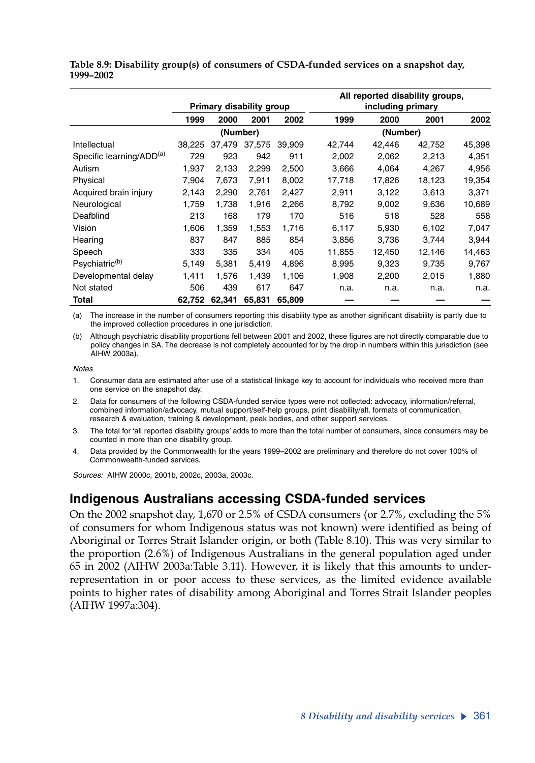|                                      |        | Primary disability group |        |        | All reported disability groups,<br>including primary |        |        |        |  |
|--------------------------------------|--------|--------------------------|--------|--------|------------------------------------------------------|--------|--------|--------|--|
|                                      | 1999   | 2000                     | 2001   | 2002   | 1999                                                 | 2000   | 2001   | 2002   |  |
|                                      |        | (Number)                 |        |        | (Number)                                             |        |        |        |  |
| Intellectual                         | 38,225 | 37,479                   | 37,575 | 39,909 | 42,744                                               | 42,446 | 42,752 | 45,398 |  |
| Specific learning/ADD <sup>(a)</sup> | 729    | 923                      | 942    | 911    | 2,002                                                | 2,062  | 2,213  | 4,351  |  |
| Autism                               | 1,937  | 2,133                    | 2,299  | 2,500  | 3,666                                                | 4,064  | 4,267  | 4,956  |  |
| Physical                             | 7,904  | 7,673                    | 7,911  | 8,002  | 17,718                                               | 17,826 | 18,123 | 19,354 |  |
| Acquired brain injury                | 2,143  | 2,290                    | 2,761  | 2,427  | 2,911                                                | 3,122  | 3,613  | 3,371  |  |
| Neurological                         | 1,759  | 1,738                    | 1,916  | 2,266  | 8,792                                                | 9,002  | 9,636  | 10,689 |  |
| Deafblind                            | 213    | 168                      | 179    | 170    | 516                                                  | 518    | 528    | 558    |  |
| Vision                               | 1,606  | 1,359                    | 1,553  | 1,716  | 6,117                                                | 5,930  | 6,102  | 7,047  |  |
| Hearing                              | 837    | 847                      | 885    | 854    | 3,856                                                | 3,736  | 3,744  | 3,944  |  |
| Speech                               | 333    | 335                      | 334    | 405    | 11,855                                               | 12.450 | 12,146 | 14,463 |  |
| Psychiatric <sup>(b)</sup>           | 5,149  | 5,381                    | 5,419  | 4,896  | 8,995                                                | 9,323  | 9,735  | 9,767  |  |
| Developmental delay                  | 1,411  | 1.576                    | 1,439  | 1,106  | 1,908                                                | 2,200  | 2,015  | 1,880  |  |
| Not stated                           | 506    | 439                      | 617    | 647    | n.a.                                                 | n.a.   | n.a.   | n.a.   |  |
| Total                                | 62,752 | 62,341                   | 65,831 | 65.809 |                                                      |        |        |        |  |

**Table 8.9: Disability group(s) of consumers of CSDA-funded services on a snapshot day, 1999–2002**

(a) The increase in the number of consumers reporting this disability type as another significant disability is partly due to the improved collection procedures in one jurisdiction.

(b) Although psychiatric disability proportions fell between 2001 and 2002, these figures are not directly comparable due to policy changes in SA. The decrease is not completely accounted for by the drop in numbers within this jurisdiction (see AIHW 2003a).

*Notes*

1. Consumer data are estimated after use of a statistical linkage key to account for individuals who received more than one service on the snapshot day.

- 2. Data for consumers of the following CSDA-funded service types were not collected: advocacy, information/referral, combined information/advocacy, mutual support/self-help groups, print disability/alt. formats of communication, research & evaluation, training & development, peak bodies, and other support services.
- 3. The total for 'all reported disability groups' adds to more than the total number of consumers, since consumers may be counted in more than one disability group.
- 4. Data provided by the Commonwealth for the years 1999–2002 are preliminary and therefore do not cover 100% of Commonwealth-funded services.

*Sources:* AIHW 2000c, 2001b, 2002c, 2003a, 2003c.

### **Indigenous Australians accessing CSDA-funded services**

On the 2002 snapshot day, 1,670 or 2.5% of CSDA consumers (or 2.7%, excluding the 5% of consumers for whom Indigenous status was not known) were identified as being of Aboriginal or Torres Strait Islander origin, or both (Table 8.10). This was very similar to the proportion (2.6%) of Indigenous Australians in the general population aged under 65 in 2002 (AIHW 2003a:Table 3.11). However, it is likely that this amounts to underrepresentation in or poor access to these services, as the limited evidence available points to higher rates of disability among Aboriginal and Torres Strait Islander peoples (AIHW 1997a:304).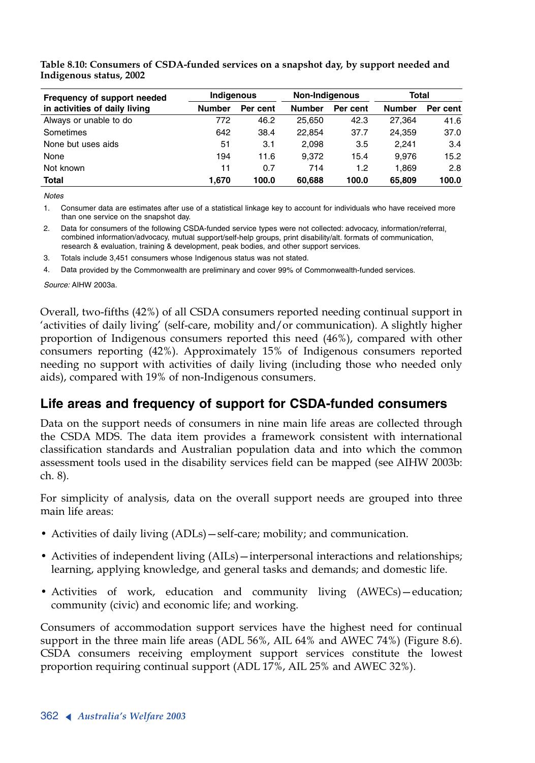| Frequency of support needed   | Indigenous    |          | <b>Non-Indigenous</b> |          | Total         |          |  |
|-------------------------------|---------------|----------|-----------------------|----------|---------------|----------|--|
| in activities of daily living | <b>Number</b> | Per cent | <b>Number</b>         | Per cent | <b>Number</b> | Per cent |  |
| Always or unable to do        | 772           | 46.2     | 25.650                | 42.3     | 27.364        | 41.6     |  |
| Sometimes                     | 642           | 38.4     | 22.854                | 37.7     | 24.359        | 37.0     |  |
| None but uses aids            | 51            | 3.1      | 2,098                 | 3.5      | 2.241         | 3.4      |  |
| None                          | 194           | 11.6     | 9.372                 | 15.4     | 9.976         | 15.2     |  |
| Not known                     | 11            | 0.7      | 714                   | 1.2      | 1.869         | 2.8      |  |
| <b>Total</b>                  | 1.670         | 100.0    | 60,688                | 100.0    | 65,809        | 100.0    |  |

**Table 8.10: Consumers of CSDA-funded services on a snapshot day, by support needed and Indigenous status, 2002**

*Notes*

1. Consumer data are estimates after use of a statistical linkage key to account for individuals who have received more than one service on the snapshot day.

2. Data for consumers of the following CSDA-funded service types were not collected: advocacy, information/referral, combined information/advocacy, mutual support/self-help groups, print disability/alt. formats of communication, research & evaluation, training & development, peak bodies, and other support services.

3. Totals include 3,451 consumers whose Indigenous status was not stated.

4. Data provided by the Commonwealth are preliminary and cover 99% of Commonwealth-funded services.

*Source:* AIHW 2003a.

Overall, two-fifths (42%) of all CSDA consumers reported needing continual support in 'activities of daily living' (self-care, mobility and/or communication). A slightly higher proportion of Indigenous consumers reported this need (46%), compared with other consumers reporting (42%). Approximately 15% of Indigenous consumers reported needing no support with activities of daily living (including those who needed only aids), compared with 19% of non-Indigenous consumers.

#### **Life areas and frequency of support for CSDA-funded consumers**

Data on the support needs of consumers in nine main life areas are collected through the CSDA MDS. The data item provides a framework consistent with international classification standards and Australian population data and into which the common assessment tools used in the disability services field can be mapped (see AIHW 2003b: ch. 8).

For simplicity of analysis, data on the overall support needs are grouped into three main life areas:

- Activities of daily living (ADLs)—self-care; mobility; and communication.
- Activities of independent living (AILs)—interpersonal interactions and relationships; learning, applying knowledge, and general tasks and demands; and domestic life.
- Activities of work, education and community living (AWECs)—education; community (civic) and economic life; and working.

Consumers of accommodation support services have the highest need for continual support in the three main life areas (ADL 56%, AIL 64% and AWEC 74%) (Figure 8.6). CSDA consumers receiving employment support services constitute the lowest proportion requiring continual support (ADL 17%, AIL 25% and AWEC 32%).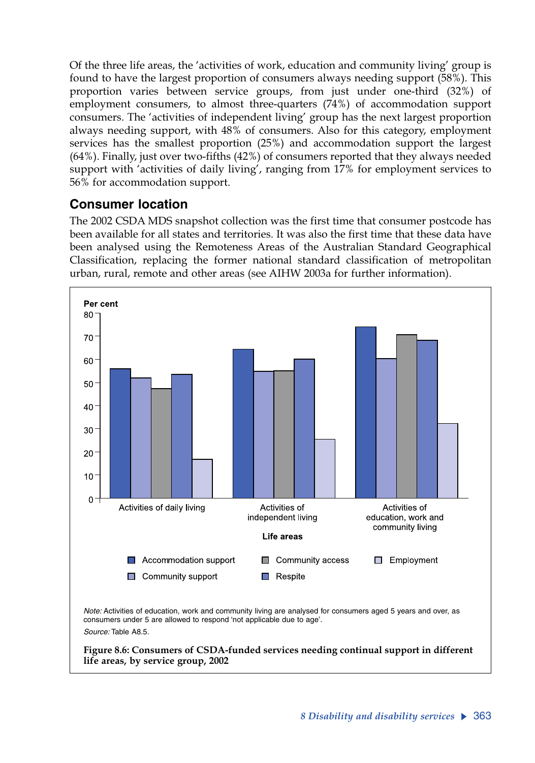Of the three life areas, the 'activities of work, education and community living' group is found to have the largest proportion of consumers always needing support (58%). This proportion varies between service groups, from just under one-third (32%) of employment consumers, to almost three-quarters (74%) of accommodation support consumers. The 'activities of independent living' group has the next largest proportion always needing support, with 48% of consumers. Also for this category, employment services has the smallest proportion (25%) and accommodation support the largest (64%). Finally, just over two-fifths (42%) of consumers reported that they always needed support with 'activities of daily living', ranging from 17% for employment services to 56% for accommodation support.

### **Consumer location**

The 2002 CSDA MDS snapshot collection was the first time that consumer postcode has been available for all states and territories. It was also the first time that these data have been analysed using the Remoteness Areas of the Australian Standard Geographical Classification, replacing the former national standard classification of metropolitan urban, rural, remote and other areas (see AIHW 2003a for further information).

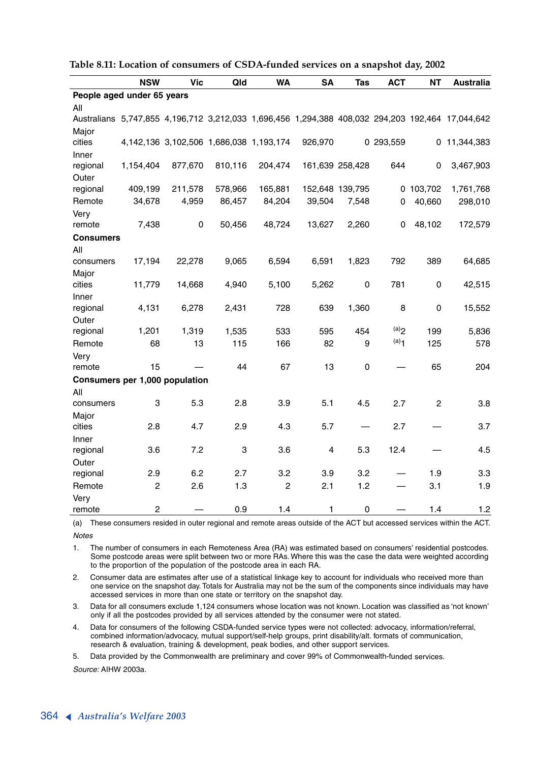|                                | <b>NSW</b>     | <b>Vic</b>                              | Qld     | <b>WA</b>      | <b>SA</b> | Tas             | <b>ACT</b>         | <b>NT</b>      | <b>Australia</b>                                                                                 |
|--------------------------------|----------------|-----------------------------------------|---------|----------------|-----------|-----------------|--------------------|----------------|--------------------------------------------------------------------------------------------------|
| People aged under 65 years     |                |                                         |         |                |           |                 |                    |                |                                                                                                  |
| All                            |                |                                         |         |                |           |                 |                    |                |                                                                                                  |
|                                |                |                                         |         |                |           |                 |                    |                | Australians 5,747,855 4,196,712 3,212,033 1,696,456 1,294,388 408,032 294,203 192,464 17,044,642 |
| Major                          |                |                                         |         |                |           |                 |                    |                |                                                                                                  |
| cities                         |                | 4,142,136 3,102,506 1,686,038 1,193,174 |         |                | 926,970   |                 | 0 293,559          |                | 0 11,344,383                                                                                     |
| Inner                          |                |                                         |         |                |           |                 |                    |                |                                                                                                  |
| regional                       | 1,154,404      | 877,670                                 | 810,116 | 204,474        |           | 161,639 258,428 | 644                | 0              | 3,467,903                                                                                        |
| Outer                          |                |                                         |         |                |           |                 |                    |                |                                                                                                  |
| regional                       | 409,199        | 211,578                                 | 578,966 | 165,881        |           | 152,648 139,795 |                    | 0 103,702      | 1,761,768                                                                                        |
| Remote                         | 34,678         | 4,959                                   | 86,457  | 84,204         | 39,504    | 7,548           | 0                  | 40,660         | 298,010                                                                                          |
| Very                           |                |                                         |         |                |           |                 |                    |                |                                                                                                  |
| remote                         | 7,438          | 0                                       | 50,456  | 48,724         | 13,627    | 2,260           | 0                  | 48,102         | 172,579                                                                                          |
| Consumers                      |                |                                         |         |                |           |                 |                    |                |                                                                                                  |
| All                            |                |                                         |         |                |           |                 |                    |                |                                                                                                  |
| consumers                      | 17,194         | 22,278                                  | 9,065   | 6,594          | 6,591     | 1,823           | 792                | 389            | 64,685                                                                                           |
| Major                          |                |                                         |         |                |           |                 |                    |                |                                                                                                  |
| cities                         | 11,779         | 14,668                                  | 4,940   | 5,100          | 5,262     | 0               | 781                | 0              | 42,515                                                                                           |
| Inner                          |                |                                         |         |                |           |                 |                    |                |                                                                                                  |
| regional                       | 4,131          | 6,278                                   | 2,431   | 728            | 639       | 1,360           | 8                  | 0              | 15,552                                                                                           |
| Outer                          |                |                                         |         |                |           |                 |                    |                |                                                                                                  |
| regional                       | 1,201          | 1,319                                   | 1,535   | 533            | 595       | 454             | (a)                | 199            | 5,836                                                                                            |
| Remote                         | 68             | 13                                      | 115     | 166            | 82        | 9               | $(a)$ <sup>1</sup> | 125            | 578                                                                                              |
| Very                           |                |                                         |         |                |           |                 |                    |                |                                                                                                  |
| remote                         | 15             |                                         | 44      | 67             | 13        | 0               |                    | 65             | 204                                                                                              |
| Consumers per 1,000 population |                |                                         |         |                |           |                 |                    |                |                                                                                                  |
| All                            |                |                                         |         |                |           |                 |                    |                |                                                                                                  |
| consumers                      | 3              | 5.3                                     | 2.8     | 3.9            | 5.1       | 4.5             | 2.7                | $\overline{c}$ | 3.8                                                                                              |
| Major                          |                |                                         |         |                |           |                 |                    |                |                                                                                                  |
| cities                         | 2.8            | 4.7                                     | 2.9     | 4.3            | 5.7       |                 | 2.7                |                | 3.7                                                                                              |
| Inner                          |                |                                         |         |                |           |                 |                    |                |                                                                                                  |
| regional                       | 3.6            | 7.2                                     | 3       | 3.6            | 4         | 5.3             | 12.4               |                | 4.5                                                                                              |
| Outer                          |                |                                         |         |                |           |                 |                    |                |                                                                                                  |
| regional                       | 2.9            | 6.2                                     | 2.7     | 3.2            | 3.9       | 3.2             |                    | 1.9            | 3.3                                                                                              |
| Remote                         | $\overline{2}$ | 2.6                                     | 1.3     | $\overline{c}$ | 2.1       | 1.2             |                    | 3.1            | 1.9                                                                                              |
| Very                           |                |                                         |         |                |           |                 |                    |                |                                                                                                  |
| remote                         | $\overline{c}$ |                                         | 0.9     | 1.4            | 1         | $\mathbf 0$     |                    | 1.4            | 1.2                                                                                              |

**Table 8.11: Location of consumers of CSDA-funded services on a snapshot day, 2002**

(a) These consumers resided in outer regional and remote areas outside of the ACT but accessed services within the ACT. *Notes*

1. The number of consumers in each Remoteness Area (RA) was estimated based on consumers' residential postcodes. Some postcode areas were split between two or more RAs. Where this was the case the data were weighted according to the proportion of the population of the postcode area in each RA.

2. Consumer data are estimates after use of a statistical linkage key to account for individuals who received more than one service on the snapshot day. Totals for Australia may not be the sum of the components since individuals may have accessed services in more than one state or territory on the snapshot day.

3. Data for all consumers exclude 1,124 consumers whose location was not known. Location was classified as 'not known' only if all the postcodes provided by all services attended by the consumer were not stated.

4. Data for consumers of the following CSDA-funded service types were not collected: advocacy, information/referral, combined information/advocacy, mutual support/self-help groups, print disability/alt. formats of communication, research & evaluation, training & development, peak bodies, and other support services.

5. Data provided by the Commonwealth are preliminary and cover 99% of Commonwealth-funded services.

*Source:* AIHW 2003a.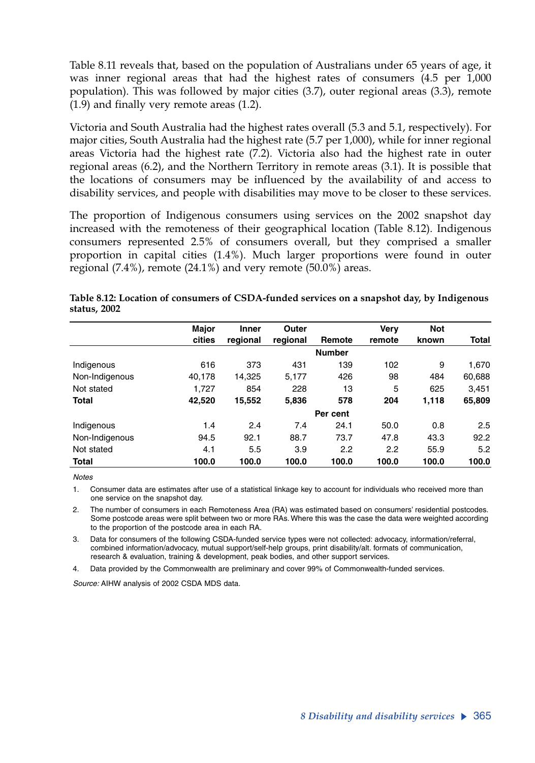Table 8.11 reveals that, based on the population of Australians under 65 years of age, it was inner regional areas that had the highest rates of consumers (4.5 per 1,000 population). This was followed by major cities (3.7), outer regional areas (3.3), remote (1.9) and finally very remote areas (1.2).

Victoria and South Australia had the highest rates overall (5.3 and 5.1, respectively). For major cities, South Australia had the highest rate (5.7 per 1,000), while for inner regional areas Victoria had the highest rate (7.2)*.* Victoria also had the highest rate in outer regional areas (6.2), and the Northern Territory in remote areas (3.1). It is possible that the locations of consumers may be influenced by the availability of and access to disability services, and people with disabilities may move to be closer to these services.

The proportion of Indigenous consumers using services on the 2002 snapshot day increased with the remoteness of their geographical location (Table 8.12). Indigenous consumers represented 2.5% of consumers overall, but they comprised a smaller proportion in capital cities (1.4%). Much larger proportions were found in outer regional  $(7.4\%)$ , remote  $(24.1\%)$  and very remote  $(50.0\%)$  areas.

|                | Major  | <b>Inner</b> | Outer    |               | Verv   | <b>Not</b> |        |
|----------------|--------|--------------|----------|---------------|--------|------------|--------|
|                | cities | regional     | regional | Remote        | remote | known      | Total  |
|                |        |              |          | <b>Number</b> |        |            |        |
| Indigenous     | 616    | 373          | 431      | 139           | 102    | 9          | 1,670  |
| Non-Indigenous | 40.178 | 14,325       | 5.177    | 426           | 98     | 484        | 60,688 |
| Not stated     | 1,727  | 854          | 228      | 13            | 5      | 625        | 3,451  |
| <b>Total</b>   | 42,520 | 15,552       | 5,836    | 578           | 204    | 1,118      | 65,809 |
|                |        |              |          | Per cent      |        |            |        |
| Indigenous     | 1.4    | 2.4          | 7.4      | 24.1          | 50.0   | 0.8        | 2.5    |
| Non-Indigenous | 94.5   | 92.1         | 88.7     | 73.7          | 47.8   | 43.3       | 92.2   |
| Not stated     | 4.1    | 5.5          | 3.9      | 2.2           | 2.2    | 55.9       | 5.2    |
| <b>Total</b>   | 100.0  | 100.0        | 100.0    | 100.0         | 100.0  | 100.0      | 100.0  |

**Table 8.12: Location of consumers of CSDA-funded services on a snapshot day, by Indigenous status, 2002**

*Notes*

1. Consumer data are estimates after use of a statistical linkage key to account for individuals who received more than one service on the snapshot day.

2. The number of consumers in each Remoteness Area (RA) was estimated based on consumers' residential postcodes. Some postcode areas were split between two or more RAs. Where this was the case the data were weighted according to the proportion of the postcode area in each RA.

3. Data for consumers of the following CSDA-funded service types were not collected: advocacy, information/referral, combined information/advocacy, mutual support/self-help groups, print disability/alt. formats of communication, research & evaluation, training & development, peak bodies, and other support services.

4. Data provided by the Commonwealth are preliminary and cover 99% of Commonwealth-funded services.

*Source:* AIHW analysis of 2002 CSDA MDS data.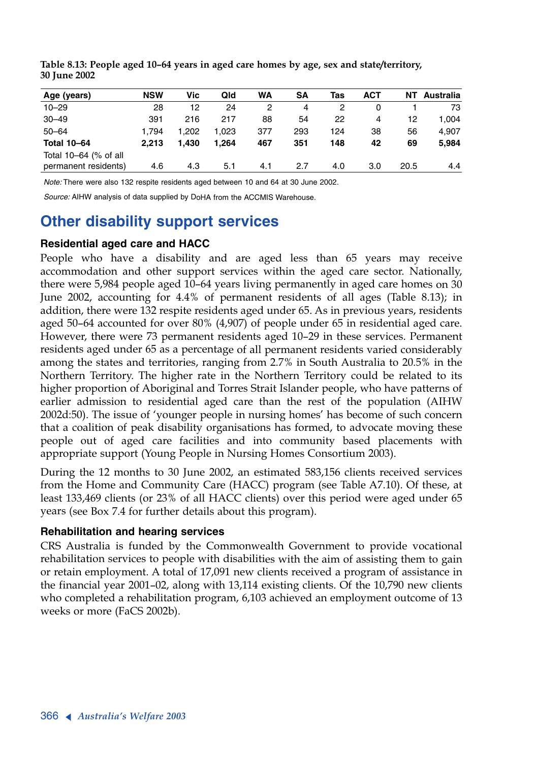| Age (years)           | <b>NSW</b> | Vic   | Qld   | WA  | SΑ  | Tas | АСТ | NΤ   | Australia |
|-----------------------|------------|-------|-------|-----|-----|-----|-----|------|-----------|
| $10 - 29$             | 28         | 12    | 24    | 2   | 4   | 2   | 0   |      | 73        |
| $30 - 49$             | 391        | 216   | 217   | 88  | 54  | 22  | 4   | 12   | 1.004     |
| $50 - 64$             | 1.794      | 1.202 | 1.023 | 377 | 293 | 124 | 38  | 56   | 4,907     |
| <b>Total 10-64</b>    | 2.213      | 1.430 | 1.264 | 467 | 351 | 148 | 42  | 69   | 5.984     |
| Total 10-64 (% of all |            |       |       |     |     |     |     |      |           |
| permanent residents)  | 4.6        | 4.3   | 5.1   | 4.1 | 2.7 | 4.0 | 3.0 | 20.5 | 4.4       |
|                       |            |       |       |     |     |     |     |      |           |

**Table 8.13: People aged 10–64 years in aged care homes by age, sex and state/territory, 30 June 2002**

*Note:* There were also 132 respite residents aged between 10 and 64 at 30 June 2002.

*Source:* AIHW analysis of data supplied by DoHA from the ACCMIS Warehouse.

# **Other disability support services**

#### **Residential aged care and HACC**

People who have a disability and are aged less than 65 years may receive accommodation and other support services within the aged care sector. Nationally, there were 5,984 people aged 10–64 years living permanently in aged care homes on 30 June 2002, accounting for 4.4% of permanent residents of all ages (Table 8.13); in addition, there were 132 respite residents aged under 65. As in previous years, residents aged 50–64 accounted for over 80% (4,907) of people under 65 in residential aged care. However, there were 73 permanent residents aged 10–29 in these services. Permanent residents aged under 65 as a percentage of all permanent residents varied considerably among the states and territories, ranging from 2.7% in South Australia to 20.5% in the Northern Territory. The higher rate in the Northern Territory could be related to its higher proportion of Aboriginal and Torres Strait Islander people, who have patterns of earlier admission to residential aged care than the rest of the population (AIHW 2002d:50). The issue of 'younger people in nursing homes' has become of such concern that a coalition of peak disability organisations has formed, to advocate moving these people out of aged care facilities and into community based placements with appropriate support (Young People in Nursing Homes Consortium 2003).

During the 12 months to 30 June 2002, an estimated 583,156 clients received services from the Home and Community Care (HACC) program (see Table A7.10). Of these, at least 133,469 clients (or 23% of all HACC clients) over this period were aged under 65 years (see Box 7.4 for further details about this program).

#### **Rehabilitation and hearing services**

CRS Australia is funded by the Commonwealth Government to provide vocational rehabilitation services to people with disabilities with the aim of assisting them to gain or retain employment. A total of 17,091 new clients received a program of assistance in the financial year 2001–02, along with 13,114 existing clients. Of the 10,790 new clients who completed a rehabilitation program, 6,103 achieved an employment outcome of 13 weeks or more (FaCS 2002b).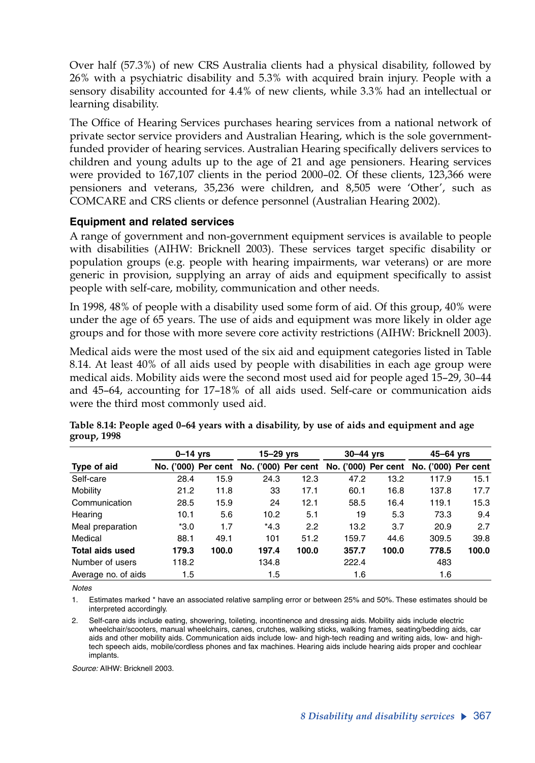Over half (57.3%) of new CRS Australia clients had a physical disability, followed by 26% with a psychiatric disability and 5.3% with acquired brain injury. People with a sensory disability accounted for 4.4% of new clients, while 3.3% had an intellectual or learning disability.

The Office of Hearing Services purchases hearing services from a national network of private sector service providers and Australian Hearing, which is the sole governmentfunded provider of hearing services. Australian Hearing specifically delivers services to children and young adults up to the age of 21 and age pensioners. Hearing services were provided to 167,107 clients in the period 2000–02. Of these clients, 123,366 were pensioners and veterans, 35,236 were children, and 8,505 were 'Other', such as COMCARE and CRS clients or defence personnel (Australian Hearing 2002).

#### **Equipment and related services**

A range of government and non-government equipment services is available to people with disabilities (AIHW: Bricknell 2003). These services target specific disability or population groups (e.g. people with hearing impairments, war veterans) or are more generic in provision, supplying an array of aids and equipment specifically to assist people with self-care, mobility, communication and other needs.

In 1998, 48% of people with a disability used some form of aid. Of this group, 40% were under the age of 65 years. The use of aids and equipment was more likely in older age groups and for those with more severe core activity restrictions (AIHW: Bricknell 2003).

Medical aids were the most used of the six aid and equipment categories listed in Table 8.14. At least 40% of all aids used by people with disabilities in each age group were medical aids. Mobility aids were the second most used aid for people aged 15–29, 30–44 and 45–64, accounting for 17–18% of all aids used. Self-care or communication aids were the third most commonly used aid.

|                        | $0-14$ yrs          |       | 15–29 yrs |       | $30-44$ yrs                             |       | 45–64 yrs           |       |
|------------------------|---------------------|-------|-----------|-------|-----------------------------------------|-------|---------------------|-------|
| Type of aid            | No. ('000) Per cent |       |           |       | No. ('000) Per cent No. ('000) Per cent |       | No. ('000) Per cent |       |
| Self-care              | 28.4                | 15.9  | 24.3      | 12.3  | 47.2                                    | 13.2  | 117.9               | 15.1  |
| Mobility               | 21.2                | 11.8  | 33        | 17.1  | 60.1                                    | 16.8  | 137.8               | 17.7  |
| Communication          | 28.5                | 15.9  | 24        | 12.1  | 58.5                                    | 16.4  | 119.1               | 15.3  |
| Hearing                | 10.1                | 5.6   | 10.2      | 5.1   | 19                                      | 5.3   | 73.3                | 9.4   |
| Meal preparation       | $*3.0$              | 1.7   | $*4.3$    | 2.2   | 13.2                                    | 3.7   | 20.9                | 2.7   |
| Medical                | 88.1                | 49.1  | 101       | 51.2  | 159.7                                   | 44.6  | 309.5               | 39.8  |
| <b>Total aids used</b> | 179.3               | 100.0 | 197.4     | 100.0 | 357.7                                   | 100.0 | 778.5               | 100.0 |
| Number of users        | 118.2               |       | 134.8     |       | 222.4                                   |       | 483                 |       |
| Average no. of aids    | 1.5                 |       | 1.5       |       | 1.6                                     |       | 1.6                 |       |

| Table 8.14: People aged 0-64 years with a disability, by use of aids and equipment and age |  |  |
|--------------------------------------------------------------------------------------------|--|--|
| group, 1998                                                                                |  |  |

*Notes*

1. Estimates marked \* have an associated relative sampling error or between 25% and 50%. These estimates should be interpreted accordingly.

2. Self-care aids include eating, showering, toileting, incontinence and dressing aids. Mobility aids include electric wheelchair/scooters, manual wheelchairs, canes, crutches, walking sticks, walking frames, seating/bedding aids, car aids and other mobility aids. Communication aids include low- and high-tech reading and writing aids, low- and hightech speech aids, mobile/cordless phones and fax machines. Hearing aids include hearing aids proper and cochlear implants.

*Source:* AIHW: Bricknell 2003.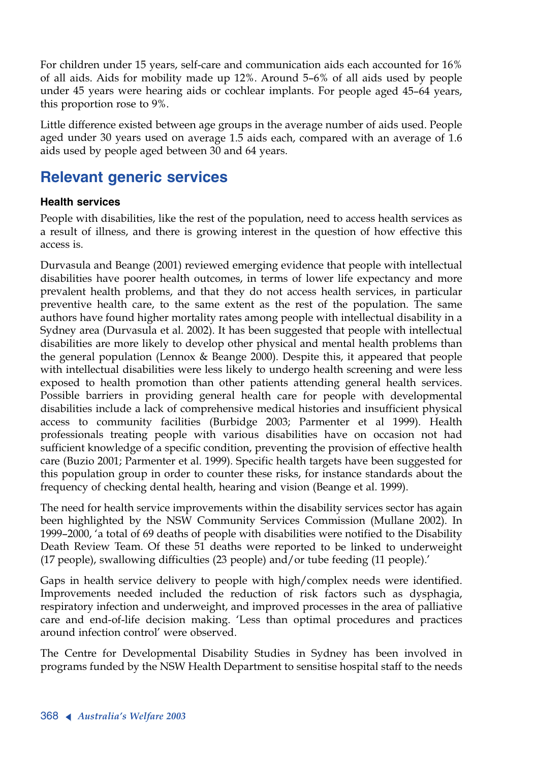For children under 15 years, self-care and communication aids each accounted for 16% of all aids. Aids for mobility made up 12%. Around 5–6% of all aids used by people under 45 years were hearing aids or cochlear implants. For people aged 45–64 years, this proportion rose to 9%.

Little difference existed between age groups in the average number of aids used. People aged under 30 years used on average 1.5 aids each, compared with an average of 1.6 aids used by people aged between 30 and 64 years.

# **Relevant generic services**

#### **Health services**

People with disabilities, like the rest of the population, need to access health services as a result of illness, and there is growing interest in the question of how effective this access is.

Durvasula and Beange (2001) reviewed emerging evidence that people with intellectual disabilities have poorer health outcomes, in terms of lower life expectancy and more prevalent health problems, and that they do not access health services, in particular preventive health care, to the same extent as the rest of the population. The same authors have found higher mortality rates among people with intellectual disability in a Sydney area (Durvasula et al. 2002). It has been suggested that people with intellectual disabilities are more likely to develop other physical and mental health problems than the general population (Lennox & Beange 2000). Despite this, it appeared that people with intellectual disabilities were less likely to undergo health screening and were less exposed to health promotion than other patients attending general health services. Possible barriers in providing general health care for people with developmental disabilities include a lack of comprehensive medical histories and insufficient physical access to community facilities (Burbidge 2003; Parmenter et al 1999). Health professionals treating people with various disabilities have on occasion not had sufficient knowledge of a specific condition, preventing the provision of effective health care (Buzio 2001; Parmenter et al. 1999). Specific health targets have been suggested for this population group in order to counter these risks, for instance standards about the frequency of checking dental health, hearing and vision (Beange et al. 1999).

The need for health service improvements within the disability services sector has again been highlighted by the NSW Community Services Commission (Mullane 2002). In 1999–2000, 'a total of 69 deaths of people with disabilities were notified to the Disability Death Review Team. Of these 51 deaths were reported to be linked to underweight (17 people), swallowing difficulties (23 people) and/or tube feeding (11 people).'

Gaps in health service delivery to people with high/complex needs were identified. Improvements needed included the reduction of risk factors such as dysphagia, respiratory infection and underweight, and improved processes in the area of palliative care and end-of-life decision making. 'Less than optimal procedures and practices around infection control' were observed.

The Centre for Developmental Disability Studies in Sydney has been involved in programs funded by the NSW Health Department to sensitise hospital staff to the needs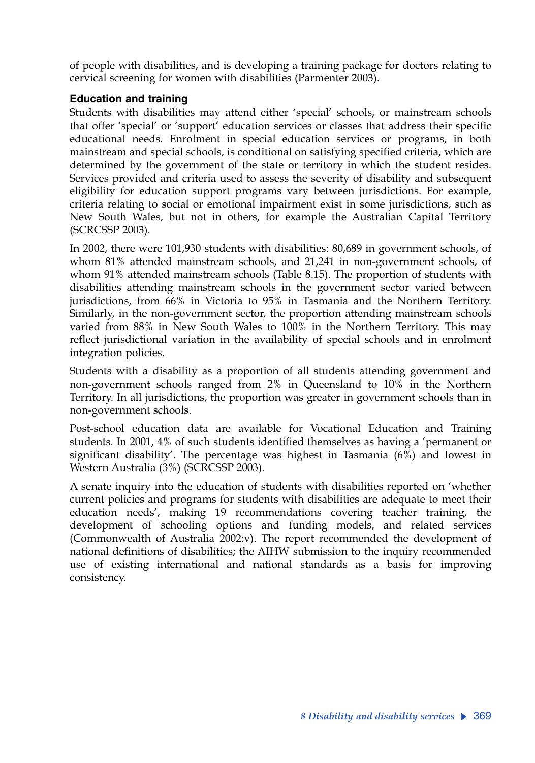of people with disabilities, and is developing a training package for doctors relating to cervical screening for women with disabilities (Parmenter 2003).

#### **Education and training**

Students with disabilities may attend either 'special' schools, or mainstream schools that offer 'special' or 'support' education services or classes that address their specific educational needs. Enrolment in special education services or programs, in both mainstream and special schools, is conditional on satisfying specified criteria, which are determined by the government of the state or territory in which the student resides. Services provided and criteria used to assess the severity of disability and subsequent eligibility for education support programs vary between jurisdictions. For example, criteria relating to social or emotional impairment exist in some jurisdictions, such as New South Wales, but not in others, for example the Australian Capital Territory (SCRCSSP 2003).

In 2002, there were 101,930 students with disabilities: 80,689 in government schools, of whom 81% attended mainstream schools, and 21,241 in non-government schools, of whom 91% attended mainstream schools (Table 8.15). The proportion of students with disabilities attending mainstream schools in the government sector varied between jurisdictions, from 66% in Victoria to 95% in Tasmania and the Northern Territory. Similarly, in the non-government sector, the proportion attending mainstream schools varied from 88% in New South Wales to 100% in the Northern Territory. This may reflect jurisdictional variation in the availability of special schools and in enrolment integration policies.

Students with a disability as a proportion of all students attending government and non-government schools ranged from 2% in Queensland to 10% in the Northern Territory. In all jurisdictions, the proportion was greater in government schools than in non-government schools.

Post-school education data are available for Vocational Education and Training students. In 2001, 4% of such students identified themselves as having a 'permanent or significant disability'. The percentage was highest in Tasmania (6%) and lowest in Western Australia (3%) (SCRCSSP 2003).

A senate inquiry into the education of students with disabilities reported on 'whether current policies and programs for students with disabilities are adequate to meet their education needs', making 19 recommendations covering teacher training, the development of schooling options and funding models, and related services (Commonwealth of Australia 2002:v). The report recommended the development of national definitions of disabilities; the AIHW submission to the inquiry recommended use of existing international and national standards as a basis for improving consistency.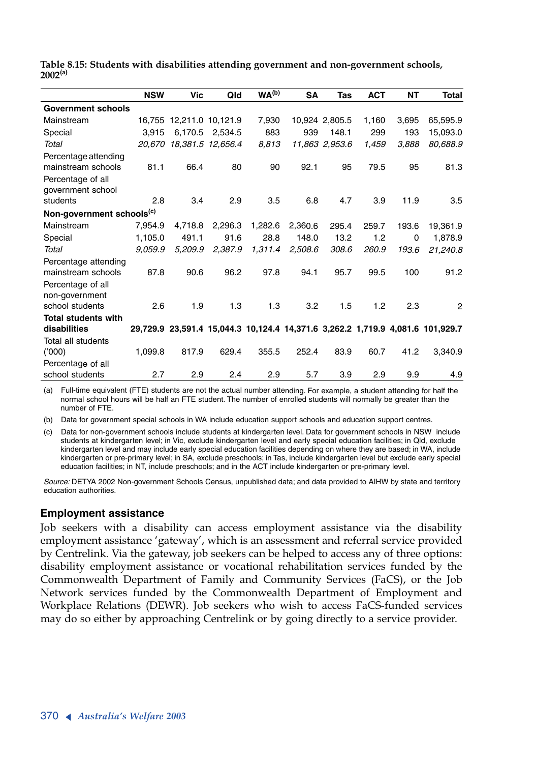|              |  |  |  | Table 8.15: Students with disabilities attending government and non-government schools, |  |
|--------------|--|--|--|-----------------------------------------------------------------------------------------|--|
| $2002^{(a)}$ |  |  |  |                                                                                         |  |

|                                       | <b>NSW</b> | Vic                      | Qld             | WA <sup>(b)</sup> | <b>SA</b> | Tas            | <b>ACT</b> | <b>NT</b> | <b>Total</b>                                                                   |
|---------------------------------------|------------|--------------------------|-----------------|-------------------|-----------|----------------|------------|-----------|--------------------------------------------------------------------------------|
| <b>Government schools</b>             |            |                          |                 |                   |           |                |            |           |                                                                                |
| Mainstream                            |            | 16,755 12,211.0 10,121.9 |                 | 7.930             |           | 10,924 2,805.5 | 1,160      | 3,695     | 65,595.9                                                                       |
| Special                               | 3.915      |                          | 6,170.5 2,534.5 | 883               | 939       | 148.1          | 299        | 193       | 15,093.0                                                                       |
| Total                                 |            | 20,670 18,381.5 12,656.4 |                 | 8.813             |           | 11,863 2,953.6 | 1,459      | 3.888     | 80,688.9                                                                       |
| Percentage attending                  |            |                          |                 |                   |           |                |            |           |                                                                                |
| mainstream schools                    | 81.1       | 66.4                     | 80              | 90                | 92.1      | 95             | 79.5       | 95        | 81.3                                                                           |
| Percentage of all                     |            |                          |                 |                   |           |                |            |           |                                                                                |
| government school                     |            |                          |                 |                   |           |                |            |           |                                                                                |
| students                              | 2.8        | 3.4                      | 2.9             | 3.5               | 6.8       | 4.7            | 3.9        | 11.9      | 3.5                                                                            |
| Non-government schools <sup>(c)</sup> |            |                          |                 |                   |           |                |            |           |                                                                                |
| Mainstream                            | 7,954.9    | 4.718.8                  | 2,296.3         | 1,282.6           | 2,360.6   | 295.4          | 259.7      | 193.6     | 19,361.9                                                                       |
| Special                               | 1.105.0    | 491.1                    | 91.6            | 28.8              | 148.0     | 13.2           | 1.2        | 0         | 1,878.9                                                                        |
| Total                                 | 9.059.9    | 5,209.9                  | 2,387.9         | 1,311.4           | 2,508.6   | 308.6          | 260.9      | 193.6     | 21,240.8                                                                       |
| Percentage attending                  |            |                          |                 |                   |           |                |            |           |                                                                                |
| mainstream schools                    | 87.8       | 90.6                     | 96.2            | 97.8              | 94.1      | 95.7           | 99.5       | 100       | 91.2                                                                           |
| Percentage of all                     |            |                          |                 |                   |           |                |            |           |                                                                                |
| non-government                        |            |                          |                 |                   |           |                |            |           |                                                                                |
| school students                       | 2.6        | 1.9                      | 1.3             | 1.3               | 3.2       | 1.5            | 1.2        | 2.3       | $\overline{2}$                                                                 |
| <b>Total students with</b>            |            |                          |                 |                   |           |                |            |           |                                                                                |
| disabilities                          |            |                          |                 |                   |           |                |            |           | 29,729.9 23,591.4 15,044.3 10,124.4 14,371.6 3,262.2 1,719.9 4,081.6 101,929.7 |
| Total all students                    |            |                          |                 |                   |           |                |            |           |                                                                                |
| (000)'                                | 1,099.8    | 817.9                    | 629.4           | 355.5             | 252.4     | 83.9           | 60.7       | 41.2      | 3,340.9                                                                        |
| Percentage of all                     |            |                          |                 |                   |           |                |            |           |                                                                                |
| school students                       | 2.7        | 2.9                      | 2.4             | 2.9               | 5.7       | 3.9            | 2.9        | 9.9       | 4.9                                                                            |

(a) Full-time equivalent (FTE) students are not the actual number attending. For example, a student attending for half the normal school hours will be half an FTE student. The number of enrolled students will normally be greater than the number of FTE.

(b) Data for government special schools in WA include education support schools and education support centres.

(c) Data for non-government schools include students at kindergarten level. Data for government schools in NSW include students at kindergarten level; in Vic, exclude kindergarten level and early special education facilities; in Qld, exclude kindergarten level and may include early special education facilities depending on where they are based; in WA, include kindergarten or pre-primary level; in SA, exclude preschools; in Tas, include kindergarten level but exclude early special education facilities; in NT, include preschools; and in the ACT include kindergarten or pre-primary level.

*Source:* DETYA 2002 Non-government Schools Census, unpublished data; and data provided to AIHW by state and territory education authorities.

#### **Employment assistance**

Job seekers with a disability can access employment assistance via the disability employment assistance 'gateway', which is an assessment and referral service provided by Centrelink. Via the gateway, job seekers can be helped to access any of three options: disability employment assistance or vocational rehabilitation services funded by the Commonwealth Department of Family and Community Services (FaCS), or the Job Network services funded by the Commonwealth Department of Employment and Workplace Relations (DEWR). Job seekers who wish to access FaCS-funded services may do so either by approaching Centrelink or by going directly to a service provider.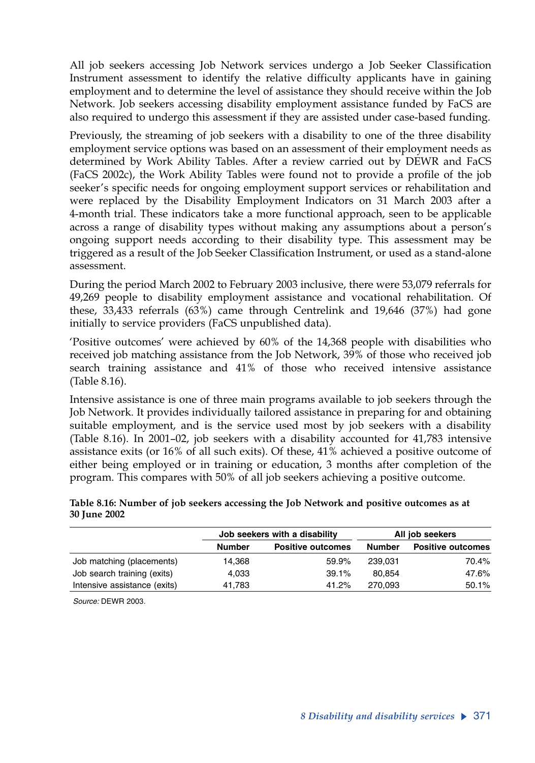All job seekers accessing Job Network services undergo a Job Seeker Classification Instrument assessment to identify the relative difficulty applicants have in gaining employment and to determine the level of assistance they should receive within the Job Network. Job seekers accessing disability employment assistance funded by FaCS are also required to undergo this assessment if they are assisted under case-based funding.

Previously, the streaming of job seekers with a disability to one of the three disability employment service options was based on an assessment of their employment needs as determined by Work Ability Tables. After a review carried out by DEWR and FaCS (FaCS 2002c), the Work Ability Tables were found not to provide a profile of the job seeker's specific needs for ongoing employment support services or rehabilitation and were replaced by the Disability Employment Indicators on 31 March 2003 after a 4-month trial. These indicators take a more functional approach, seen to be applicable across a range of disability types without making any assumptions about a person's ongoing support needs according to their disability type. This assessment may be triggered as a result of the Job Seeker Classification Instrument, or used as a stand-alone assessment.

During the period March 2002 to February 2003 inclusive, there were 53,079 referrals for 49,269 people to disability employment assistance and vocational rehabilitation. Of these, 33,433 referrals (63%) came through Centrelink and 19,646 (37%) had gone initially to service providers (FaCS unpublished data).

'Positive outcomes' were achieved by 60% of the 14,368 people with disabilities who received job matching assistance from the Job Network, 39% of those who received job search training assistance and 41% of those who received intensive assistance (Table 8.16).

Intensive assistance is one of three main programs available to job seekers through the Job Network. It provides individually tailored assistance in preparing for and obtaining suitable employment, and is the service used most by job seekers with a disability (Table 8.16). In 2001–02, job seekers with a disability accounted for 41,783 intensive assistance exits (or 16% of all such exits). Of these, 41% achieved a positive outcome of either being employed or in training or education, 3 months after completion of the program. This compares with 50% of all job seekers achieving a positive outcome.

#### **Table 8.16: Number of job seekers accessing the Job Network and positive outcomes as at 30 June 2002**

|                              |               | Job seekers with a disability | All job seekers |                          |  |
|------------------------------|---------------|-------------------------------|-----------------|--------------------------|--|
|                              | <b>Number</b> | <b>Positive outcomes</b>      | <b>Number</b>   | <b>Positive outcomes</b> |  |
| Job matching (placements)    | 14.368        | 59.9%                         | 239.031         | 70.4%                    |  |
| Job search training (exits)  | 4.033         | 39.1%                         | 80.854          | 47.6%                    |  |
| Intensive assistance (exits) | 41.783        | 41.2%                         | 270.093         | 50.1%                    |  |

*Source:* DEWR 2003.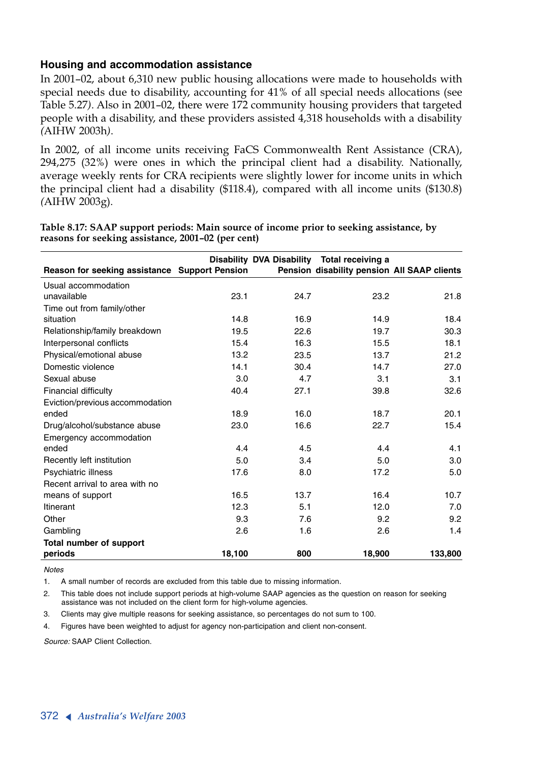#### **Housing and accommodation assistance**

In 2001–02, about 6,310 new public housing allocations were made to households with special needs due to disability, accounting for 41% of all special needs allocations (see Table 5.27*)*. Also in 2001–02, there were 172 community housing providers that targeted people with a disability, and these providers assisted 4,318 households with a disability *(*AIHW 2003h*)*.

In 2002, of all income units receiving FaCS Commonwealth Rent Assistance (CRA), 294,275 (32%) were ones in which the principal client had a disability. Nationally, average weekly rents for CRA recipients were slightly lower for income units in which the principal client had a disability (\$118.4), compared with all income units (\$130.8) *(*AIHW 2003g).

|                                               |        |      | Disability DVA Disability Total receiving a |         |
|-----------------------------------------------|--------|------|---------------------------------------------|---------|
| Reason for seeking assistance Support Pension |        |      | Pension disability pension All SAAP clients |         |
| Usual accommodation                           |        |      |                                             |         |
| unavailable                                   | 23.1   | 24.7 | 23.2                                        | 21.8    |
| Time out from family/other                    |        |      |                                             |         |
| situation                                     | 14.8   | 16.9 | 14.9                                        | 18.4    |
| Relationship/family breakdown                 | 19.5   | 22.6 | 19.7                                        | 30.3    |
| Interpersonal conflicts                       | 15.4   | 16.3 | 15.5                                        | 18.1    |
| Physical/emotional abuse                      | 13.2   | 23.5 | 13.7                                        | 21.2    |
| Domestic violence                             | 14.1   | 30.4 | 14.7                                        | 27.0    |
| Sexual abuse                                  | 3.0    | 4.7  | 3.1                                         | 3.1     |
| <b>Financial difficulty</b>                   | 40.4   | 27.1 | 39.8                                        | 32.6    |
| Eviction/previous accommodation               |        |      |                                             |         |
| ended                                         | 18.9   | 16.0 | 18.7                                        | 20.1    |
| Drug/alcohol/substance abuse                  | 23.0   | 16.6 | 22.7                                        | 15.4    |
| Emergency accommodation                       |        |      |                                             |         |
| ended                                         | 4.4    | 4.5  | 4.4                                         | 4.1     |
| Recently left institution                     | 5.0    | 3.4  | 5.0                                         | 3.0     |
| Psychiatric illness                           | 17.6   | 8.0  | 17.2                                        | 5.0     |
| Recent arrival to area with no                |        |      |                                             |         |
| means of support                              | 16.5   | 13.7 | 16.4                                        | 10.7    |
| <b>Itinerant</b>                              | 12.3   | 5.1  | 12.0                                        | 7.0     |
| Other                                         | 9.3    | 7.6  | 9.2                                         | 9.2     |
| Gambling                                      | 2.6    | 1.6  | 2.6                                         | 1.4     |
| Total number of support                       |        |      |                                             |         |
| periods                                       | 18,100 | 800  | 18,900                                      | 133,800 |

#### **Table 8.17: SAAP support periods: Main source of income prior to seeking assistance, by reasons for seeking assistance, 2001–02 (per cent)**

*Notes*

1. A small number of records are excluded from this table due to missing information.

2. This table does not include support periods at high-volume SAAP agencies as the question on reason for seeking assistance was not included on the client form for high-volume agencies.

3. Clients may give multiple reasons for seeking assistance, so percentages do not sum to 100.

4. Figures have been weighted to adjust for agency non-participation and client non-consent.

*Source:* SAAP Client Collection.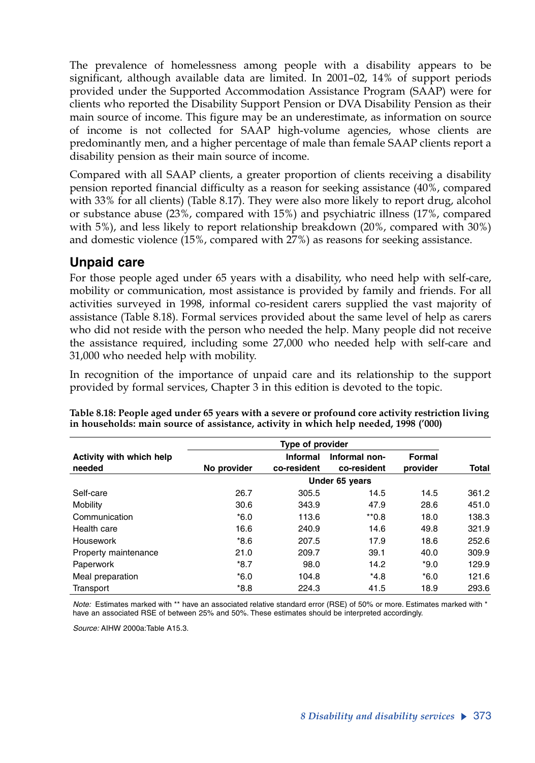The prevalence of homelessness among people with a disability appears to be significant, although available data are limited. In 2001–02, 14% of support periods provided under the Supported Accommodation Assistance Program (SAAP) were for clients who reported the Disability Support Pension or DVA Disability Pension as their main source of income. This figure may be an underestimate, as information on source of income is not collected for SAAP high-volume agencies, whose clients are predominantly men, and a higher percentage of male than female SAAP clients report a disability pension as their main source of income.

Compared with all SAAP clients, a greater proportion of clients receiving a disability pension reported financial difficulty as a reason for seeking assistance (40%, compared with 33% for all clients) (Table 8.17). They were also more likely to report drug, alcohol or substance abuse (23%, compared with 15%) and psychiatric illness (17%, compared with 5%), and less likely to report relationship breakdown (20%, compared with 30%) and domestic violence (15%, compared with 27%) as reasons for seeking assistance.

### **Unpaid care**

For those people aged under 65 years with a disability, who need help with self-care, mobility or communication, most assistance is provided by family and friends. For all activities surveyed in 1998, informal co-resident carers supplied the vast majority of assistance (Table 8.18). Formal services provided about the same level of help as carers who did not reside with the person who needed the help. Many people did not receive the assistance required, including some 27,000 who needed help with self-care and 31,000 who needed help with mobility.

In recognition of the importance of unpaid care and its relationship to the support provided by formal services, Chapter 3 in this edition is devoted to the topic.

|                                    |             | Type of provider               |                              |                    |              |  |  |  |
|------------------------------------|-------------|--------------------------------|------------------------------|--------------------|--------------|--|--|--|
| Activity with which help<br>needed | No provider | <b>Informal</b><br>co-resident | Informal non-<br>co-resident | Formal<br>provider | <b>Total</b> |  |  |  |
|                                    |             | Under 65 years                 |                              |                    |              |  |  |  |
| Self-care                          | 26.7        | 305.5                          | 14.5                         | 14.5               | 361.2        |  |  |  |
| Mobility                           | 30.6        | 343.9                          | 47.9                         | 28.6               | 451.0        |  |  |  |
| Communication                      | $*6.0$      | 113.6                          | $*_{0.8}$                    | 18.0               | 138.3        |  |  |  |
| Health care                        | 16.6        | 240.9                          | 14.6                         | 49.8               | 321.9        |  |  |  |
| Housework                          | $*8.6$      | 207.5                          | 17.9                         | 18.6               | 252.6        |  |  |  |
| Property maintenance               | 21.0        | 209.7                          | 39.1                         | 40.0               | 309.9        |  |  |  |
| Paperwork                          | $*8.7$      | 98.0                           | 14.2                         | $*9.0$             | 129.9        |  |  |  |
| Meal preparation                   | $*6.0$      | 104.8                          | $*4.8$                       | $*6.0$             | 121.6        |  |  |  |
| Transport                          | $*8.8$      | 224.3                          | 41.5                         | 18.9               | 293.6        |  |  |  |

**Table 8.18: People aged under 65 years with a severe or profound core activity restriction living in households: main source of assistance, activity in which help needed, 1998 ('000)**

*Note:* Estimates marked with \*\* have an associated relative standard error (RSE) of 50% or more. Estimates marked with \* have an associated RSE of between 25% and 50%. These estimates should be interpreted accordingly.

*Source:* AIHW 2000a:Table A15.3.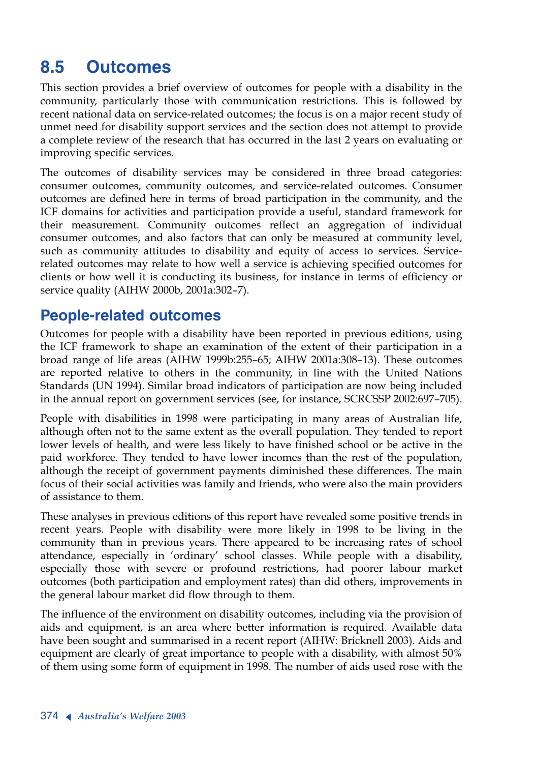# **8.5 Outcomes**

This section provides a brief overview of outcomes for people with a disability in the community, particularly those with communication restrictions. This is followed by recent national data on service-related outcomes; the focus is on a major recent study of unmet need for disability support services and the section does not attempt to provide a complete review of the research that has occurred in the last 2 years on evaluating or improving specific services.

The outcomes of disability services may be considered in three broad categories: consumer outcomes, community outcomes, and service-related outcomes. Consumer outcomes are defined here in terms of broad participation in the community, and the ICF domains for activities and participation provide a useful, standard framework for their measurement. Community outcomes reflect an aggregation of individual consumer outcomes, and also factors that can only be measured at community level, such as community attitudes to disability and equity of access to services. Servicerelated outcomes may relate to how well a service is achieving specified outcomes for clients or how well it is conducting its business, for instance in terms of efficiency or service quality (AIHW 2000b, 2001a:302–7).

# **People-related outcomes**

Outcomes for people with a disability have been reported in previous editions, using the ICF framework to shape an examination of the extent of their participation in a broad range of life areas (AIHW 1999b:255–65; AIHW 2001a:308–13). These outcomes are reported relative to others in the community, in line with the United Nations Standards (UN 1994). Similar broad indicators of participation are now being included in the annual report on government services (see, for instance, SCRCSSP 2002:697–705).

People with disabilities in 1998 were participating in many areas of Australian life, although often not to the same extent as the overall population. They tended to report lower levels of health, and were less likely to have finished school or be active in the paid workforce. They tended to have lower incomes than the rest of the population, although the receipt of government payments diminished these differences. The main focus of their social activities was family and friends, who were also the main providers of assistance to them.

These analyses in previous editions of this report have revealed some positive trends in recent years. People with disability were more likely in 1998 to be living in the community than in previous years. There appeared to be increasing rates of school attendance, especially in 'ordinary' school classes. While people with a disability, especially those with severe or profound restrictions, had poorer labour market outcomes (both participation and employment rates) than did others, improvements in the general labour market did flow through to them.

The influence of the environment on disability outcomes, including via the provision of aids and equipment, is an area where better information is required. Available data have been sought and summarised in a recent report (AIHW: Bricknell 2003). Aids and equipment are clearly of great importance to people with a disability, with almost 50% of them using some form of equipment in 1998. The number of aids used rose with the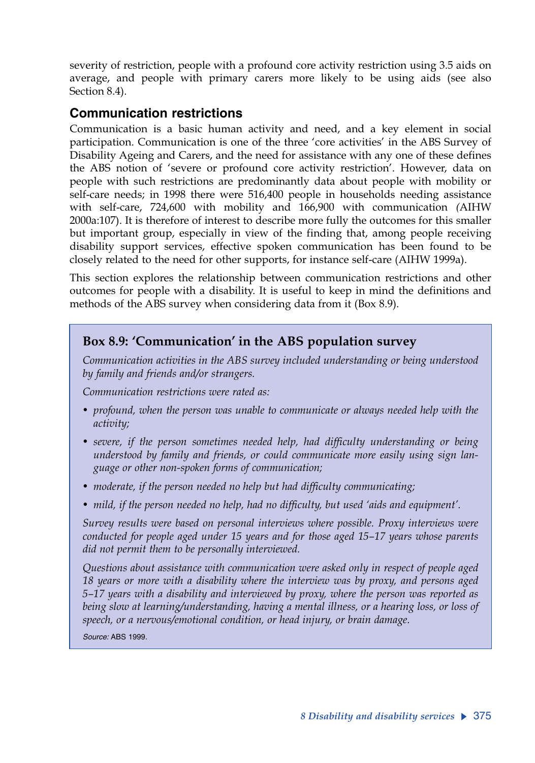severity of restriction, people with a profound core activity restriction using 3.5 aids on average, and people with primary carers more likely to be using aids (see also Section 8.4).

#### **Communication restrictions**

Communication is a basic human activity and need, and a key element in social participation. Communication is one of the three 'core activities' in the ABS Survey of Disability Ageing and Carers, and the need for assistance with any one of these defines the ABS notion of 'severe or profound core activity restriction'. However, data on people with such restrictions are predominantly data about people with mobility or self-care needs; in 1998 there were 516,400 people in households needing assistance with self-care, 724,600 with mobility and 166,900 with communication *(*AIHW 2000a:107). It is therefore of interest to describe more fully the outcomes for this smaller but important group, especially in view of the finding that, among people receiving disability support services, effective spoken communication has been found to be closely related to the need for other supports, for instance self-care (AIHW 1999a).

This section explores the relationship between communication restrictions and other outcomes for people with a disability. It is useful to keep in mind the definitions and methods of the ABS survey when considering data from it (Box 8.9).

#### **Box 8.9: 'Communication' in the ABS population survey**

*Communication activities in the ABS survey included understanding or being understood by family and friends and/or strangers.* 

*Communication restrictions were rated as:*

- *profound, when the person was unable to communicate or always needed help with the activity;*
- *severe, if the person sometimes needed help, had difficulty understanding or being understood by family and friends, or could communicate more easily using sign language or other non-spoken forms of communication;*
- *moderate, if the person needed no help but had difficulty communicating;*
- *mild, if the person needed no help, had no difficulty, but used 'aids and equipment'.*

*Survey results were based on personal interviews where possible. Proxy interviews were conducted for people aged under 15 years and for those aged 15–17 years whose parents did not permit them to be personally interviewed.* 

*Questions about assistance with communication were asked only in respect of people aged 18 years or more with a disability where the interview was by proxy, and persons aged 5–17 years with a disability and interviewed by proxy, where the person was reported as being slow at learning/understanding, having a mental illness, or a hearing loss, or loss of speech, or a nervous/emotional condition, or head injury, or brain damage.*

*Source:* ABS 1999.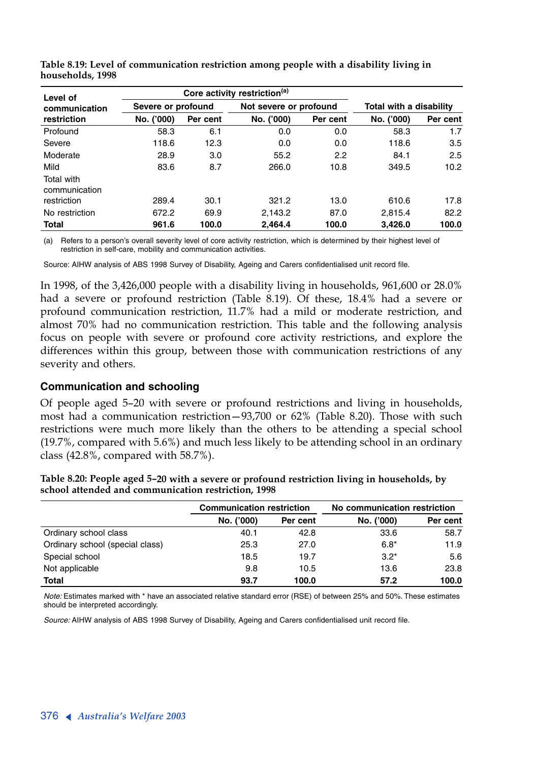| Level of                    |                    |          | Core activity restriction <sup>(a)</sup> |          |                         |          |  |  |
|-----------------------------|--------------------|----------|------------------------------------------|----------|-------------------------|----------|--|--|
| communication               | Severe or profound |          | Not severe or profound                   |          | Total with a disability |          |  |  |
| restriction                 | No. ('000)         | Per cent | No. ('000)                               | Per cent | No. ('000)              | Per cent |  |  |
| Profound                    | 58.3               | 6.1      | 0.0                                      | 0.0      | 58.3                    | 1.7      |  |  |
| Severe                      | 118.6              | 12.3     | 0.0                                      | 0.0      | 118.6                   | 3.5      |  |  |
| Moderate                    | 28.9               | 3.0      | 55.2                                     | 2.2      | 84.1                    | 2.5      |  |  |
| Mild                        | 83.6               | 8.7      | 266.0                                    | 10.8     | 349.5                   | 10.2     |  |  |
| Total with<br>communication |                    |          |                                          |          |                         |          |  |  |
| restriction                 | 289.4              | 30.1     | 321.2                                    | 13.0     | 610.6                   | 17.8     |  |  |
| No restriction              | 672.2              | 69.9     | 2.143.2                                  | 87.0     | 2,815.4                 | 82.2     |  |  |
| <b>Total</b>                | 961.6              | 100.0    | 2.464.4                                  | 100.0    | 3,426.0                 | 100.0    |  |  |

**Table 8.19: Level of communication restriction among people with a disability living in households, 1998**

(a) Refers to a person's overall severity level of core activity restriction, which is determined by their highest level of restriction in self-care, mobility and communication activities.

Source: AIHW analysis of ABS 1998 Survey of Disability, Ageing and Carers confidentialised unit record file.

In 1998, of the 3,426,000 people with a disability living in households, 961,600 or 28.0% had a severe or profound restriction (Table 8.19). Of these, 18.4% had a severe or profound communication restriction, 11.7% had a mild or moderate restriction, and almost 70% had no communication restriction. This table and the following analysis focus on people with severe or profound core activity restrictions, and explore the differences within this group, between those with communication restrictions of any severity and others.

#### **Communication and schooling**

Of people aged 5–20 with severe or profound restrictions and living in households, most had a communication restriction—93,700 or 62% (Table 8.20). Those with such restrictions were much more likely than the others to be attending a special school (19.7%, compared with 5.6%) and much less likely to be attending school in an ordinary class (42.8%, compared with 58.7%).

|                                 | <b>Communication restriction</b> |          |            | No communication restriction |  |  |
|---------------------------------|----------------------------------|----------|------------|------------------------------|--|--|
|                                 | No. ('000)                       | Per cent | No. ('000) | Per cent                     |  |  |
| Ordinary school class           | 40.1                             | 42.8     | 33.6       | 58.7                         |  |  |
| Ordinary school (special class) | 25.3                             | 27.0     | $6.8*$     | 11.9                         |  |  |
| Special school                  | 18.5                             | 19.7     | $3.2*$     | 5.6                          |  |  |
| Not applicable                  | 9.8                              | 10.5     | 13.6       | 23.8                         |  |  |
| <b>Total</b>                    | 93.7                             | 100.0    | 57.2       | 100.0                        |  |  |

**Table 8.20: People aged 5–20 with a severe or profound restriction living in households, by school attended and communication restriction, 1998**

*Note:* Estimates marked with \* have an associated relative standard error (RSE) of between 25% and 50%. These estimates should be interpreted accordingly.

*Source:* AIHW analysis of ABS 1998 Survey of Disability, Ageing and Carers confidentialised unit record file.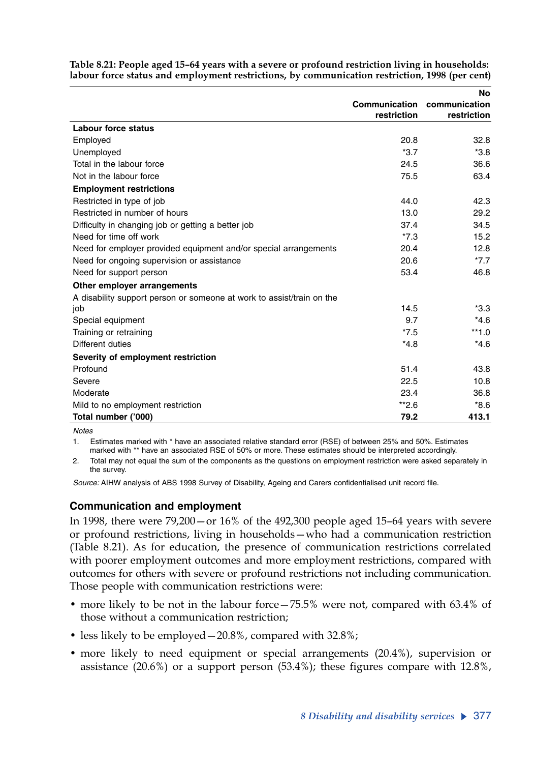|                                                                       |                             | No          |
|-----------------------------------------------------------------------|-----------------------------|-------------|
|                                                                       | Communication communication |             |
|                                                                       | restriction                 | restriction |
| <b>Labour force status</b>                                            |                             |             |
| Employed                                                              | 20.8                        | 32.8        |
| Unemployed                                                            | $*3.7$                      | $*3.8$      |
| Total in the labour force                                             | 24.5                        | 36.6        |
| Not in the labour force                                               | 75.5                        | 63.4        |
| <b>Employment restrictions</b>                                        |                             |             |
| Restricted in type of job                                             | 44.0                        | 42.3        |
| Restricted in number of hours                                         | 13.0                        | 29.2        |
| Difficulty in changing job or getting a better job                    | 37.4                        | 34.5        |
| Need for time off work                                                | $*7.3$                      | 15.2        |
| Need for employer provided equipment and/or special arrangements      | 20.4                        | 12.8        |
| Need for ongoing supervision or assistance                            | 20.6                        | $*7.7$      |
| Need for support person                                               | 53.4                        | 46.8        |
| Other employer arrangements                                           |                             |             |
| A disability support person or someone at work to assist/train on the |                             |             |
| job                                                                   | 14.5                        | $*3.3$      |
| Special equipment                                                     | 9.7                         | $*4.6$      |
| Training or retraining                                                | $*7.5$                      | $**1.0$     |
| Different duties                                                      | $*4.8$                      | $*4.6$      |
| Severity of employment restriction                                    |                             |             |
| Profound                                                              | 51.4                        | 43.8        |
| Severe                                                                | 22.5                        | 10.8        |
| Moderate                                                              | 23.4                        | 36.8        |
| Mild to no employment restriction                                     | $*2.6$                      | $*8.6$      |
| Total number ('000)                                                   | 79.2                        | 413.1       |

**Table 8.21: People aged 15–64 years with a severe or profound restriction living in households: labour force status and employment restrictions, by communication restriction, 1998 (per cent)**

*Notes*

1. Estimates marked with \* have an associated relative standard error (RSE) of between 25% and 50%. Estimates marked with \*\* have an associated RSE of 50% or more. These estimates should be interpreted accordingly.

2. Total may not equal the sum of the components as the questions on employment restriction were asked separately in the survey.

*Source:* AIHW analysis of ABS 1998 Survey of Disability, Ageing and Carers confidentialised unit record file.

#### **Communication and employment**

In 1998, there were 79,200—or 16% of the 492,300 people aged 15–64 years with severe or profound restrictions, living in households—who had a communication restriction (Table 8.21). As for education, the presence of communication restrictions correlated with poorer employment outcomes and more employment restrictions, compared with outcomes for others with severe or profound restrictions not including communication. Those people with communication restrictions were:

- more likely to be not in the labour force 75.5% were not, compared with 63.4% of those without a communication restriction;
- less likely to be employed—20.8%, compared with 32.8%;
- more likely to need equipment or special arrangements (20.4%), supervision or assistance (20.6%) or a support person (53.4%); these figures compare with 12.8%,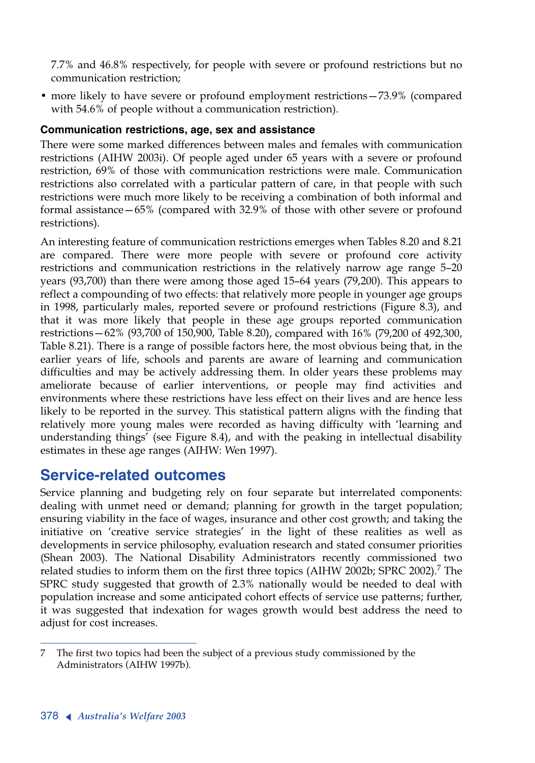7.7% and 46.8% respectively, for people with severe or profound restrictions but no communication restriction;

• more likely to have severe or profound employment restrictions—73.9% (compared with 54.6% of people without a communication restriction).

#### **Communication restrictions, age, sex and assistance**

There were some marked differences between males and females with communication restrictions (AIHW 2003i). Of people aged under 65 years with a severe or profound restriction, 69% of those with communication restrictions were male. Communication restrictions also correlated with a particular pattern of care, in that people with such restrictions were much more likely to be receiving a combination of both informal and formal assistance—65% (compared with 32.9% of those with other severe or profound restrictions).

An interesting feature of communication restrictions emerges when Tables 8.20 and 8.21 are compared. There were more people with severe or profound core activity restrictions and communication restrictions in the relatively narrow age range 5–20 years (93,700) than there were among those aged 15–64 years (79,200). This appears to reflect a compounding of two effects: that relatively more people in younger age groups in 1998, particularly males, reported severe or profound restrictions (Figure 8.3), and that it was more likely that people in these age groups reported communication restrictions—62% (93,700 of 150,900, Table 8.20), compared with 16% (79,200 of 492,300, Table 8.21). There is a range of possible factors here, the most obvious being that, in the earlier years of life, schools and parents are aware of learning and communication difficulties and may be actively addressing them. In older years these problems may ameliorate because of earlier interventions, or people may find activities and environments where these restrictions have less effect on their lives and are hence less likely to be reported in the survey. This statistical pattern aligns with the finding that relatively more young males were recorded as having difficulty with 'learning and understanding things' (see Figure 8.4), and with the peaking in intellectual disability estimates in these age ranges (AIHW: Wen 1997).

# **Service-related outcomes**

Service planning and budgeting rely on four separate but interrelated components: dealing with unmet need or demand; planning for growth in the target population; ensuring viability in the face of wages, insurance and other cost growth; and taking the initiative on 'creative service strategies' in the light of these realities as well as developments in service philosophy, evaluation research and stated consumer priorities (Shean 2003). The National Disability Administrators recently commissioned two related studies to inform them on the first three topics (AIHW 2002b; SPRC 2002).<sup>7</sup> The SPRC study suggested that growth of 2.3% nationally would be needed to deal with population increase and some anticipated cohort effects of service use patterns; further, it was suggested that indexation for wages growth would best address the need to adjust for cost increases.

<sup>7</sup> The first two topics had been the subject of a previous study commissioned by the Administrators (AIHW 1997b).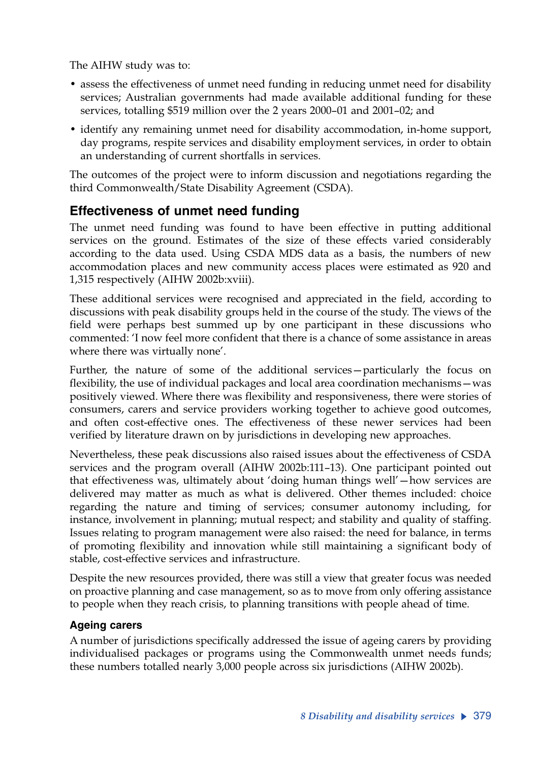The AIHW study was to:

- assess the effectiveness of unmet need funding in reducing unmet need for disability services; Australian governments had made available additional funding for these services, totalling \$519 million over the 2 years 2000–01 and 2001–02; and
- identify any remaining unmet need for disability accommodation, in-home support, day programs, respite services and disability employment services, in order to obtain an understanding of current shortfalls in services.

The outcomes of the project were to inform discussion and negotiations regarding the third Commonwealth/State Disability Agreement (CSDA).

### **Effectiveness of unmet need funding**

The unmet need funding was found to have been effective in putting additional services on the ground. Estimates of the size of these effects varied considerably according to the data used. Using CSDA MDS data as a basis, the numbers of new accommodation places and new community access places were estimated as 920 and 1,315 respectively (AIHW 2002b:xviii).

These additional services were recognised and appreciated in the field, according to discussions with peak disability groups held in the course of the study. The views of the field were perhaps best summed up by one participant in these discussions who commented: 'I now feel more confident that there is a chance of some assistance in areas where there was virtually none'.

Further, the nature of some of the additional services—particularly the focus on flexibility, the use of individual packages and local area coordination mechanisms—was positively viewed. Where there was flexibility and responsiveness, there were stories of consumers, carers and service providers working together to achieve good outcomes, and often cost-effective ones. The effectiveness of these newer services had been verified by literature drawn on by jurisdictions in developing new approaches.

Nevertheless, these peak discussions also raised issues about the effectiveness of CSDA services and the program overall (AIHW 2002b:111–13). One participant pointed out that effectiveness was, ultimately about 'doing human things well'—how services are delivered may matter as much as what is delivered. Other themes included: choice regarding the nature and timing of services; consumer autonomy including, for instance, involvement in planning; mutual respect; and stability and quality of staffing. Issues relating to program management were also raised: the need for balance, in terms of promoting flexibility and innovation while still maintaining a significant body of stable, cost-effective services and infrastructure.

Despite the new resources provided, there was still a view that greater focus was needed on proactive planning and case management, so as to move from only offering assistance to people when they reach crisis, to planning transitions with people ahead of time.

#### **Ageing carers**

A number of jurisdictions specifically addressed the issue of ageing carers by providing individualised packages or programs using the Commonwealth unmet needs funds; these numbers totalled nearly 3,000 people across six jurisdictions (AIHW 2002b).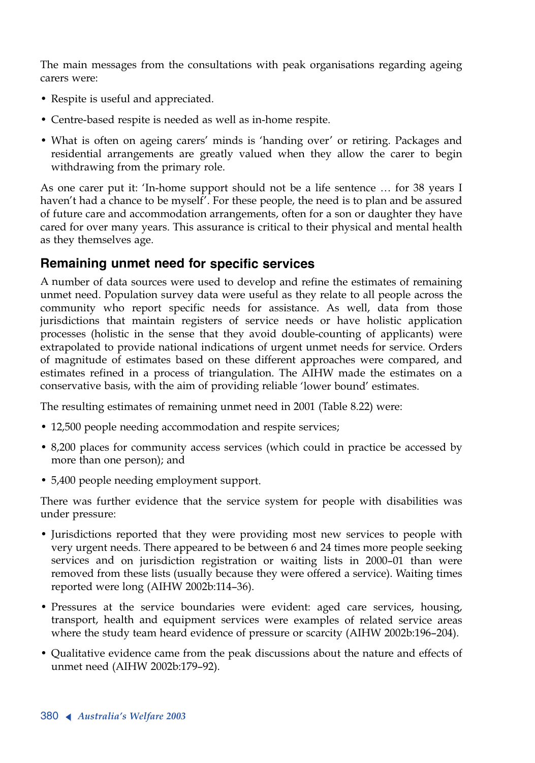The main messages from the consultations with peak organisations regarding ageing carers were:

- Respite is useful and appreciated.
- Centre-based respite is needed as well as in-home respite.
- What is often on ageing carers' minds is 'handing over' or retiring. Packages and residential arrangements are greatly valued when they allow the carer to begin withdrawing from the primary role.

As one carer put it: 'In-home support should not be a life sentence … for 38 years I haven't had a chance to be myself'. For these people, the need is to plan and be assured of future care and accommodation arrangements, often for a son or daughter they have cared for over many years. This assurance is critical to their physical and mental health as they themselves age.

#### **Remaining unmet need for specific services**

<sup>A</sup> number of data sources were used to develop and refine the estimates of remaining unmet need. Population survey data were useful as they relate to all people across the community who report specific needs for assistance. As well, data from those jurisdictions that maintain registers of service needs or have holistic application processes (holistic in the sense that they avoid double-counting of applicants) were extrapolated to provide national indications of urgent unmet needs for service. Orders of magnitude of estimates based on these different approaches were compared, and estimates refined in a process of triangulation. The AIHW made the estimates on a conservative basis, with the aim of providing reliable 'lower bound' estimates.

The resulting estimates of remaining unmet need in 2001 (Table 8.22) were:

- 12,500 people needing accommodation and respite services;
- 8,200 places for community access services (which could in practice be accessed by more than one person); and
- 5,400 people needing employment support.

There was further evidence that the service system for people with disabilities was under pressure:

- Jurisdictions reported that they were providing most new services to people with very urgent needs. There appeared to be between 6 and 24 times more people seeking services and on jurisdiction registration or waiting lists in 2000–01 than were removed from these lists (usually because they were offered a service). Waiting times reported were long (AIHW 2002b:114–36).
- Pressures at the service boundaries were evident: aged care services, housing, transport, health and equipment services were examples of related service areas where the study team heard evidence of pressure or scarcity (AIHW 2002b:196–204).
- Qualitative evidence came from the peak discussions about the nature and effects of unmet need (AIHW 2002b:179–92).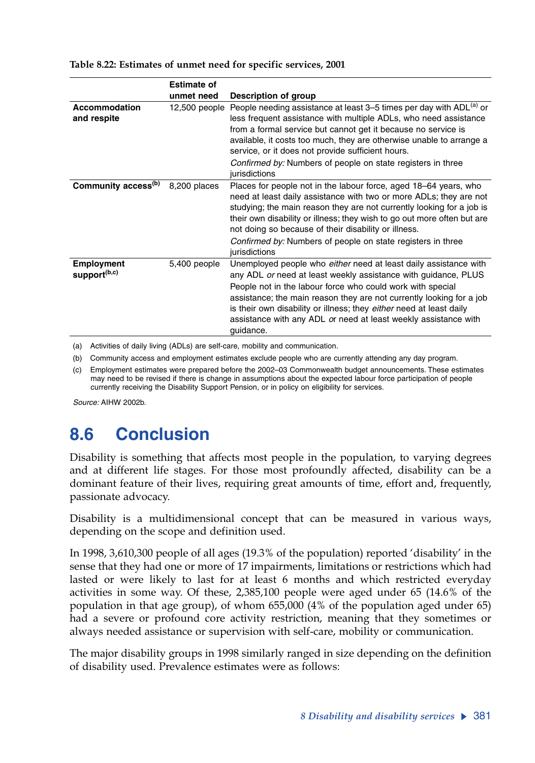|                                               | <b>Estimate of</b> |                                                                                                                                                                                                                                                                                                                                                                                                                                    |
|-----------------------------------------------|--------------------|------------------------------------------------------------------------------------------------------------------------------------------------------------------------------------------------------------------------------------------------------------------------------------------------------------------------------------------------------------------------------------------------------------------------------------|
|                                               | unmet need         | Description of group                                                                                                                                                                                                                                                                                                                                                                                                               |
| Accommodation<br>and respite                  | $12,500$ people    | People needing assistance at least 3–5 times per day with ADL <sup>(a)</sup> or<br>less frequent assistance with multiple ADLs, who need assistance<br>from a formal service but cannot get it because no service is<br>available, it costs too much, they are otherwise unable to arrange a<br>service, or it does not provide sufficient hours.<br>Confirmed by: Numbers of people on state registers in three<br>jurisdictions  |
| Community access <sup>(b)</sup>               | 8,200 places       | Places for people not in the labour force, aged 18-64 years, who<br>need at least daily assistance with two or more ADLs; they are not<br>studying; the main reason they are not currently looking for a job is<br>their own disability or illness; they wish to go out more often but are<br>not doing so because of their disability or illness.<br>Confirmed by: Numbers of people on state registers in three<br>jurisdictions |
| <b>Employment</b><br>support <sup>(b,c)</sup> | 5,400 people       | Unemployed people who either need at least daily assistance with<br>any ADL or need at least weekly assistance with guidance, PLUS<br>People not in the labour force who could work with special<br>assistance; the main reason they are not currently looking for a job<br>is their own disability or illness; they either need at least daily<br>assistance with any ADL or need at least weekly assistance with<br>guidance.    |

#### **Table 8.22: Estimates of unmet need for specific services, 2001**

(a) Activities of daily living (ADLs) are self-care, mobility and communication.

(b) Community access and employment estimates exclude people who are currently attending any day program.

(c) Employment estimates were prepared before the 2002–03 Commonwealth budget announcements. These estimates may need to be revised if there is change in assumptions about the expected labour force participation of people currently receiving the Disability Support Pension, or in policy on eligibility for services.

*Source:* AIHW 2002b.

# **8.6 Conclusion**

Disability is something that affects most people in the population, to varying degrees and at different life stages. For those most profoundly affected, disability can be a dominant feature of their lives, requiring great amounts of time, effort and, frequently, passionate advocacy.

Disability is a multidimensional concept that can be measured in various ways, depending on the scope and definition used.

In 1998, 3,610,300 people of all ages (19.3% of the population) reported 'disability' in the sense that they had one or more of 17 impairments, limitations or restrictions which had lasted or were likely to last for at least 6 months and which restricted everyday activities in some way. Of these, 2,385,100 people were aged under 65 (14.6% of the population in that age group), of whom 655,000 (4% of the population aged under 65) had a severe or profound core activity restriction, meaning that they sometimes or always needed assistance or supervision with self-care, mobility or communication.

The major disability groups in 1998 similarly ranged in size depending on the definition of disability used. Prevalence estimates were as follows: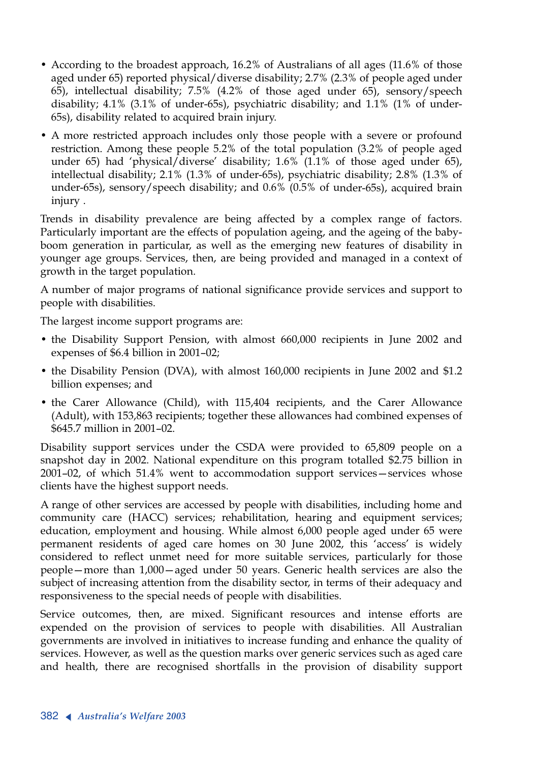- According to the broadest approach, 16.2% of Australians of all ages (11.6% of those aged under 65) reported physical/diverse disability; 2.7% (2.3% of people aged under 65), intellectual disability; 7.5% (4.2% of those aged under 65), sensory/speech disability; 4.1% (3.1% of under-65s), psychiatric disability; and 1.1% (1% of under-65s), disability related to acquired brain injury.
- <sup>A</sup> more restricted approach includes only those people with a severe or profound restriction. Among these people 5.2% of the total population (3.2% of people aged under 65) had 'physical/diverse' disability; 1.6% (1.1% of those aged under 65), intellectual disability; 2.1% (1.3% of under-65s), psychiatric disability; 2.8% (1.3% of under-65s), sensory/speech disability; and 0.6% (0.5% of under-65s), acquired brain injury .

Trends in disability prevalence are being affected by a complex range of factors. Particularly important are the effects of population ageing, and the ageing of the babyboom generation in particular, as well as the emerging new features of disability in younger age groups. Services, then, are being provided and managed in a context of growth in the target population.

<sup>A</sup> number of major programs of national significance provide services and support to people with disabilities.

The largest income support programs are:

- the Disability Support Pension, with almost 660,000 recipients in June 2002 and expenses of \$6.4 billion in 2001–02;
- the Disability Pension (DVA), with almost 160,000 recipients in June 2002 and \$1.2 billion expenses; and
- the Carer Allowance (Child), with 115,404 recipients, and the Carer Allowance (Adult), with 153,863 recipients; together these allowances had combined expenses of \$645.7 million in 2001–02.

Disability support services under the CSDA were provided to 65,809 people on a snapshot day in 2002. National expenditure on this program totalled \$2.75 billion in 2001–02, of which 51.4% went to accommodation support services—services whose clients have the highest support needs.

<sup>A</sup> range of other services are accessed by people with disabilities, including home and community care (HACC) services; rehabilitation, hearing and equipment services; education, employment and housing. While almost 6,000 people aged under 65 were permanent residents of aged care homes on 30 June 2002, this 'access' is widely considered to reflect unmet need for more suitable services, particularly for those people—more than 1,000—aged under 50 years. Generic health services are also the subject of increasing attention from the disability sector, in terms of their adequacy and responsiveness to the special needs of people with disabilities.

Service outcomes, then, are mixed. Significant resources and intense efforts are expended on the provision of services to people with disabilities. All Australian governments are involved in initiatives to increase funding and enhance the quality of services. However, as well as the question marks over generic services such as aged care and health, there are recognised shortfalls in the provision of disability support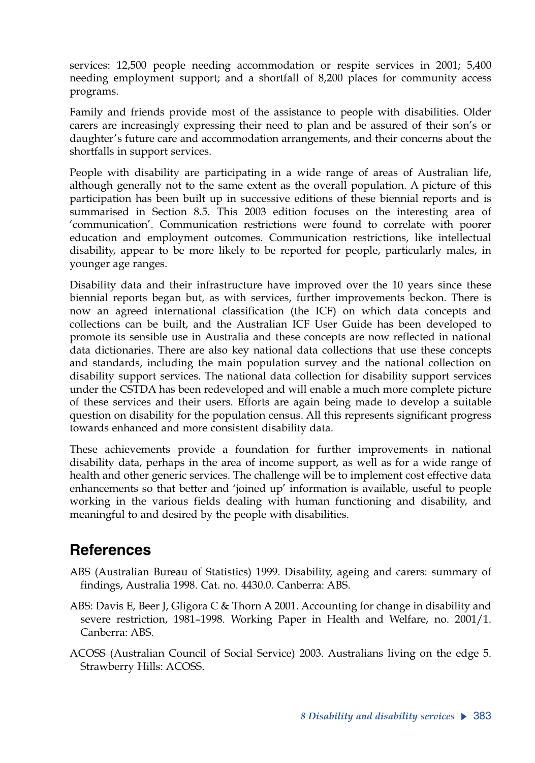services: 12,500 people needing accommodation or respite services in 2001; 5,400 needing employment support; and a shortfall of 8,200 places for community access programs.

Family and friends provide most of the assistance to people with disabilities. Older carers are increasingly expressing their need to plan and be assured of their son's or daughter's future care and accommodation arrangements, and their concerns about the shortfalls in support services.

People with disability are participating in a wide range of areas of Australian life, although generally not to the same extent as the overall population. A picture of this participation has been built up in successive editions of these biennial reports and is summarised in Section 8.5. This 2003 edition focuses on the interesting area of 'communication'. Communication restrictions were found to correlate with poorer education and employment outcomes. Communication restrictions, like intellectual disability, appear to be more likely to be reported for people, particularly males, in younger age ranges.

Disability data and their infrastructure have improved over the 10 years since these biennial reports began but, as with services, further improvements beckon. There is now an agreed international classification (the ICF) on which data concepts and collections can be built, and the Australian ICF User Guide has been developed to promote its sensible use in Australia and these concepts are now reflected in national data dictionaries. There are also key national data collections that use these concepts and standards, including the main population survey and the national collection on disability support services. The national data collection for disability support services under the CSTDA has been redeveloped and will enable a much more complete picture of these services and their users. Efforts are again being made to develop a suitable question on disability for the population census. All this represents significant progress towards enhanced and more consistent disability data.

These achievements provide a foundation for further improvements in national disability data, perhaps in the area of income support, as well as for a wide range of health and other generic services. The challenge will be to implement cost effective data enhancements so that better and 'joined up' information is available, useful to people working in the various fields dealing with human functioning and disability, and meaningful to and desired by the people with disabilities.

### **References**

- ABS (Australian Bureau of Statistics) 1999. Disability, ageing and carers: summary of findings, Australia 1998. Cat. no. 4430.0. Canberra: ABS.
- ABS: Davis E, Beer J, Gligora C & Thorn A 2001. Accounting for change in disability and severe restriction, 1981–1998. Working Paper in Health and Welfare, no. 2001/1. Canberra: ABS.
- ACOSS (Australian Council of Social Service) 2003. Australians living on the edge 5. Strawberry Hills: ACOSS.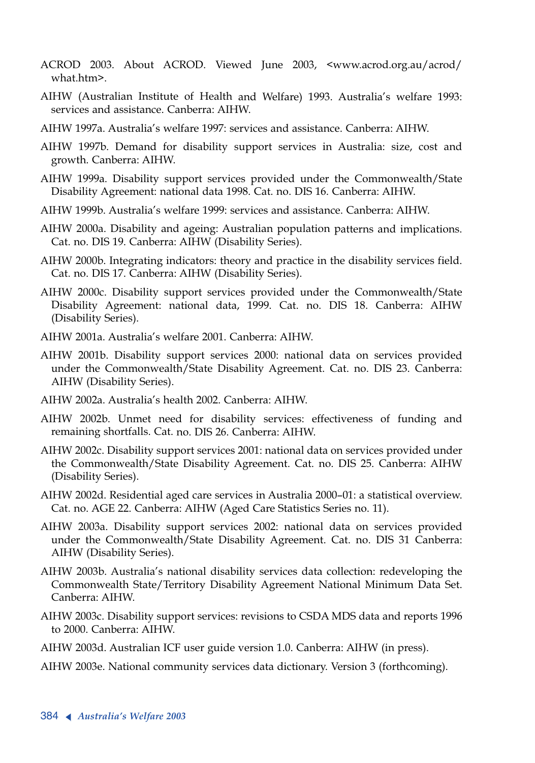- ACROD 2003. About ACROD. Viewed June 2003, <www.acrod.org.au/acrod/ what.htm>.
- AIHW (Australian Institute of Health and Welfare) 1993. Australia's welfare 1993: services and assistance. Canberra: AIHW.
- AIHW 1997a. Australia's welfare 1997: services and assistance. Canberra: AIHW.
- AIHW 1997b. Demand for disability support services in Australia: size, cost and growth. Canberra: AIHW.
- AIHW 1999a. Disability support services provided under the Commonwealth/State Disability Agreement: national data 1998. Cat. no. DIS 16. Canberra: AIHW.
- AIHW 1999b. Australia's welfare 1999: services and assistance. Canberra: AIHW.
- AIHW 2000a. Disability and ageing: Australian population patterns and implications. Cat. no. DIS 19. Canberra: AIHW (Disability Series).
- AIHW 2000b. Integrating indicators: theory and practice in the disability services field. Cat. no. DIS 17. Canberra: AIHW (Disability Series).
- AIHW 2000c. Disability support services provided under the Commonwealth/State Disability Agreement: national data, 1999. Cat. no. DIS 18. Canberra: AIHW (Disability Series).
- AIHW 2001a. Australia's welfare 2001. Canberra: AIHW.
- AIHW 2001b. Disability support services 2000: national data on services provided under the Commonwealth/State Disability Agreement. Cat. no. DIS 23. Canberra: AIHW (Disability Series).
- AIHW 2002a. Australia's health 2002. Canberra: AIHW.
- AIHW 2002b. Unmet need for disability services: effectiveness of funding and remaining shortfalls. Cat. no. DIS 26. Canberra: AIHW.
- AIHW 2002c. Disability support services 2001: national data on services provided under the Commonwealth/State Disability Agreement. Cat. no. DIS 25. Canberra: AIHW (Disability Series).
- AIHW 2002d. Residential aged care services in Australia 2000–01: a statistical overview. Cat. no. AGE 22. Canberra: AIHW (Aged Care Statistics Series no. 11).
- AIHW 2003a. Disability support services 2002: national data on services provided under the Commonwealth/State Disability Agreement. Cat. no. DIS 31 Canberra: AIHW (Disability Series).
- AIHW 2003b. Australia's national disability services data collection: redeveloping the Commonwealth State/Territory Disability Agreement National Minimum Data Set. Canberra: AIHW.
- AIHW 2003c. Disability support services: revisions to CSDA MDS data and reports 1996 to 2000. Canberra: AIHW.
- AIHW 2003d. Australian ICF user guide version 1.0. Canberra: AIHW (in press).
- AIHW 2003e. National community services data dictionary. Version 3 (forthcoming).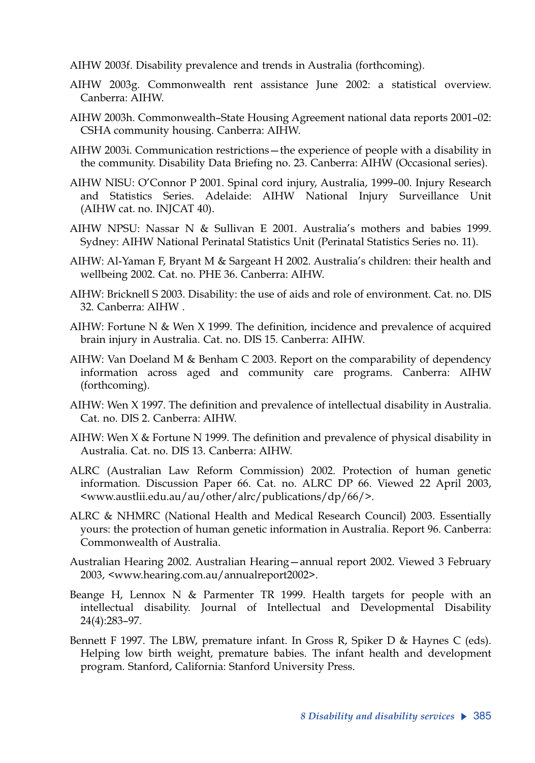AIHW 2003f. Disability prevalence and trends in Australia (forthcoming).

- AIHW 2003g. Commonwealth rent assistance June 2002: a statistical overview. Canberra: AIHW.
- AIHW 2003h. Commonwealth–State Housing Agreement national data reports 2001–02: CSHA community housing. Canberra: AIHW.
- AIHW 2003i. Communication restrictions—the experience of people with a disability in the community. Disability Data Briefing no. 23. Canberra: AIHW (Occasional series).
- AIHW NISU: O'Connor P 2001. Spinal cord injury, Australia, 1999–00. Injury Research and Statistics Series. Adelaide: AIHW National Injury Surveillance Unit (AIHW cat. no. INJCAT 40).
- AIHW NPSU: Nassar N & Sullivan E 2001. Australia's mothers and babies 1999. Sydney: AIHW National Perinatal Statistics Unit (Perinatal Statistics Series no. 11).
- AIHW: Al-Yaman F, Bryant M & Sargeant H 2002. Australia's children: their health and wellbeing 2002. Cat. no. PHE 36. Canberra: AIHW.
- AIHW: Bricknell S 2003. Disability: the use of aids and role of environment. Cat. no. DIS 32. Canberra: AIHW .
- AIHW: Fortune N & Wen X 1999. The definition, incidence and prevalence of acquired brain injury in Australia. Cat. no. DIS 15. Canberra: AIHW.
- AIHW: Van Doeland M & Benham C 2003. Report on the comparability of dependency information across aged and community care programs. Canberra: AIHW (forthcoming).
- AIHW: Wen X 1997. The definition and prevalence of intellectual disability in Australia. Cat. no. DIS 2. Canberra: AIHW.
- AIHW: Wen  $X$  & Fortune N 1999. The definition and prevalence of physical disability in Australia. Cat. no. DIS 13. Canberra: AIHW.
- ALRC (Australian Law Reform Commission) 2002. Protection of human genetic information. Discussion Paper 66. Cat. no. ALRC DP 66. Viewed 22 April 2003, <www.austlii.edu.au/au/other/alrc/publications/dp/66/>.
- ALRC & NHMRC (National Health and Medical Research Council) 2003. Essentially yours: the protection of human genetic information in Australia. Report 96. Canberra: Commonwealth of Australia.
- Australian Hearing 2002. Australian Hearing—annual report 2002. Viewed 3 February 2003, <www.hearing.com.au/annualreport2002>.
- Beange H, Lennox N & Parmenter TR 1999. Health targets for people with an intellectual disability. Journal of Intellectual and Developmental Disability 24(4):283–97.
- Bennett F 1997. The LBW, premature infant. In Gross R, Spiker D & Haynes C (eds). Helping low birth weight, premature babies. The infant health and development program. Stanford, California: Stanford University Press.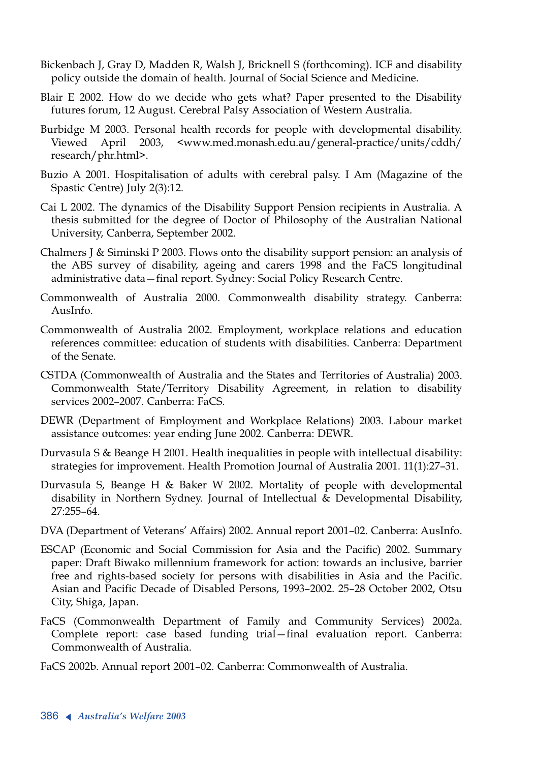- Bickenbach J, Gray D, Madden R, Walsh J, Bricknell S (forthcoming). ICF and disability policy outside the domain of health. Journal of Social Science and Medicine.
- Blair E 2002. How do we decide who gets what? Paper presented to the Disability futures forum, 12 August. Cerebral Palsy Association of Western Australia.
- Burbidge M 2003. Personal health records for people with developmental disability. Viewed April 2003, <www.med.monash.edu.au/general-practice/units/cddh/ research/phr.html>.
- Buzio A 2001. Hospitalisation of adults with cerebral palsy. I Am (Magazine of the Spastic Centre) July 2(3):12.
- Cai L 2002. The dynamics of the Disability Support Pension recipients in Australia. A thesis submitted for the degree of Doctor of Philosophy of the Australian National University, Canberra, September 2002.
- Chalmers J & Siminski P 2003. Flows onto the disability support pension: an analysis of the ABS survey of disability, ageing and carers 1998 and the FaCS longitudinal administrative data—final report. Sydney: Social Policy Research Centre.
- Commonwealth of Australia 2000. Commonwealth disability strategy. Canberra: AusInfo.
- Commonwealth of Australia 2002. Employment, workplace relations and education references committee: education of students with disabilities. Canberra: Department of the Senate.
- CSTDA (Commonwealth of Australia and the States and Territories of Australia) 2003. Commonwealth State/Territory Disability Agreement, in relation to disability services 2002–2007. Canberra: FaCS.
- DEWR (Department of Employment and Workplace Relations) 2003. Labour market assistance outcomes: year ending June 2002. Canberra: DEWR.
- Durvasula S & Beange H 2001. Health inequalities in people with intellectual disability: strategies for improvement. Health Promotion Journal of Australia 2001. 11(1):27–31.
- Durvasula S, Beange H & Baker W 2002. Mortality of people with developmental disability in Northern Sydney. Journal of Intellectual & Developmental Disability, 27:255–64.
- DVA (Department of Veterans' Affairs) 2002. Annual report 2001–02. Canberra: AusInfo.
- ESCAP (Economic and Social Commission for Asia and the Pacific) 2002. Summary paper: Draft Biwako millennium framework for action: towards an inclusive, barrier free and rights-based society for persons with disabilities in Asia and the Pacific. Asian and Pacific Decade of Disabled Persons, 1993–2002. 25–28 October 2002, Otsu City, Shiga, Japan.
- FaCS (Commonwealth Department of Family and Community Services) 2002a. Complete report: case based funding trial—final evaluation report. Canberra: Commonwealth of Australia.
- FaCS 2002b. Annual report 2001–02. Canberra: Commonwealth of Australia.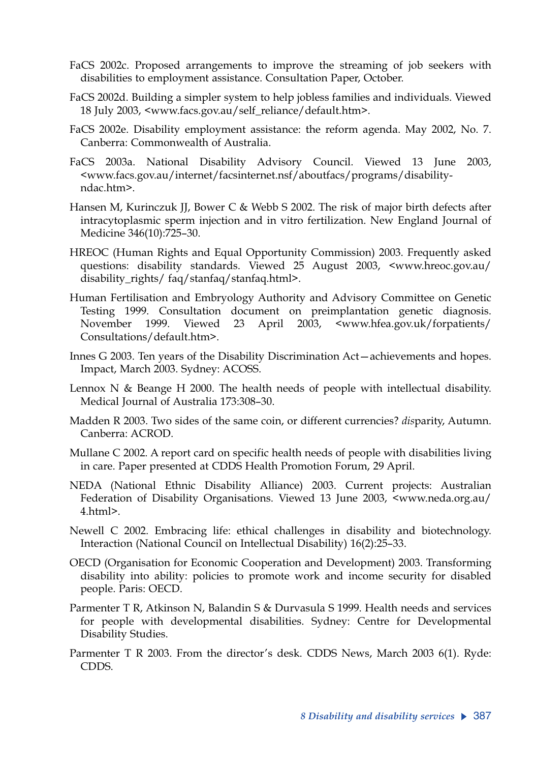- FaCS 2002c. Proposed arrangements to improve the streaming of job seekers with disabilities to employment assistance. Consultation Paper, October.
- FaCS 2002d. Building a simpler system to help jobless families and individuals. Viewed 18 July 2003, <www.facs.gov.au/self\_reliance/default.htm>.
- FaCS 2002e. Disability employment assistance: the reform agenda. May 2002, No. 7. Canberra: Commonwealth of Australia.
- FaCS 2003a. National Disability Advisory Council. Viewed 13 June 2003, <www.facs.gov.au/internet/facsinternet.nsf/aboutfacs/programs/disabilityndac.htm>.
- Hansen M, Kurinczuk JJ, Bower C & Webb S 2002. The risk of major birth defects after intracytoplasmic sperm injection and in vitro fertilization. New England Journal of Medicine 346(10):725–30.
- HREOC (Human Rights and Equal Opportunity Commission) 2003. Frequently asked questions: disability standards. Viewed 25 August 2003, <www.hreoc.gov.au/ disability\_rights/ faq/stanfaq/stanfaq.html>.
- Human Fertilisation and Embryology Authority and Advisory Committee on Genetic Testing 1999. Consultation document on preimplantation genetic diagnosis. November 1999. Viewed 23 April 2003, <www.hfea.gov.uk/forpatients/ Consultations/default.htm>.
- Innes G 2003. Ten years of the Disability Discrimination Act—achievements and hopes. Impact, March 2003. Sydney: ACOSS.
- Lennox N & Beange H 2000. The health needs of people with intellectual disability. Medical Journal of Australia 173:308–30.
- Madden R 2003. Two sides of the same coin, or different currencies? *dis*parity, Autumn. Canberra: ACROD.
- Mullane C 2002. A report card on specific health needs of people with disabilities living in care. Paper presented at CDDS Health Promotion Forum, 29 April.
- NEDA (National Ethnic Disability Alliance) 2003. Current projects: Australian Federation of Disability Organisations. Viewed 13 June 2003, <www.neda.org.au/ 4.html>.
- Newell C 2002. Embracing life: ethical challenges in disability and biotechnology. Interaction (National Council on Intellectual Disability) 16(2):25–33.
- OECD (Organisation for Economic Cooperation and Development) 2003. Transforming disability into ability: policies to promote work and income security for disabled people. Paris: OECD.
- Parmenter T R, Atkinson N, Balandin S & Durvasula S 1999. Health needs and services for people with developmental disabilities. Sydney: Centre for Developmental Disability Studies.
- Parmenter T R 2003. From the director's desk. CDDS News, March 2003 6(1). Ryde: CDDS.